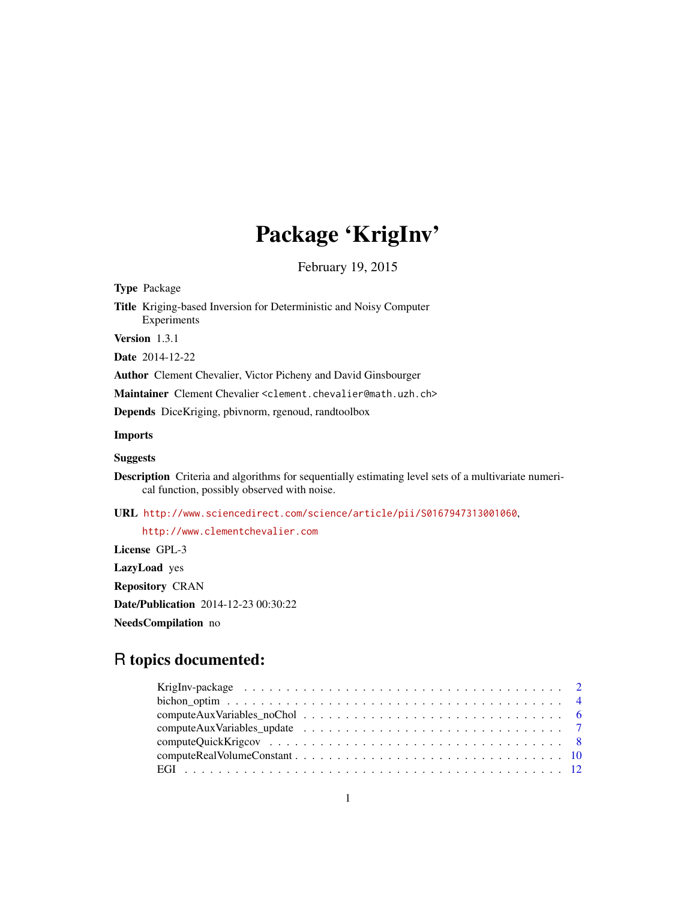# Package 'KrigInv'

February 19, 2015

<span id="page-0-0"></span>

| <b>Type Package</b>                                                                                                                                        |
|------------------------------------------------------------------------------------------------------------------------------------------------------------|
| <b>Title</b> Kriging-based Inversion for Deterministic and Noisy Computer<br>Experiments                                                                   |
| <b>Version</b> $1.3.1$                                                                                                                                     |
| <b>Date</b> 2014-12-22                                                                                                                                     |
| <b>Author</b> Clement Chevalier, Victor Picheny and David Ginsbourger                                                                                      |
| Maintainer Clement Chevalier < clement.chevalier@math.uzh.ch>                                                                                              |
| Depends DiceKriging, pbivnorm, rgenoud, randtoolbox                                                                                                        |
| <b>Imports</b>                                                                                                                                             |
| <b>Suggests</b>                                                                                                                                            |
| <b>Description</b> Criteria and algorithms for sequentially estimating level sets of a multivariate numeri-<br>cal function, possibly observed with noise. |
| URL http://www.sciencedirect.com/science/article/pii/S0167947313001060,                                                                                    |
| http://www.clementchevalier.com                                                                                                                            |
| License GPL-3                                                                                                                                              |
| <b>LazyLoad</b> yes                                                                                                                                        |

Repository CRAN Date/Publication 2014-12-23 00:30:22

NeedsCompilation no

## R topics documented: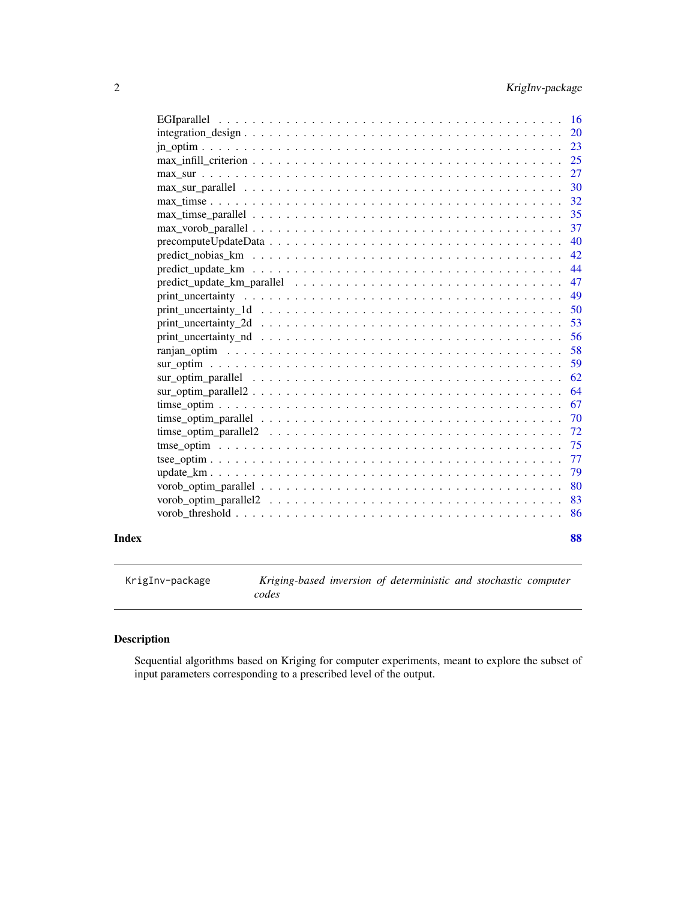<span id="page-1-0"></span>

| Index |                                                                                                                   | 88       |
|-------|-------------------------------------------------------------------------------------------------------------------|----------|
|       |                                                                                                                   | 86       |
|       |                                                                                                                   | 83       |
|       |                                                                                                                   | 80       |
|       |                                                                                                                   | 79       |
|       |                                                                                                                   | 77       |
|       |                                                                                                                   | 75       |
|       |                                                                                                                   | 72       |
|       |                                                                                                                   | 70       |
|       |                                                                                                                   | 67       |
|       | sur optim parallel $\dots \dots \dots \dots \dots \dots \dots \dots \dots \dots \dots \dots \dots \dots \dots$    | 62<br>64 |
|       |                                                                                                                   | 59       |
|       |                                                                                                                   | 58       |
|       |                                                                                                                   | 56       |
|       | $print\_uncertainty_2d \dots \dots \dots \dots \dots \dots \dots \dots \dots \dots \dots \dots \dots \dots \dots$ | 53       |
|       | $print\_uncertainty\_1d \dots \dots \dots \dots \dots \dots \dots \dots \dots \dots \dots \dots \dots \dots$      | 50       |
|       |                                                                                                                   | 49       |
|       |                                                                                                                   | 47       |
|       | $predict\_update\_km \dots \dots \dots \dots \dots \dots \dots \dots \dots \dots \dots \dots \dots \dots$         | 44       |
|       |                                                                                                                   | 42       |
|       | $precomputeUpdateData \dots \dots \dots \dots \dots \dots \dots \dots \dots \dots \dots \dots \dots$              | 40       |
|       |                                                                                                                   | 37       |
|       |                                                                                                                   | 35       |
|       |                                                                                                                   | 32       |
|       |                                                                                                                   | 30       |
|       |                                                                                                                   | 27       |
|       |                                                                                                                   | 25       |
|       |                                                                                                                   | 23       |
|       |                                                                                                                   | 20       |
|       |                                                                                                                   |          |

KrigInv-package *Kriging-based inversion of deterministic and stochastic computer codes*

## Description

Sequential algorithms based on Kriging for computer experiments, meant to explore the subset of input parameters corresponding to a prescribed level of the output.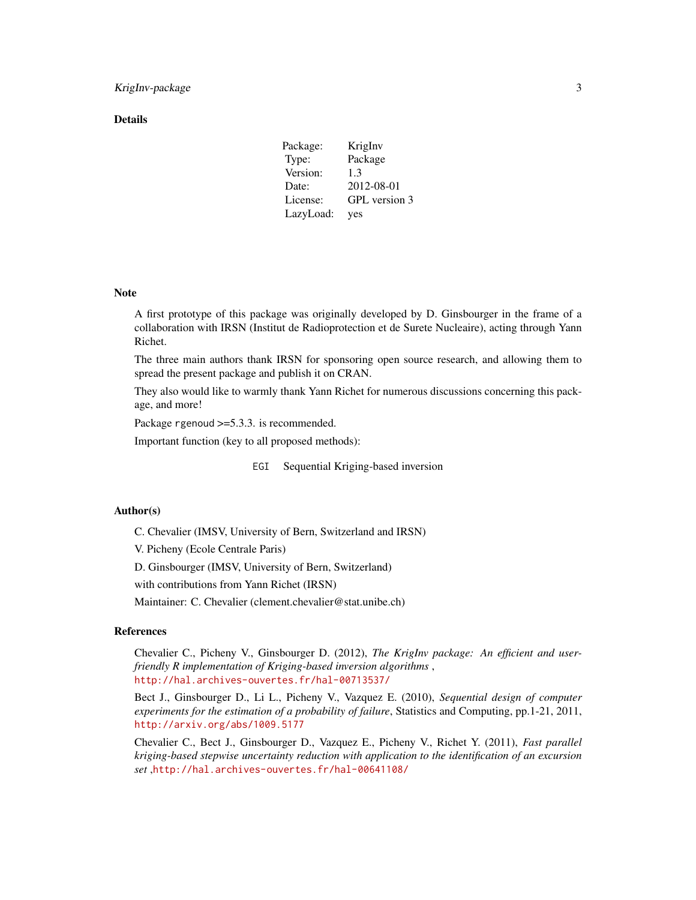### **Details**

| Package:  | KrigInv       |
|-----------|---------------|
| Type:     | Package       |
| Version:  | 1.3           |
| Date:     | 2012-08-01    |
| License:  | GPL version 3 |
| LazyLoad: | yes           |

#### Note

A first prototype of this package was originally developed by D. Ginsbourger in the frame of a collaboration with IRSN (Institut de Radioprotection et de Surete Nucleaire), acting through Yann Richet.

The three main authors thank IRSN for sponsoring open source research, and allowing them to spread the present package and publish it on CRAN.

They also would like to warmly thank Yann Richet for numerous discussions concerning this package, and more!

Package rgenoud >=5.3.3. is recommended.

Important function (key to all proposed methods):

EGI Sequential Kriging-based inversion

### Author(s)

C. Chevalier (IMSV, University of Bern, Switzerland and IRSN)

V. Picheny (Ecole Centrale Paris)

D. Ginsbourger (IMSV, University of Bern, Switzerland)

with contributions from Yann Richet (IRSN)

Maintainer: C. Chevalier (clement.chevalier@stat.unibe.ch)

### References

Chevalier C., Picheny V., Ginsbourger D. (2012), *The KrigInv package: An efficient and userfriendly R implementation of Kriging-based inversion algorithms* , <http://hal.archives-ouvertes.fr/hal-00713537/>

Bect J., Ginsbourger D., Li L., Picheny V., Vazquez E. (2010), *Sequential design of computer experiments for the estimation of a probability of failure*, Statistics and Computing, pp.1-21, 2011, <http://arxiv.org/abs/1009.5177>

Chevalier C., Bect J., Ginsbourger D., Vazquez E., Picheny V., Richet Y. (2011), *Fast parallel kriging-based stepwise uncertainty reduction with application to the identification of an excursion set* ,<http://hal.archives-ouvertes.fr/hal-00641108/>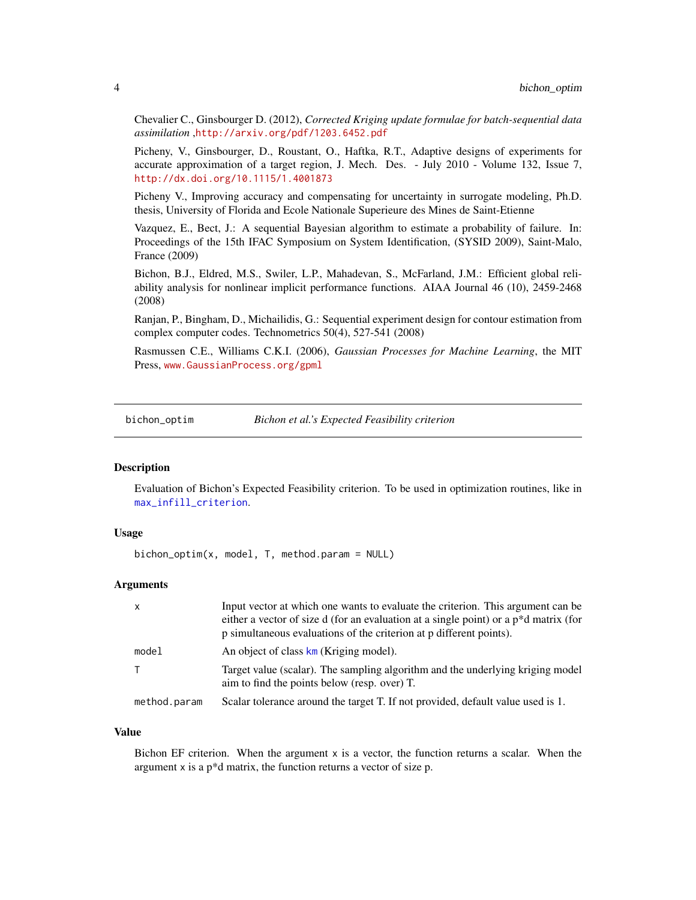Chevalier C., Ginsbourger D. (2012), *Corrected Kriging update formulae for batch-sequential data assimilation* ,<http://arxiv.org/pdf/1203.6452.pdf>

Picheny, V., Ginsbourger, D., Roustant, O., Haftka, R.T., Adaptive designs of experiments for accurate approximation of a target region, J. Mech. Des. - July 2010 - Volume 132, Issue 7, <http://dx.doi.org/10.1115/1.4001873>

Picheny V., Improving accuracy and compensating for uncertainty in surrogate modeling, Ph.D. thesis, University of Florida and Ecole Nationale Superieure des Mines de Saint-Etienne

Vazquez, E., Bect, J.: A sequential Bayesian algorithm to estimate a probability of failure. In: Proceedings of the 15th IFAC Symposium on System Identification, (SYSID 2009), Saint-Malo, France (2009)

Bichon, B.J., Eldred, M.S., Swiler, L.P., Mahadevan, S., McFarland, J.M.: Efficient global reliability analysis for nonlinear implicit performance functions. AIAA Journal 46 (10), 2459-2468 (2008)

Ranjan, P., Bingham, D., Michailidis, G.: Sequential experiment design for contour estimation from complex computer codes. Technometrics 50(4), 527-541 (2008)

Rasmussen C.E., Williams C.K.I. (2006), *Gaussian Processes for Machine Learning*, the MIT Press, <www.GaussianProcess.org/gpml>

<span id="page-3-1"></span>bichon\_optim *Bichon et al.'s Expected Feasibility criterion*

### Description

Evaluation of Bichon's Expected Feasibility criterion. To be used in optimization routines, like in [max\\_infill\\_criterion](#page-24-1).

### Usage

bichon\_optim(x, model, T, method.param = NULL)

### Arguments

| $\mathsf{x}$ | Input vector at which one wants to evaluate the criterion. This argument can be<br>either a vector of size d (for an evaluation at a single point) or a p <sup>*</sup> d matrix (for<br>p simultaneous evaluations of the criterion at p different points). |
|--------------|-------------------------------------------------------------------------------------------------------------------------------------------------------------------------------------------------------------------------------------------------------------|
| model        | An object of class km (Kriging model).                                                                                                                                                                                                                      |
|              | Target value (scalar). The sampling algorithm and the underlying kriging model<br>aim to find the points below (resp. over) T.                                                                                                                              |
| method.param | Scalar tolerance around the target T. If not provided, default value used is 1.                                                                                                                                                                             |

### Value

Bichon EF criterion. When the argument  $x$  is a vector, the function returns a scalar. When the argument x is a p\*d matrix, the function returns a vector of size p.

<span id="page-3-0"></span>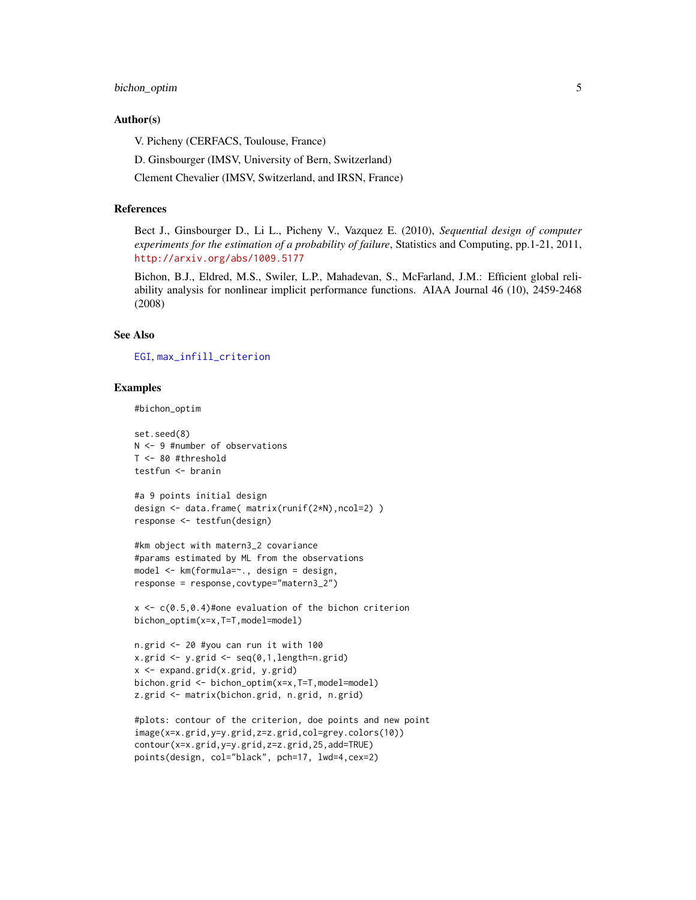### bichon\_optim 5

### Author(s)

V. Picheny (CERFACS, Toulouse, France)

D. Ginsbourger (IMSV, University of Bern, Switzerland)

Clement Chevalier (IMSV, Switzerland, and IRSN, France)

#### References

Bect J., Ginsbourger D., Li L., Picheny V., Vazquez E. (2010), *Sequential design of computer experiments for the estimation of a probability of failure*, Statistics and Computing, pp.1-21, 2011, <http://arxiv.org/abs/1009.5177>

Bichon, B.J., Eldred, M.S., Swiler, L.P., Mahadevan, S., McFarland, J.M.: Efficient global reliability analysis for nonlinear implicit performance functions. AIAA Journal 46 (10), 2459-2468 (2008)

### See Also

[EGI](#page-11-1), [max\\_infill\\_criterion](#page-24-1)

### Examples

```
#bichon_optim
```

```
set.seed(8)
N <- 9 #number of observations
T <- 80 #threshold
testfun <- branin
```

```
#a 9 points initial design
design <- data.frame( matrix(runif(2*N),ncol=2) )
response <- testfun(design)
```

```
#km object with matern3_2 covariance
#params estimated by ML from the observations
model <- km(formula=~., design = design,
response = response,covtype="matern3_2")
```

```
x \leq c(0.5, 0.4)#one evaluation of the bichon criterion
bichon_optim(x=x,T=T,model=model)
```

```
n.grid <- 20 #you can run it with 100
x.grid <- y.grid <- seq(0,1,length=n.grid)
x <- expand.grid(x.grid, y.grid)
bichon.grid <- bichon_optim(x=x,T=T,model=model)
z.grid <- matrix(bichon.grid, n.grid, n.grid)
```

```
#plots: contour of the criterion, doe points and new point
image(x=x.grid,y=y.grid,z=z.grid,col=grey.colors(10))
contour(x=x.grid,y=y.grid,z=z.grid,25,add=TRUE)
points(design, col="black", pch=17, lwd=4,cex=2)
```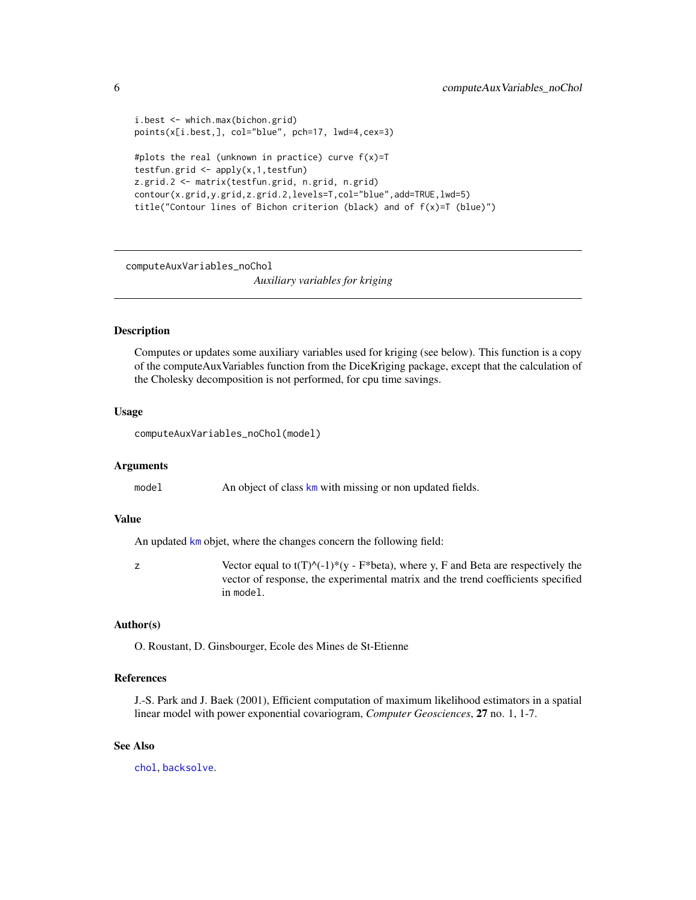```
i.best <- which.max(bichon.grid)
points(x[i.best,], col="blue", pch=17, lwd=4,cex=3)
#plots the real (unknown in practice) curve f(x)=Ttestfun.grid \leq apply(x, 1, \text{testfun})z.grid.2 <- matrix(testfun.grid, n.grid, n.grid)
contour(x.grid,y.grid,z.grid.2,levels=T,col="blue",add=TRUE,lwd=5)
title("Contour lines of Bichon criterion (black) and of f(x)=T (blue)")
```
computeAuxVariables\_noChol

*Auxiliary variables for kriging*

### **Description**

Computes or updates some auxiliary variables used for kriging (see below). This function is a copy of the computeAuxVariables function from the DiceKriging package, except that the calculation of the Cholesky decomposition is not performed, for cpu time savings.

### Usage

computeAuxVariables\_noChol(model)

#### Arguments

model An object of class [km](#page-0-0) with missing or non updated fields.

### Value

An updated [km](#page-0-0) objet, where the changes concern the following field:

z Vector equal to t(T) $\binom{N-1}{y}$  - F\*beta), where y, F and Beta are respectively the vector of response, the experimental matrix and the trend coefficients specified in model.

### Author(s)

O. Roustant, D. Ginsbourger, Ecole des Mines de St-Etienne

### References

J.-S. Park and J. Baek (2001), Efficient computation of maximum likelihood estimators in a spatial linear model with power exponential covariogram, *Computer Geosciences*, 27 no. 1, 1-7.

### See Also

[chol](#page-0-0), [backsolve](#page-0-0).

<span id="page-5-0"></span>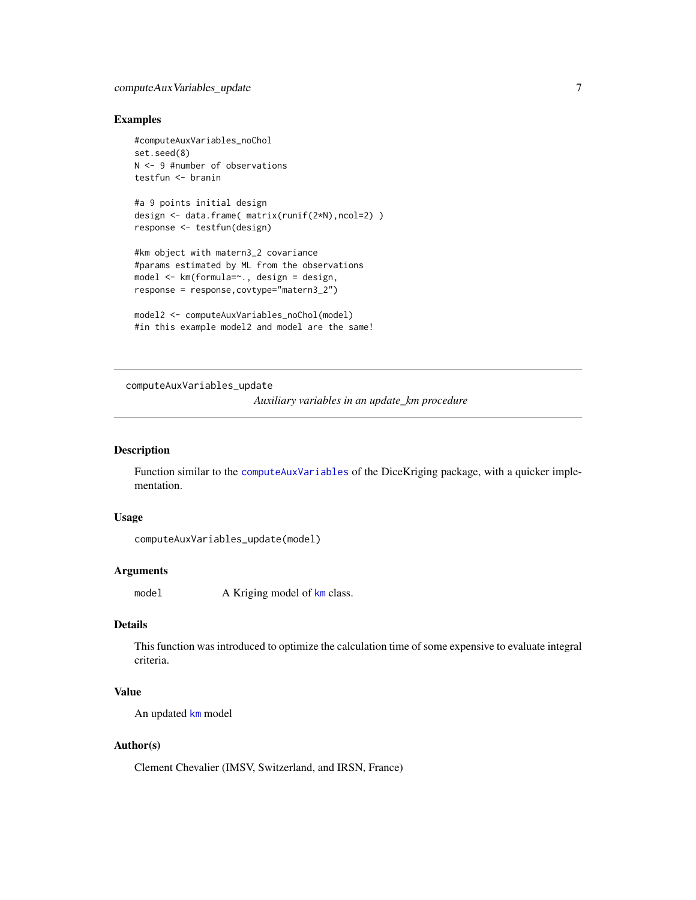### <span id="page-6-0"></span>Examples

```
#computeAuxVariables_noChol
set.seed(8)
N <- 9 #number of observations
testfun <- branin
```

```
#a 9 points initial design
design <- data.frame( matrix(runif(2*N),ncol=2) )
response <- testfun(design)
```

```
#km object with matern3_2 covariance
#params estimated by ML from the observations
model <- km(formula=~., design = design,
response = response,covtype="matern3_2")
```

```
model2 <- computeAuxVariables_noChol(model)
#in this example model2 and model are the same!
```
computeAuxVariables\_update

*Auxiliary variables in an update\_km procedure*

### Description

Function similar to the [computeAuxVariables](#page-0-0) of the DiceKriging package, with a quicker implementation.

#### Usage

```
computeAuxVariables_update(model)
```
#### Arguments

model A Kriging model of [km](#page-0-0) class.

### Details

This function was introduced to optimize the calculation time of some expensive to evaluate integral criteria.

### Value

An updated [km](#page-0-0) model

### Author(s)

Clement Chevalier (IMSV, Switzerland, and IRSN, France)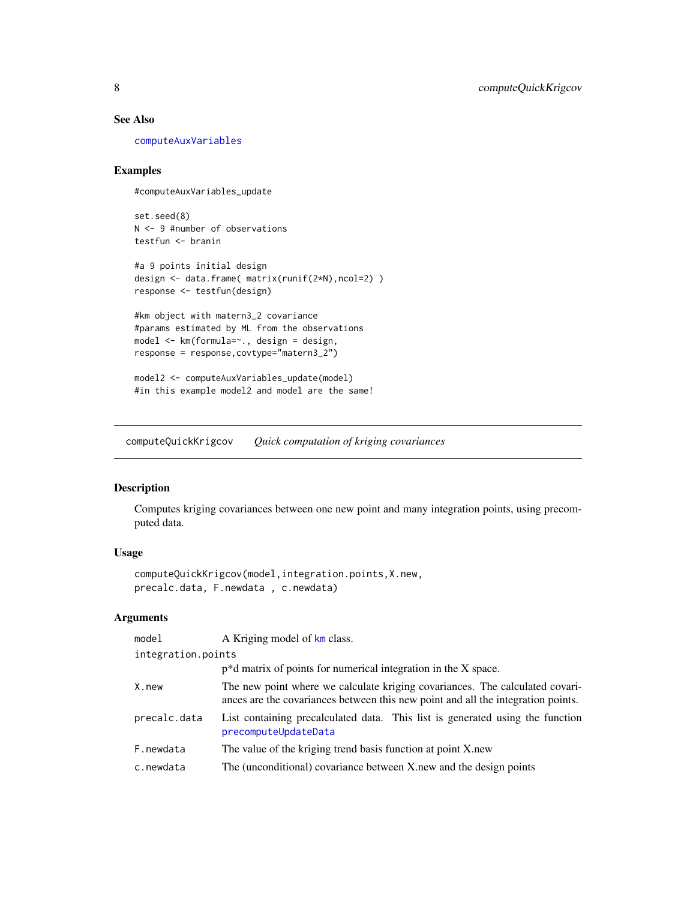### <span id="page-7-0"></span>See Also

[computeAuxVariables](#page-0-0)

### Examples

#computeAuxVariables\_update

set.seed(8) N <- 9 #number of observations testfun <- branin

```
#a 9 points initial design
design <- data.frame( matrix(runif(2*N),ncol=2) )
response <- testfun(design)
```
#km object with matern3\_2 covariance #params estimated by ML from the observations model <- km(formula=~., design = design, response = response,covtype="matern3\_2")

model2 <- computeAuxVariables\_update(model) #in this example model2 and model are the same!

computeQuickKrigcov *Quick computation of kriging covariances*

### Description

Computes kriging covariances between one new point and many integration points, using precomputed data.

### Usage

```
computeQuickKrigcov(model,integration.points,X.new,
precalc.data, F.newdata , c.newdata)
```
### Arguments

| model              | A Kriging model of km class.                                                                                                                                     |
|--------------------|------------------------------------------------------------------------------------------------------------------------------------------------------------------|
| integration.points |                                                                                                                                                                  |
|                    | $p^*d$ matrix of points for numerical integration in the X space.                                                                                                |
| X.new              | The new point where we calculate kriging covariances. The calculated covari-<br>ances are the covariances between this new point and all the integration points. |
| precalc.data       | List containing precalculated data. This list is generated using the function<br>precomputeUpdateData                                                            |
| F.newdata          | The value of the kriging trend basis function at point X, new                                                                                                    |
| c.newdata          | The (unconditional) covariance between X, new and the design points                                                                                              |
|                    |                                                                                                                                                                  |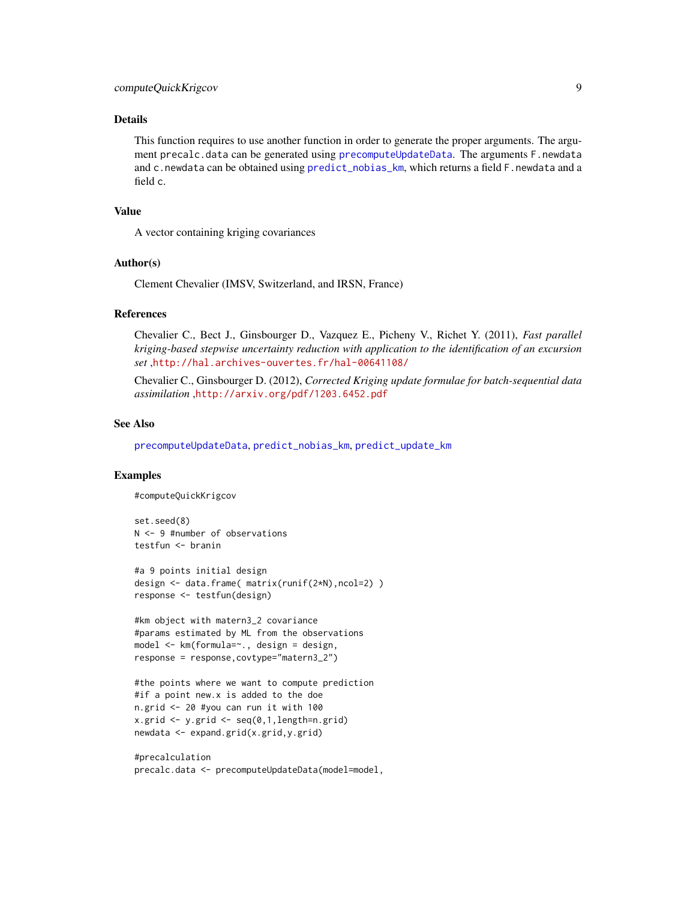### Details

This function requires to use another function in order to generate the proper arguments. The argument precalc.data can be generated using [precomputeUpdateData](#page-39-1). The arguments F.newdata and c.newdata can be obtained using [predict\\_nobias\\_km](#page-41-1), which returns a field F.newdata and a field c.

### Value

A vector containing kriging covariances

#### Author(s)

Clement Chevalier (IMSV, Switzerland, and IRSN, France)

#### References

Chevalier C., Bect J., Ginsbourger D., Vazquez E., Picheny V., Richet Y. (2011), *Fast parallel kriging-based stepwise uncertainty reduction with application to the identification of an excursion set* ,<http://hal.archives-ouvertes.fr/hal-00641108/>

Chevalier C., Ginsbourger D. (2012), *Corrected Kriging update formulae for batch-sequential data assimilation* ,<http://arxiv.org/pdf/1203.6452.pdf>

### See Also

[precomputeUpdateData](#page-39-1), [predict\\_nobias\\_km](#page-41-1), [predict\\_update\\_km](#page-43-1)

### Examples

#computeQuickKrigcov

set.seed(8) N <- 9 #number of observations testfun <- branin

#a 9 points initial design design <- data.frame( matrix(runif(2\*N),ncol=2) ) response <- testfun(design)

#km object with matern3\_2 covariance #params estimated by ML from the observations model <- km(formula=~., design = design, response = response,covtype="matern3\_2")

#the points where we want to compute prediction #if a point new.x is added to the doe n.grid <- 20 #you can run it with 100 x.grid <- y.grid <- seq(0,1,length=n.grid) newdata <- expand.grid(x.grid,y.grid)

#precalculation precalc.data <- precomputeUpdateData(model=model,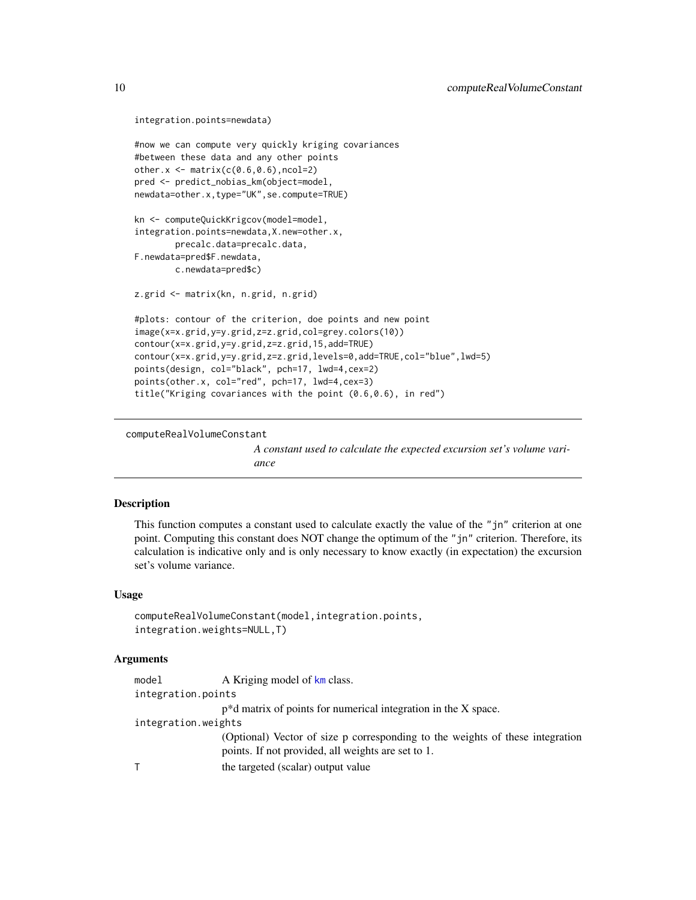```
integration.points=newdata)
#now we can compute very quickly kriging covariances
#between these data and any other points
other.x \leftarrow \text{matrix}(c(0.6, 0.6), ncol=2)pred <- predict_nobias_km(object=model,
newdata=other.x,type="UK",se.compute=TRUE)
kn <- computeQuickKrigcov(model=model,
integration.points=newdata,X.new=other.x,
        precalc.data=precalc.data,
F.newdata=pred$F.newdata,
        c.newdata=pred$c)
z.grid <- matrix(kn, n.grid, n.grid)
#plots: contour of the criterion, doe points and new point
image(x=x.grid,y=y.grid,z=z.grid,col=grey.colors(10))
contour(x=x.grid,y=y.grid,z=z.grid,15,add=TRUE)
contour(x=x.grid,y=y.grid,z=z.grid,levels=0,add=TRUE,col="blue",lwd=5)
points(design, col="black", pch=17, lwd=4,cex=2)
points(other.x, col="red", pch=17, lwd=4,cex=3)
title("Kriging covariances with the point (0.6,0.6), in red")
```
computeRealVolumeConstant

*A constant used to calculate the expected excursion set's volume variance*

### Description

This function computes a constant used to calculate exactly the value of the "jn" criterion at one point. Computing this constant does NOT change the optimum of the "jn" criterion. Therefore, its calculation is indicative only and is only necessary to know exactly (in expectation) the excursion set's volume variance.

### Usage

```
computeRealVolumeConstant(model,integration.points,
integration.weights=NULL,T)
```
### **Arguments**

| model               | A Kriging model of km class.                                                  |
|---------------------|-------------------------------------------------------------------------------|
| integration.points  |                                                                               |
|                     | $p^*d$ matrix of points for numerical integration in the X space.             |
| integration.weights |                                                                               |
|                     | (Optional) Vector of size p corresponding to the weights of these integration |
|                     | points. If not provided, all weights are set to 1.                            |
|                     | the targeted (scalar) output value                                            |

<span id="page-9-0"></span>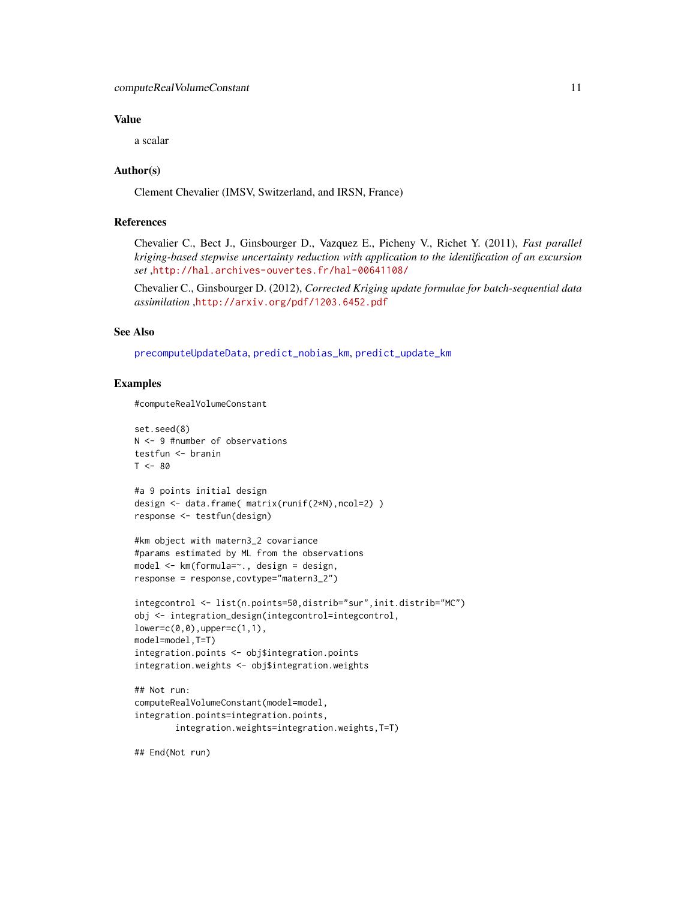### Value

a scalar

### Author(s)

Clement Chevalier (IMSV, Switzerland, and IRSN, France)

### References

Chevalier C., Bect J., Ginsbourger D., Vazquez E., Picheny V., Richet Y. (2011), *Fast parallel kriging-based stepwise uncertainty reduction with application to the identification of an excursion set* ,<http://hal.archives-ouvertes.fr/hal-00641108/>

Chevalier C., Ginsbourger D. (2012), *Corrected Kriging update formulae for batch-sequential data assimilation* ,<http://arxiv.org/pdf/1203.6452.pdf>

### See Also

[precomputeUpdateData](#page-39-1), [predict\\_nobias\\_km](#page-41-1), [predict\\_update\\_km](#page-43-1)

### Examples

#computeRealVolumeConstant

```
set.seed(8)
N <- 9 #number of observations
testfun <- branin
T < - 80#a 9 points initial design
design <- data.frame( matrix(runif(2*N),ncol=2) )
response <- testfun(design)
#km object with matern3_2 covariance
#params estimated by ML from the observations
model <- km(formula=~., design = design,
response = response,covtype="matern3_2")
```

```
integcontrol <- list(n.points=50,distrib="sur",init.distrib="MC")
obj <- integration_design(integcontrol=integcontrol,
lower=c(0,0),upper=c(1,1),
model=model,T=T)
integration.points <- obj$integration.points
integration.weights <- obj$integration.weights
```

```
## Not run:
computeRealVolumeConstant(model=model,
integration.points=integration.points,
        integration.weights=integration.weights,T=T)
```
## End(Not run)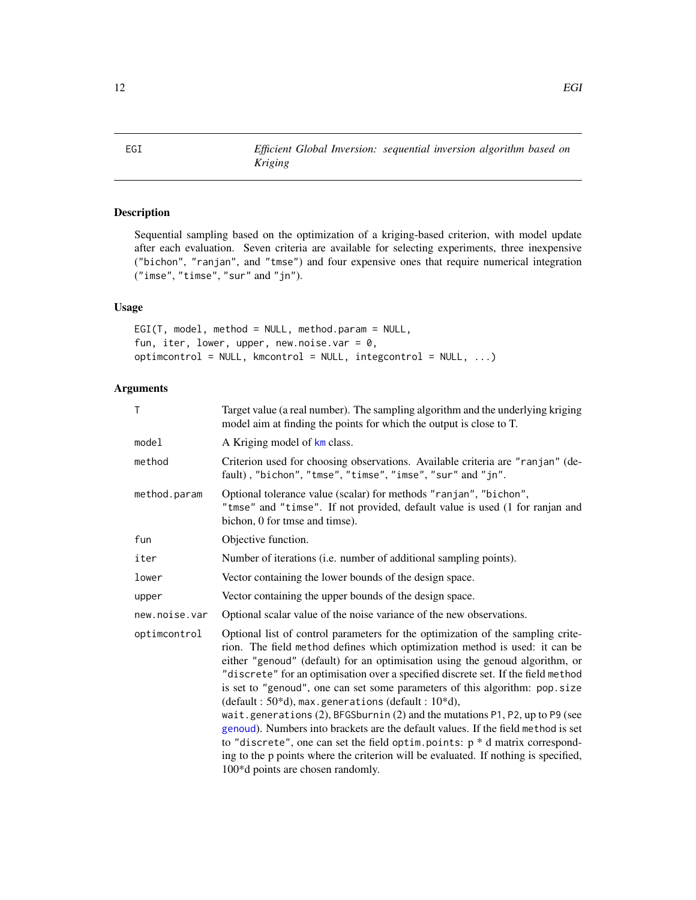<span id="page-11-1"></span><span id="page-11-0"></span>EGI *Efficient Global Inversion: sequential inversion algorithm based on Kriging*

### Description

Sequential sampling based on the optimization of a kriging-based criterion, with model update after each evaluation. Seven criteria are available for selecting experiments, three inexpensive ("bichon", "ranjan", and "tmse") and four expensive ones that require numerical integration ("imse", "timse", "sur" and "jn").

### Usage

EGI(T, model, method = NULL, method.param = NULL, fun, iter, lower, upper, new.noise.var =  $0$ , optimcontrol = NULL, kmcontrol = NULL, integcontrol = NULL, ...)

### Arguments

| T             | Target value (a real number). The sampling algorithm and the underlying kriging<br>model aim at finding the points for which the output is close to T.                                                                                                                                                                                                                                                                                                                                                                                                                                                                                                                                                                                                                                                                                                                |
|---------------|-----------------------------------------------------------------------------------------------------------------------------------------------------------------------------------------------------------------------------------------------------------------------------------------------------------------------------------------------------------------------------------------------------------------------------------------------------------------------------------------------------------------------------------------------------------------------------------------------------------------------------------------------------------------------------------------------------------------------------------------------------------------------------------------------------------------------------------------------------------------------|
| model         | A Kriging model of km class.                                                                                                                                                                                                                                                                                                                                                                                                                                                                                                                                                                                                                                                                                                                                                                                                                                          |
| method        | Criterion used for choosing observations. Available criteria are "ranjan" (de-<br>fault), "bichon", "tmse", "timse", "imse", "sur" and "jn".                                                                                                                                                                                                                                                                                                                                                                                                                                                                                                                                                                                                                                                                                                                          |
| method.param  | Optional tolerance value (scalar) for methods "ranjan", "bichon",<br>"tmse" and "timse". If not provided, default value is used (1 for ranjan and<br>bichon, 0 for tmse and timse).                                                                                                                                                                                                                                                                                                                                                                                                                                                                                                                                                                                                                                                                                   |
| fun           | Objective function.                                                                                                                                                                                                                                                                                                                                                                                                                                                                                                                                                                                                                                                                                                                                                                                                                                                   |
| iter          | Number of iterations (i.e. number of additional sampling points).                                                                                                                                                                                                                                                                                                                                                                                                                                                                                                                                                                                                                                                                                                                                                                                                     |
| lower         | Vector containing the lower bounds of the design space.                                                                                                                                                                                                                                                                                                                                                                                                                                                                                                                                                                                                                                                                                                                                                                                                               |
| upper         | Vector containing the upper bounds of the design space.                                                                                                                                                                                                                                                                                                                                                                                                                                                                                                                                                                                                                                                                                                                                                                                                               |
| new.noise.var | Optional scalar value of the noise variance of the new observations.                                                                                                                                                                                                                                                                                                                                                                                                                                                                                                                                                                                                                                                                                                                                                                                                  |
| optimcontrol  | Optional list of control parameters for the optimization of the sampling crite-<br>rion. The field method defines which optimization method is used: it can be<br>either "genoud" (default) for an optimisation using the genoud algorithm, or<br>"discrete" for an optimisation over a specified discrete set. If the field method<br>is set to "genoud", one can set some parameters of this algorithm: pop.size<br>(default: $50*d$ ), max.generations (default: $10*d$ ),<br>wait.generations $(2)$ , BFGSburnin $(2)$ and the mutations P1, P2, up to P9 (see<br>genoud). Numbers into brackets are the default values. If the field method is set<br>to "discrete", one can set the field optim. points: $p * d$ matrix correspond-<br>ing to the p points where the criterion will be evaluated. If nothing is specified,<br>100*d points are chosen randomly. |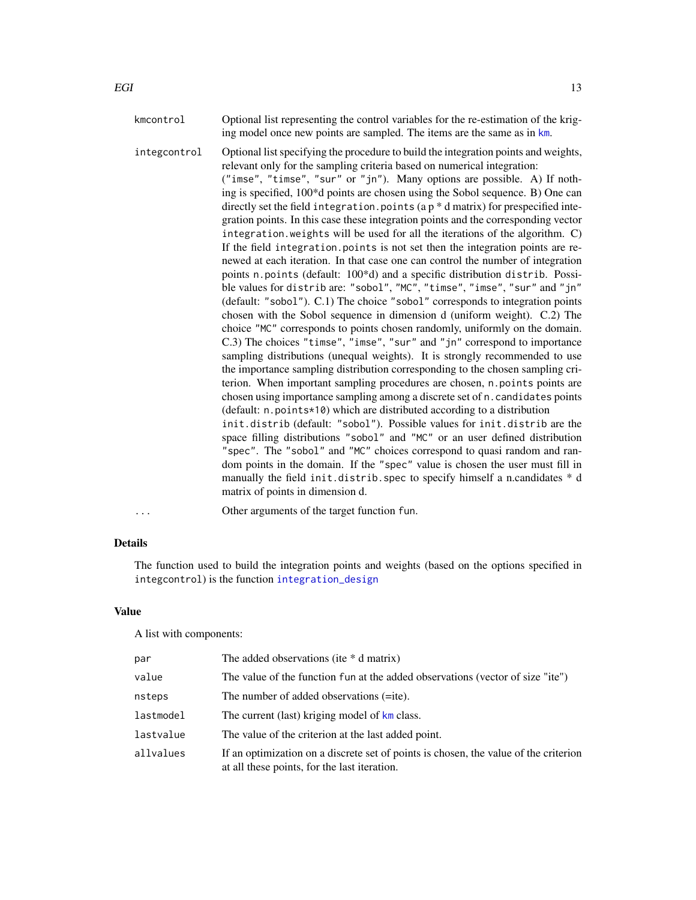kmcontrol Optional list representing the control variables for the re-estimation of the kriging model once new points are sampled. The items are the same as in [km](#page-0-0).

integcontrol Optional list specifying the procedure to build the integration points and weights, relevant only for the sampling criteria based on numerical integration: ("imse", "timse", "sur" or "jn"). Many options are possible. A) If nothing is specified, 100\*d points are chosen using the Sobol sequence. B) One can directly set the field integration.points (a  $p * d$  matrix) for prespecified integration points. In this case these integration points and the corresponding vector integration.weights will be used for all the iterations of the algorithm. C) If the field integration.points is not set then the integration points are renewed at each iteration. In that case one can control the number of integration points n.points (default: 100\*d) and a specific distribution distrib. Possible values for distrib are: "sobol", "MC", "timse", "imse", "sur" and "jn" (default: "sobol"). C.1) The choice "sobol" corresponds to integration points chosen with the Sobol sequence in dimension d (uniform weight). C.2) The choice "MC" corresponds to points chosen randomly, uniformly on the domain. C.3) The choices "timse", "imse", "sur" and "jn" correspond to importance sampling distributions (unequal weights). It is strongly recommended to use the importance sampling distribution corresponding to the chosen sampling criterion. When important sampling procedures are chosen, n.points points are chosen using importance sampling among a discrete set of n.candidates points (default: n.points\*10) which are distributed according to a distribution init.distrib (default: "sobol"). Possible values for init.distrib are the space filling distributions "sobol" and "MC" or an user defined distribution "spec". The "sobol" and "MC" choices correspond to quasi random and random points in the domain. If the "spec" value is chosen the user must fill in manually the field init.distrib.spec to specify himself a n.candidates \* d matrix of points in dimension d.

Other arguments of the target function fun.

### Details

The function used to build the integration points and weights (based on the options specified in integcontrol) is the function [integration\\_design](#page-19-1)

#### Value

A list with components:

| par       | The added observations (ite $*$ d matrix)                                                                                            |
|-----------|--------------------------------------------------------------------------------------------------------------------------------------|
| value     | The value of the function fun at the added observations (vector of size "ite")                                                       |
| nsteps    | The number of added observations (=ite).                                                                                             |
| lastmodel | The current (last) kriging model of km class.                                                                                        |
| lastvalue | The value of the criterion at the last added point.                                                                                  |
| allvalues | If an optimization on a discrete set of points is chosen, the value of the criterion<br>at all these points, for the last iteration. |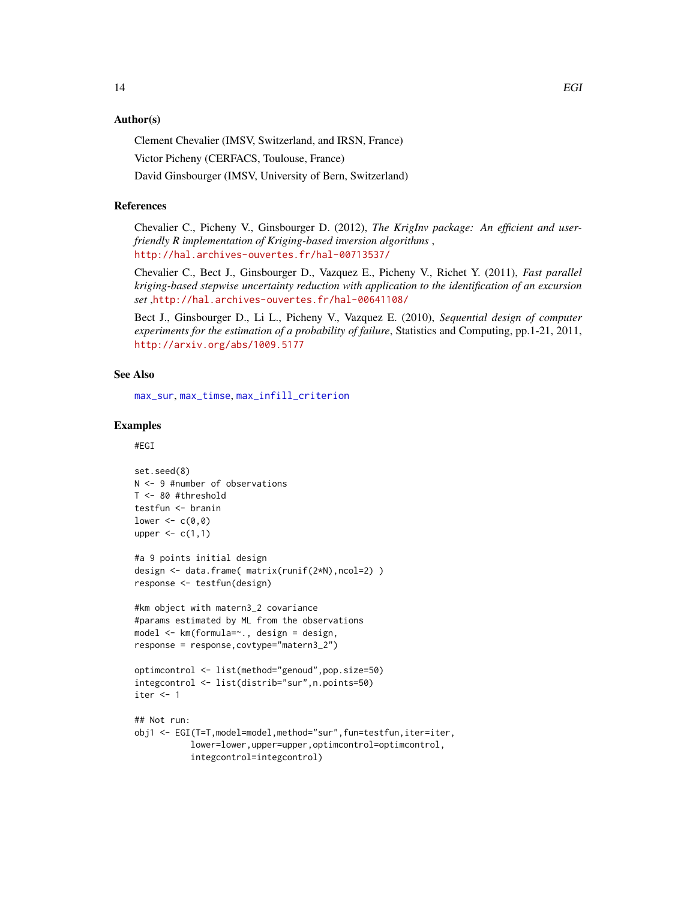### Author(s)

Clement Chevalier (IMSV, Switzerland, and IRSN, France)

Victor Picheny (CERFACS, Toulouse, France)

David Ginsbourger (IMSV, University of Bern, Switzerland)

### References

Chevalier C., Picheny V., Ginsbourger D. (2012), *The KrigInv package: An efficient and userfriendly R implementation of Kriging-based inversion algorithms* , <http://hal.archives-ouvertes.fr/hal-00713537/>

Chevalier C., Bect J., Ginsbourger D., Vazquez E., Picheny V., Richet Y. (2011), *Fast parallel kriging-based stepwise uncertainty reduction with application to the identification of an excursion set* ,<http://hal.archives-ouvertes.fr/hal-00641108/>

Bect J., Ginsbourger D., Li L., Picheny V., Vazquez E. (2010), *Sequential design of computer experiments for the estimation of a probability of failure*, Statistics and Computing, pp.1-21, 2011, <http://arxiv.org/abs/1009.5177>

### See Also

[max\\_sur](#page-26-1), [max\\_timse](#page-31-1), [max\\_infill\\_criterion](#page-24-1)

#### Examples

#EGI

```
set.seed(8)
N <- 9 #number of observations
T <- 80 #threshold
testfun <- branin
lower \leq c(0,0)upper \leq c(1,1)#a 9 points initial design
design <- data.frame( matrix(runif(2*N),ncol=2) )
response <- testfun(design)
#km object with matern3_2 covariance
#params estimated by ML from the observations
model <- km(formula=~., design = design,
response = response,covtype="matern3_2")
optimcontrol <- list(method="genoud",pop.size=50)
integcontrol <- list(distrib="sur",n.points=50)
iter <- 1
## Not run:
obj1 <- EGI(T=T,model=model,method="sur",fun=testfun,iter=iter,
           lower=lower,upper=upper,optimcontrol=optimcontrol,
           integcontrol=integcontrol)
```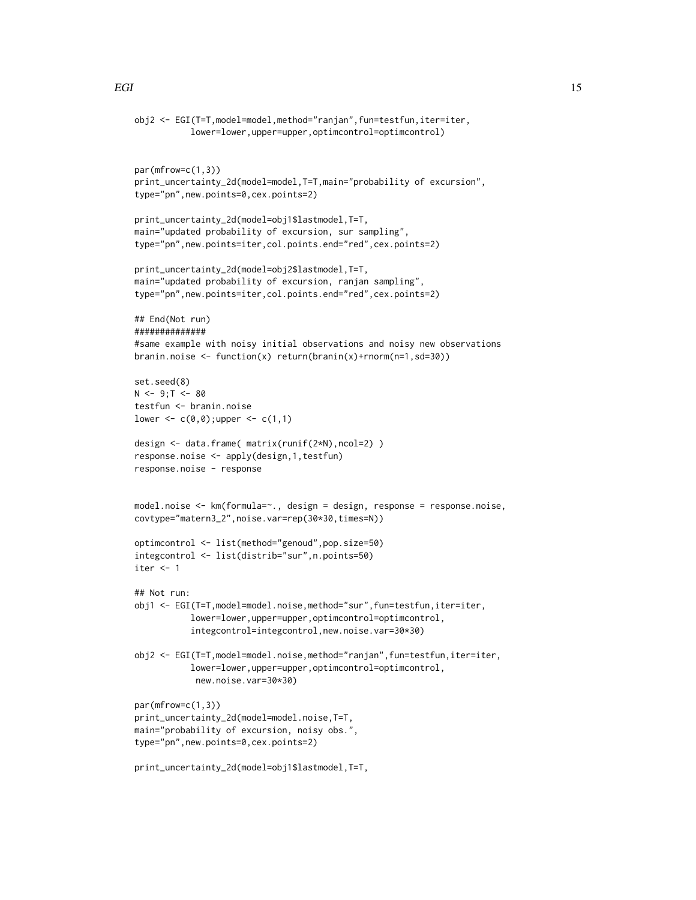```
obj2 <- EGI(T=T,model=model,method="ranjan",fun=testfun,iter=iter,
           lower=lower,upper=upper,optimcontrol=optimcontrol)
par(mfrow=c(1,3))
print_uncertainty_2d(model=model,T=T,main="probability of excursion",
type="pn",new.points=0,cex.points=2)
print_uncertainty_2d(model=obj1$lastmodel,T=T,
main="updated probability of excursion, sur sampling",
type="pn",new.points=iter,col.points.end="red",cex.points=2)
print_uncertainty_2d(model=obj2$lastmodel,T=T,
main="updated probability of excursion, ranjan sampling",
type="pn",new.points=iter,col.points.end="red",cex.points=2)
## End(Not run)
##############
#same example with noisy initial observations and noisy new observations
branin.noise <- function(x) return(branin(x)+rnorm(n=1,sd=30))
set.seed(8)
N < -9; T < -80testfun <- branin.noise
lower <- c(0,0); upper <- c(1,1)design <- data.frame( matrix(runif(2*N),ncol=2) )
response.noise <- apply(design,1,testfun)
response.noise - response
model.noise <- km(formula=~., design = design, response = response.noise,
covtype="matern3_2",noise.var=rep(30*30,times=N))
optimcontrol <- list(method="genoud",pop.size=50)
integcontrol <- list(distrib="sur",n.points=50)
iter \leq -1## Not run:
obj1 <- EGI(T=T,model=model.noise,method="sur",fun=testfun,iter=iter,
           lower=lower,upper=upper,optimcontrol=optimcontrol,
           integcontrol=integcontrol,new.noise.var=30*30)
obj2 <- EGI(T=T,model=model.noise,method="ranjan",fun=testfun,iter=iter,
           lower=lower,upper=upper,optimcontrol=optimcontrol,
            new.noise.var=30*30)
par(mfrow=c(1,3))
print_uncertainty_2d(model=model.noise,T=T,
main="probability of excursion, noisy obs.",
type="pn",new.points=0,cex.points=2)
```

```
print_uncertainty_2d(model=obj1$lastmodel,T=T,
```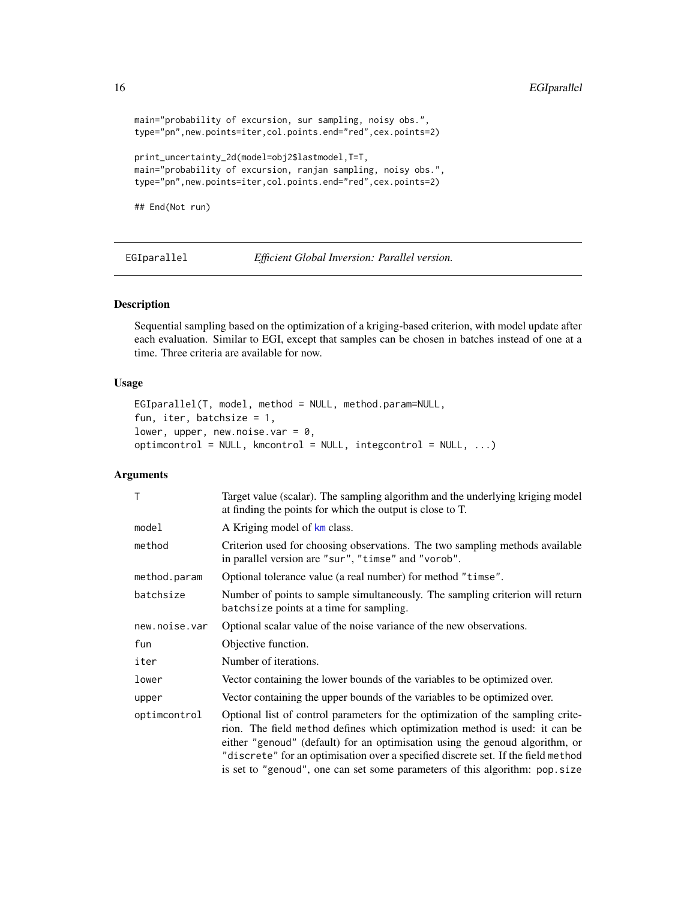```
main="probability of excursion, sur sampling, noisy obs.",
type="pn",new.points=iter,col.points.end="red",cex.points=2)
print_uncertainty_2d(model=obj2$lastmodel,T=T,
main="probability of excursion, ranjan sampling, noisy obs.",
type="pn",new.points=iter,col.points.end="red",cex.points=2)
```
## End(Not run)

<span id="page-15-1"></span>EGIparallel *Efficient Global Inversion: Parallel version.*

#### Description

Sequential sampling based on the optimization of a kriging-based criterion, with model update after each evaluation. Similar to EGI, except that samples can be chosen in batches instead of one at a time. Three criteria are available for now.

#### Usage

```
EGIparallel(T, model, method = NULL, method.param=NULL,
fun, iter, batchsize = 1,
lower, upper, new.noise.var = 0,
optimcontrol = NULL, kmcontrol = NULL, integcontrol = NULL, ...)
```
### Arguments

| T             | Target value (scalar). The sampling algorithm and the underlying kriging model<br>at finding the points for which the output is close to T.                                                                                                                                                                                                                                                                        |
|---------------|--------------------------------------------------------------------------------------------------------------------------------------------------------------------------------------------------------------------------------------------------------------------------------------------------------------------------------------------------------------------------------------------------------------------|
| model         | A Kriging model of km class.                                                                                                                                                                                                                                                                                                                                                                                       |
| method        | Criterion used for choosing observations. The two sampling methods available<br>in parallel version are "sur", "timse" and "vorob".                                                                                                                                                                                                                                                                                |
| method.param  | Optional tolerance value (a real number) for method "timse".                                                                                                                                                                                                                                                                                                                                                       |
| batchsize     | Number of points to sample simultaneously. The sampling criterion will return<br>batchsize points at a time for sampling.                                                                                                                                                                                                                                                                                          |
| new.noise.var | Optional scalar value of the noise variance of the new observations.                                                                                                                                                                                                                                                                                                                                               |
| fun           | Objective function.                                                                                                                                                                                                                                                                                                                                                                                                |
| iter          | Number of iterations.                                                                                                                                                                                                                                                                                                                                                                                              |
| lower         | Vector containing the lower bounds of the variables to be optimized over.                                                                                                                                                                                                                                                                                                                                          |
| upper         | Vector containing the upper bounds of the variables to be optimized over.                                                                                                                                                                                                                                                                                                                                          |
| optimcontrol  | Optional list of control parameters for the optimization of the sampling crite-<br>rion. The field method defines which optimization method is used: it can be<br>either "genoud" (default) for an optimisation using the genoud algorithm, or<br>"discrete" for an optimisation over a specified discrete set. If the field method<br>is set to "genoud", one can set some parameters of this algorithm: pop.size |

<span id="page-15-0"></span>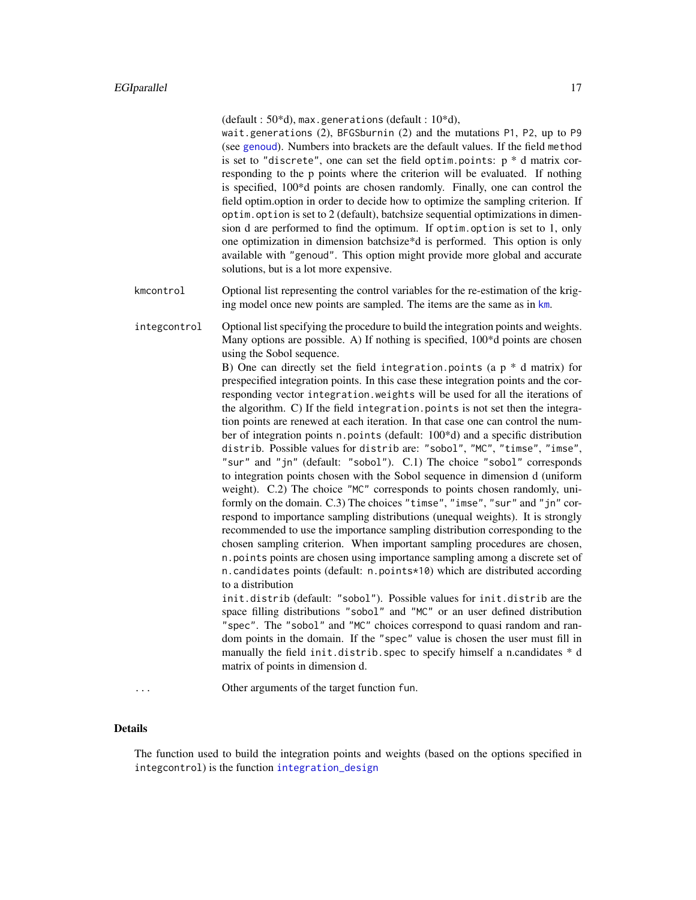(default :  $50*d$ ), max.generations (default :  $10*d$ ),

wait.generations (2), BFGSburnin (2) and the mutations P1, P2, up to P9 (see [genoud](#page-0-0)). Numbers into brackets are the default values. If the field method is set to "discrete", one can set the field optim.points:  $p * d$  matrix corresponding to the p points where the criterion will be evaluated. If nothing is specified, 100\*d points are chosen randomly. Finally, one can control the field optim.option in order to decide how to optimize the sampling criterion. If optim.option is set to 2 (default), batchsize sequential optimizations in dimension d are performed to find the optimum. If optim.option is set to 1, only one optimization in dimension batchsize\*d is performed. This option is only available with "genoud". This option might provide more global and accurate solutions, but is a lot more expensive.

kmcontrol Optional list representing the control variables for the re-estimation of the kriging model once new points are sampled. The items are the same as in [km](#page-0-0).

integcontrol Optional list specifying the procedure to build the integration points and weights. Many options are possible. A) If nothing is specified, 100\*d points are chosen using the Sobol sequence.

B) One can directly set the field integration.points (a  $p * d$  matrix) for prespecified integration points. In this case these integration points and the corresponding vector integration.weights will be used for all the iterations of the algorithm. C) If the field integration.points is not set then the integration points are renewed at each iteration. In that case one can control the number of integration points n.points (default: 100\*d) and a specific distribution distrib. Possible values for distrib are: "sobol", "MC", "timse", "imse", "sur" and "jn" (default: "sobol"). C.1) The choice "sobol" corresponds to integration points chosen with the Sobol sequence in dimension d (uniform weight). C.2) The choice "MC" corresponds to points chosen randomly, uniformly on the domain. C.3) The choices "timse", "imse", "sur" and "jn" correspond to importance sampling distributions (unequal weights). It is strongly recommended to use the importance sampling distribution corresponding to the chosen sampling criterion. When important sampling procedures are chosen, n.points points are chosen using importance sampling among a discrete set of n.candidates points (default: n.points\*10) which are distributed according to a distribution

init.distrib (default: "sobol"). Possible values for init.distrib are the space filling distributions "sobol" and "MC" or an user defined distribution "spec". The "sobol" and "MC" choices correspond to quasi random and random points in the domain. If the "spec" value is chosen the user must fill in manually the field init.distrib.spec to specify himself a n.candidates  $* d$ matrix of points in dimension d.

... Other arguments of the target function fun.

#### Details

The function used to build the integration points and weights (based on the options specified in integcontrol) is the function [integration\\_design](#page-19-1)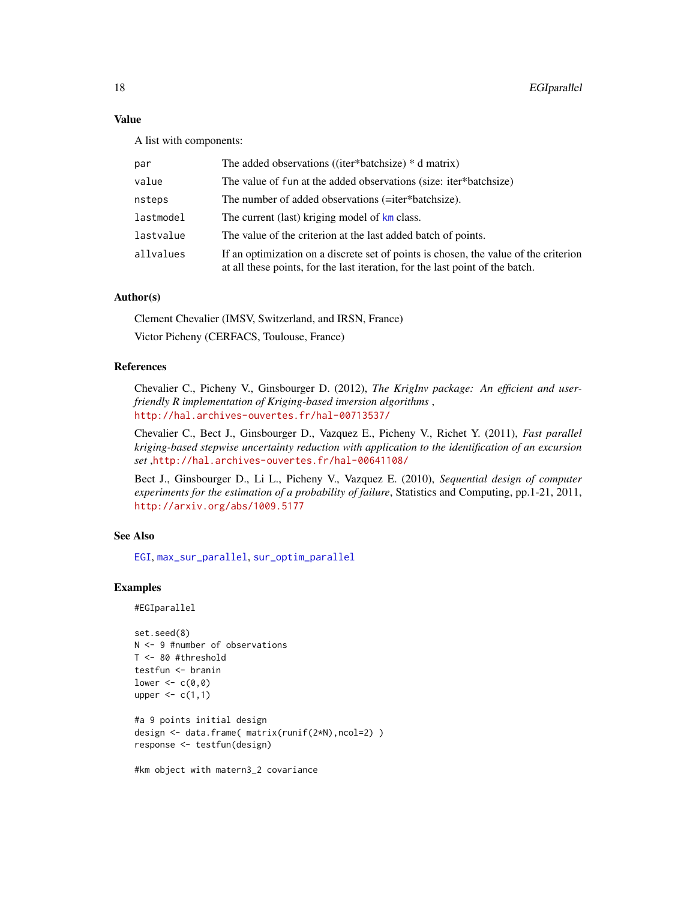### Value

A list with components:

| par       | The added observations ((iter*batchsize) * d matrix)                                                                                                                  |
|-----------|-----------------------------------------------------------------------------------------------------------------------------------------------------------------------|
| value     | The value of fun at the added observations (size: iter*batchsize)                                                                                                     |
| nsteps    | The number of added observations (=iter*batchsize).                                                                                                                   |
| lastmodel | The current (last) kriging model of km class.                                                                                                                         |
| lastvalue | The value of the criterion at the last added batch of points.                                                                                                         |
| allvalues | If an optimization on a discrete set of points is chosen, the value of the criterion<br>at all these points, for the last iteration, for the last point of the batch. |

### Author(s)

Clement Chevalier (IMSV, Switzerland, and IRSN, France) Victor Picheny (CERFACS, Toulouse, France)

### References

Chevalier C., Picheny V., Ginsbourger D. (2012), *The KrigInv package: An efficient and userfriendly R implementation of Kriging-based inversion algorithms* , <http://hal.archives-ouvertes.fr/hal-00713537/>

Chevalier C., Bect J., Ginsbourger D., Vazquez E., Picheny V., Richet Y. (2011), *Fast parallel kriging-based stepwise uncertainty reduction with application to the identification of an excursion set* ,<http://hal.archives-ouvertes.fr/hal-00641108/>

Bect J., Ginsbourger D., Li L., Picheny V., Vazquez E. (2010), *Sequential design of computer experiments for the estimation of a probability of failure*, Statistics and Computing, pp.1-21, 2011, <http://arxiv.org/abs/1009.5177>

### See Also

[EGI](#page-11-1), [max\\_sur\\_parallel](#page-29-1), [sur\\_optim\\_parallel](#page-61-1)

### Examples

```
#EGIparallel
```

```
set.seed(8)
N <- 9 #number of observations
T <- 80 #threshold
testfun <- branin
lower <-c(0,0)upper \leq c(1,1)#a 9 points initial design
design <- data.frame( matrix(runif(2*N),ncol=2) )
response <- testfun(design)
```
#km object with matern3\_2 covariance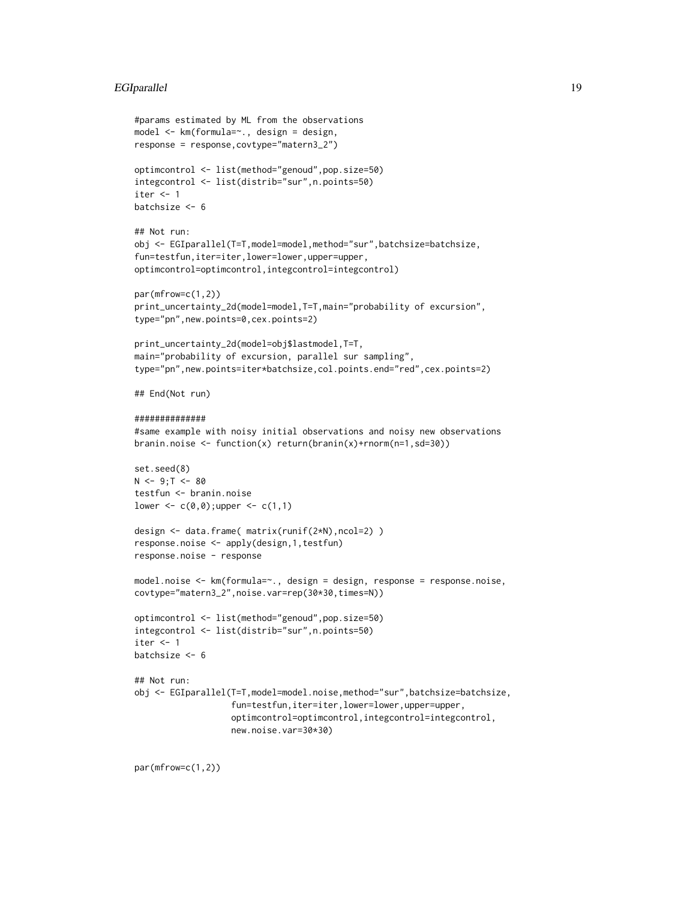### EGIparallel 19

```
#params estimated by ML from the observations
model <- km(formula=~., design = design,
response = response,covtype="matern3_2")
optimcontrol <- list(method="genoud",pop.size=50)
integcontrol <- list(distrib="sur",n.points=50)
iter < -1batchsize <- 6
## Not run:
obj <- EGIparallel(T=T,model=model,method="sur",batchsize=batchsize,
fun=testfun,iter=iter,lower=lower,upper=upper,
optimcontrol=optimcontrol,integcontrol=integcontrol)
par(mfrow=c(1,2))
print_uncertainty_2d(model=model,T=T,main="probability of excursion",
type="pn",new.points=0,cex.points=2)
print_uncertainty_2d(model=obj$lastmodel,T=T,
main="probability of excursion, parallel sur sampling",
type="pn",new.points=iter*batchsize,col.points.end="red",cex.points=2)
## End(Not run)
##############
#same example with noisy initial observations and noisy new observations
branin.noise <- function(x) return(branin(x)+rnorm(n=1,sd=30))
set.seed(8)
N < -9; T < -80testfun <- branin.noise
lower <- c(0,0); upper <- c(1,1)design <- data.frame( matrix(runif(2*N),ncol=2) )
response.noise <- apply(design,1,testfun)
response.noise - response
model.noise <- km(formula=~., design = design, response = response.noise,
covtype="matern3_2",noise.var=rep(30*30,times=N))
optimcontrol <- list(method="genoud",pop.size=50)
integcontrol <- list(distrib="sur",n.points=50)
iter <-1batchsize <- 6
## Not run:
obj <- EGIparallel(T=T,model=model.noise,method="sur",batchsize=batchsize,
                   fun=testfun,iter=iter,lower=lower,upper=upper,
                   optimcontrol=optimcontrol,integcontrol=integcontrol,
                   new.noise.var=30*30)
```
par(mfrow=c(1,2))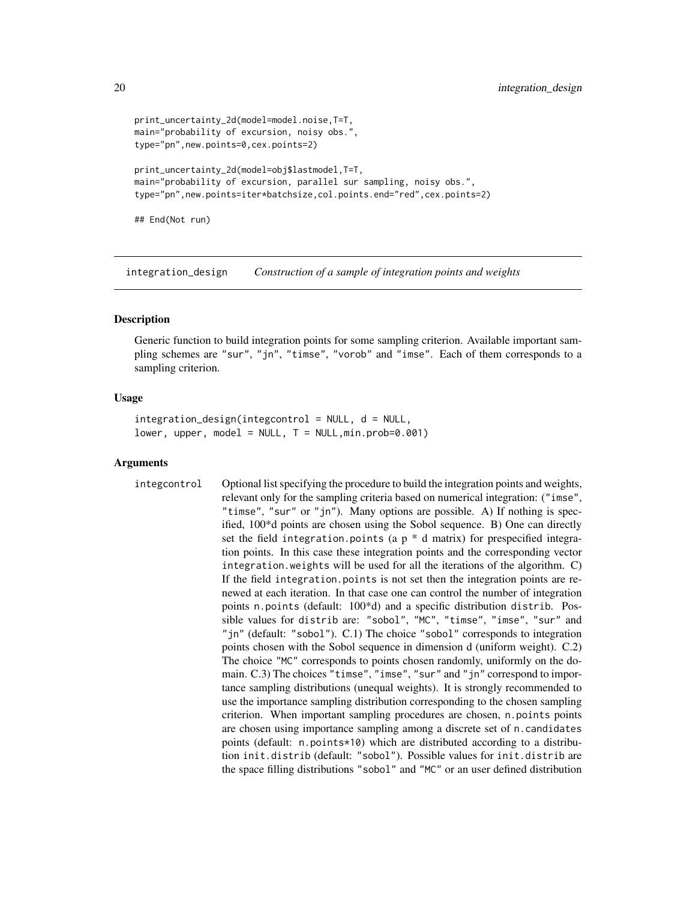```
print_uncertainty_2d(model=model.noise,T=T,
main="probability of excursion, noisy obs.",
type="pn",new.points=0,cex.points=2)
print_uncertainty_2d(model=obj$lastmodel,T=T,
main="probability of excursion, parallel sur sampling, noisy obs.",
type="pn",new.points=iter*batchsize,col.points.end="red",cex.points=2)
```
## End(Not run)

<span id="page-19-1"></span>integration\_design *Construction of a sample of integration points and weights*

### **Description**

Generic function to build integration points for some sampling criterion. Available important sampling schemes are "sur", "jn", "timse", "vorob" and "imse". Each of them corresponds to a sampling criterion.

### Usage

```
integration_design(integcontrol = NULL, d = NULL,
lower, upper, model = NULL, T = NULL, min.prob=0.001)
```
#### Arguments

integcontrol Optional list specifying the procedure to build the integration points and weights, relevant only for the sampling criteria based on numerical integration: ("imse", "timse", "sur" or "jn"). Many options are possible. A) If nothing is specified, 100\*d points are chosen using the Sobol sequence. B) One can directly set the field integration.points (a  $p * d$  matrix) for prespecified integration points. In this case these integration points and the corresponding vector integration.weights will be used for all the iterations of the algorithm. C) If the field integration.points is not set then the integration points are renewed at each iteration. In that case one can control the number of integration points n.points (default: 100\*d) and a specific distribution distrib. Possible values for distrib are: "sobol", "MC", "timse", "imse", "sur" and "jn" (default: "sobol"). C.1) The choice "sobol" corresponds to integration points chosen with the Sobol sequence in dimension d (uniform weight). C.2) The choice "MC" corresponds to points chosen randomly, uniformly on the domain. C.3) The choices "timse", "imse", "sur" and "jn" correspond to importance sampling distributions (unequal weights). It is strongly recommended to use the importance sampling distribution corresponding to the chosen sampling criterion. When important sampling procedures are chosen, n.points points are chosen using importance sampling among a discrete set of n.candidates points (default: n.points\*10) which are distributed according to a distribution init.distrib (default: "sobol"). Possible values for init.distrib are the space filling distributions "sobol" and "MC" or an user defined distribution

<span id="page-19-0"></span>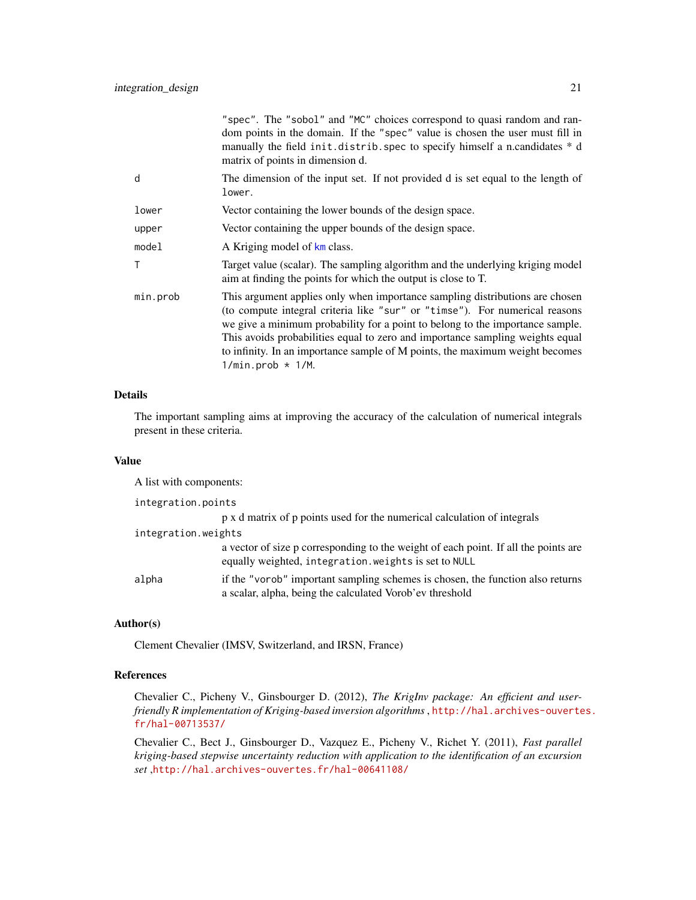|              | "spec". The "sobol" and "MC" choices correspond to quasi random and ran-<br>dom points in the domain. If the "spec" value is chosen the user must fill in<br>manually the field init.distrib.spec to specify himself a n.candidates * d<br>matrix of points in dimension d.                                                                                                                                                                              |
|--------------|----------------------------------------------------------------------------------------------------------------------------------------------------------------------------------------------------------------------------------------------------------------------------------------------------------------------------------------------------------------------------------------------------------------------------------------------------------|
| d            | The dimension of the input set. If not provided d is set equal to the length of<br>lower.                                                                                                                                                                                                                                                                                                                                                                |
| lower        | Vector containing the lower bounds of the design space.                                                                                                                                                                                                                                                                                                                                                                                                  |
| upper        | Vector containing the upper bounds of the design space.                                                                                                                                                                                                                                                                                                                                                                                                  |
| model        | A Kriging model of km class.                                                                                                                                                                                                                                                                                                                                                                                                                             |
| $\mathsf{T}$ | Target value (scalar). The sampling algorithm and the underlying kriging model<br>aim at finding the points for which the output is close to T.                                                                                                                                                                                                                                                                                                          |
| min.prob     | This argument applies only when importance sampling distributions are chosen<br>(to compute integral criteria like "sur" or "timse"). For numerical reasons<br>we give a minimum probability for a point to belong to the importance sample.<br>This avoids probabilities equal to zero and importance sampling weights equal<br>to infinity. In an importance sample of M points, the maximum weight becomes<br>$1/\text{min. prob} \times 1/\text{M.}$ |

### Details

The important sampling aims at improving the accuracy of the calculation of numerical integrals present in these criteria.

#### Value

| A list with components: |                                                                                                                                              |
|-------------------------|----------------------------------------------------------------------------------------------------------------------------------------------|
| integration.points      |                                                                                                                                              |
|                         | p x d matrix of p points used for the numerical calculation of integrals                                                                     |
| integration.weights     |                                                                                                                                              |
|                         | a vector of size p corresponding to the weight of each point. If all the points are<br>equally weighted, integration. weights is set to NULL |
| alpha                   | if the "vorob" important sampling schemes is chosen, the function also returns<br>a scalar, alpha, being the calculated Vorob'ev threshold   |

### Author(s)

Clement Chevalier (IMSV, Switzerland, and IRSN, France)

### References

Chevalier C., Picheny V., Ginsbourger D. (2012), *The KrigInv package: An efficient and userfriendly R implementation of Kriging-based inversion algorithms*, [http://hal.archives-ouverte](http://hal.archives-ouvertes.fr/hal-00713537/)s. [fr/hal-00713537/](http://hal.archives-ouvertes.fr/hal-00713537/)

Chevalier C., Bect J., Ginsbourger D., Vazquez E., Picheny V., Richet Y. (2011), *Fast parallel kriging-based stepwise uncertainty reduction with application to the identification of an excursion set* ,<http://hal.archives-ouvertes.fr/hal-00641108/>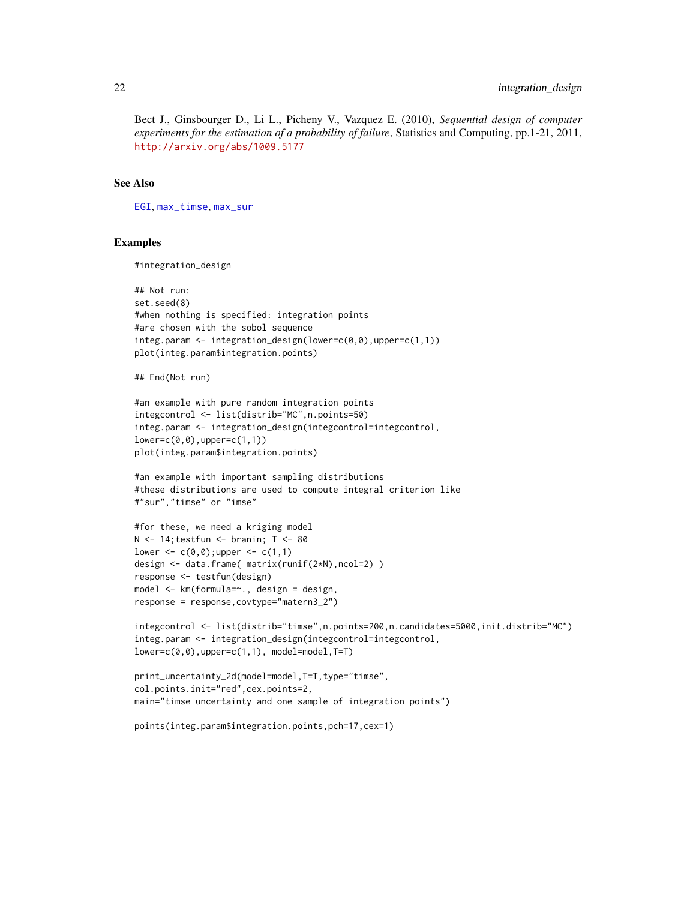Bect J., Ginsbourger D., Li L., Picheny V., Vazquez E. (2010), *Sequential design of computer experiments for the estimation of a probability of failure*, Statistics and Computing, pp.1-21, 2011, <http://arxiv.org/abs/1009.5177>

#### See Also

[EGI](#page-11-1), [max\\_timse](#page-31-1), [max\\_sur](#page-26-1)

#### Examples

#integration\_design

```
## Not run:
set.seed(8)
#when nothing is specified: integration points
#are chosen with the sobol sequence
integ.param <- integration_design(lower=c(0,0),upper=c(1,1))
plot(integ.param$integration.points)
```
## End(Not run)

```
#an example with pure random integration points
integcontrol <- list(distrib="MC",n.points=50)
integ.param <- integration_design(integcontrol=integcontrol,
lower=c(0,0),upper=c(1,1))
plot(integ.param$integration.points)
```

```
#an example with important sampling distributions
#these distributions are used to compute integral criterion like
#"sur","timse" or "imse"
```

```
#for these, we need a kriging model
N < -14; testfun < - branin; T < -80lower \leq c(0,0); upper \leq c(1,1)design <- data.frame( matrix(runif(2*N),ncol=2) )
response <- testfun(design)
model <- km(formula=~., design = design,
response = response,covtype="matern3_2")
```

```
integcontrol <- list(distrib="timse",n.points=200,n.candidates=5000,init.distrib="MC")
integ.param <- integration_design(integcontrol=integcontrol,
lower=c(0,0),upper=c(1,1), model=model,T=T)
```

```
print_uncertainty_2d(model=model,T=T,type="timse",
col.points.init="red",cex.points=2,
main="timse uncertainty and one sample of integration points")
```

```
points(integ.param$integration.points,pch=17,cex=1)
```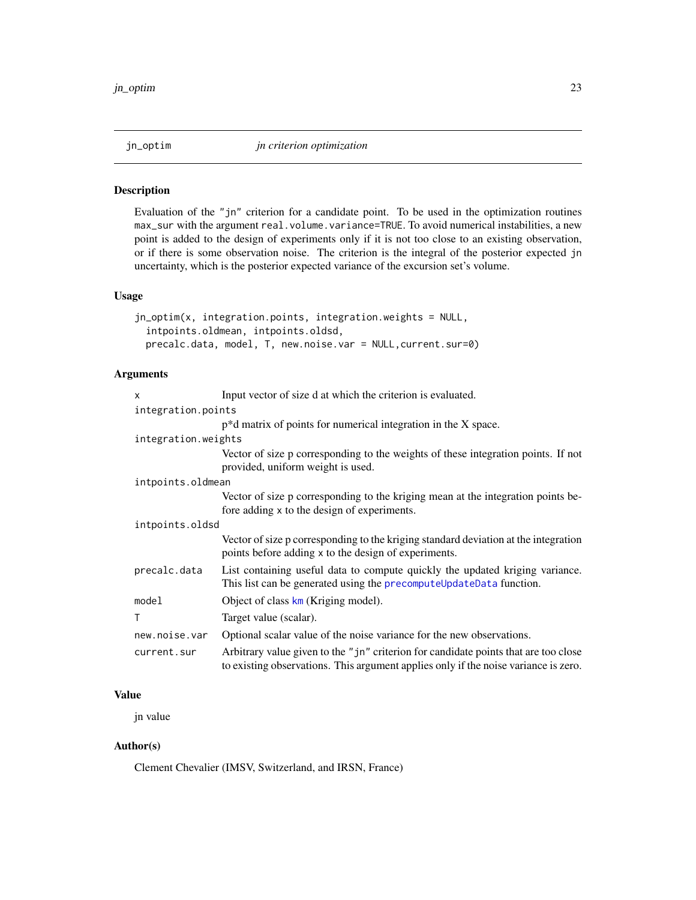<span id="page-22-0"></span>

#### Description

Evaluation of the "jn" criterion for a candidate point. To be used in the optimization routines max\_sur with the argument real.volume.variance=TRUE. To avoid numerical instabilities, a new point is added to the design of experiments only if it is not too close to an existing observation, or if there is some observation noise. The criterion is the integral of the posterior expected jn uncertainty, which is the posterior expected variance of the excursion set's volume.

### Usage

```
jn_optim(x, integration.points, integration.weights = NULL,
  intpoints.oldmean, intpoints.oldsd,
 precalc.data, model, T, new.noise.var = NULL,current.sur=0)
```
### Arguments

| X                                                                                                                                                                                         | Input vector of size d at which the criterion is evaluated.                                                                                         |  |  |  |  |  |
|-------------------------------------------------------------------------------------------------------------------------------------------------------------------------------------------|-----------------------------------------------------------------------------------------------------------------------------------------------------|--|--|--|--|--|
| integration.points                                                                                                                                                                        |                                                                                                                                                     |  |  |  |  |  |
|                                                                                                                                                                                           | $p^*d$ matrix of points for numerical integration in the X space.                                                                                   |  |  |  |  |  |
| integration.weights                                                                                                                                                                       |                                                                                                                                                     |  |  |  |  |  |
|                                                                                                                                                                                           | Vector of size p corresponding to the weights of these integration points. If not<br>provided, uniform weight is used.                              |  |  |  |  |  |
| intpoints.oldmean                                                                                                                                                                         |                                                                                                                                                     |  |  |  |  |  |
|                                                                                                                                                                                           | Vector of size p corresponding to the kriging mean at the integration points be-<br>fore adding x to the design of experiments.                     |  |  |  |  |  |
| intpoints.oldsd                                                                                                                                                                           |                                                                                                                                                     |  |  |  |  |  |
|                                                                                                                                                                                           | Vector of size p corresponding to the kriging standard deviation at the integration<br>points before adding x to the design of experiments.         |  |  |  |  |  |
| precalc.data                                                                                                                                                                              | List containing useful data to compute quickly the updated kriging variance.<br>This list can be generated using the precomputeUpdateData function. |  |  |  |  |  |
| model                                                                                                                                                                                     | Object of class $km$ (Kriging model).                                                                                                               |  |  |  |  |  |
| T                                                                                                                                                                                         | Target value (scalar).                                                                                                                              |  |  |  |  |  |
| new.noise.var                                                                                                                                                                             | Optional scalar value of the noise variance for the new observations.                                                                               |  |  |  |  |  |
| Arbitrary value given to the "jn" criterion for candidate points that are too close<br>current.sur<br>to existing observations. This argument applies only if the noise variance is zero. |                                                                                                                                                     |  |  |  |  |  |

### Value

jn value

### Author(s)

Clement Chevalier (IMSV, Switzerland, and IRSN, France)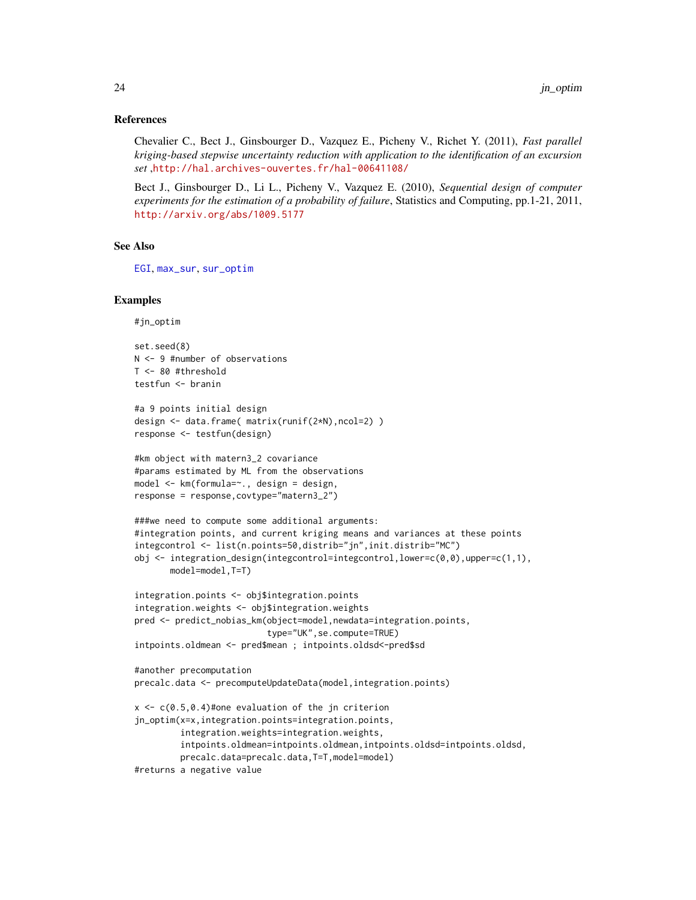#### References

Chevalier C., Bect J., Ginsbourger D., Vazquez E., Picheny V., Richet Y. (2011), *Fast parallel kriging-based stepwise uncertainty reduction with application to the identification of an excursion set* ,<http://hal.archives-ouvertes.fr/hal-00641108/>

Bect J., Ginsbourger D., Li L., Picheny V., Vazquez E. (2010), *Sequential design of computer experiments for the estimation of a probability of failure*, Statistics and Computing, pp.1-21, 2011, <http://arxiv.org/abs/1009.5177>

#### See Also

[EGI](#page-11-1), [max\\_sur](#page-26-1), [sur\\_optim](#page-58-1)

#### Examples

#jn\_optim

```
set.seed(8)
N <- 9 #number of observations
T <- 80 #threshold
testfun <- branin
#a 9 points initial design
design <- data.frame( matrix(runif(2*N),ncol=2) )
response <- testfun(design)
#km object with matern3_2 covariance
#params estimated by ML from the observations
model <- km(formula=~., design = design,
response = response,covtype="matern3_2")
###we need to compute some additional arguments:
#integration points, and current kriging means and variances at these points
integcontrol <- list(n.points=50,distrib="jn",init.distrib="MC")
obj \leq integration_design(integcontrol=integcontrol,lower=c(0,0),upper=c(1,1),
      model=model,T=T)
integration.points <- obj$integration.points
```

```
integration.weights <- obj$integration.weights
pred <- predict_nobias_km(object=model,newdata=integration.points,
                          type="UK",se.compute=TRUE)
intpoints.oldmean <- pred$mean ; intpoints.oldsd<-pred$sd
```

```
#another precomputation
precalc.data <- precomputeUpdateData(model,integration.points)
x \leq c(0.5, 0.4)#one evaluation of the jn criterion
jn_optim(x=x,integration.points=integration.points,
         integration.weights=integration.weights,
         intpoints.oldmean=intpoints.oldmean,intpoints.oldsd=intpoints.oldsd,
        precalc.data=precalc.data,T=T,model=model)
```

```
#returns a negative value
```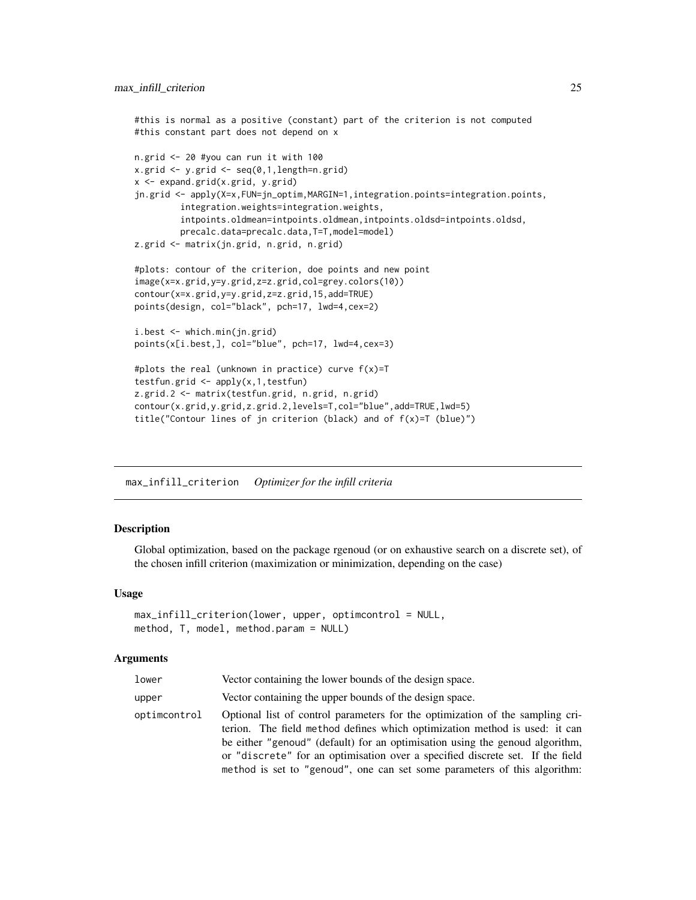```
#this is normal as a positive (constant) part of the criterion is not computed
#this constant part does not depend on x
n.grid <- 20 #you can run it with 100
x.getid \leftarrow y.getid \leftarrow seq(0,1, length=n.grid)x <- expand.grid(x.grid, y.grid)
jn.grid <- apply(X=x,FUN=jn_optim,MARGIN=1,integration.points=integration.points,
         integration.weights=integration.weights,
         intpoints.oldmean=intpoints.oldmean,intpoints.oldsd=intpoints.oldsd,
         precalc.data=precalc.data,T=T,model=model)
z.grid <- matrix(jn.grid, n.grid, n.grid)
#plots: contour of the criterion, doe points and new point
image(x=x.grid,y=y.grid,z=z.grid,col=grey.colors(10))
contour(x=x.grid,y=y.grid,z=z.grid,15,add=TRUE)
points(design, col="black", pch=17, lwd=4,cex=2)
i.best <- which.min(jn.grid)
points(x[i.best,], col="blue", pch=17, lwd=4,cex=3)
#plots the real (unknown in practice) curve f(x)=Ttestfun.grid \leq apply(x, 1, \text{testfun})z.grid.2 <- matrix(testfun.grid, n.grid, n.grid)
contour(x.grid,y.grid,z.grid.2,levels=T,col="blue",add=TRUE,lwd=5)
title("Contour lines of jn criterion (black) and of f(x)=T (blue)")
```
<span id="page-24-1"></span>max\_infill\_criterion *Optimizer for the infill criteria*

#### Description

Global optimization, based on the package rgenoud (or on exhaustive search on a discrete set), of the chosen infill criterion (maximization or minimization, depending on the case)

### Usage

```
max_infill_criterion(lower, upper, optimcontrol = NULL,
method, T, model, method.param = NULL)
```
#### Arguments

| lower        | Vector containing the lower bounds of the design space.                                                                                                                                                                                                                                                                                                                                                   |
|--------------|-----------------------------------------------------------------------------------------------------------------------------------------------------------------------------------------------------------------------------------------------------------------------------------------------------------------------------------------------------------------------------------------------------------|
| upper        | Vector containing the upper bounds of the design space.                                                                                                                                                                                                                                                                                                                                                   |
| optimcontrol | Optional list of control parameters for the optimization of the sampling cri-<br>terion. The field method defines which optimization method is used: it can<br>be either "genoud" (default) for an optimisation using the genoud algorithm,<br>or "discrete" for an optimisation over a specified discrete set. If the field<br>method is set to "genoud", one can set some parameters of this algorithm: |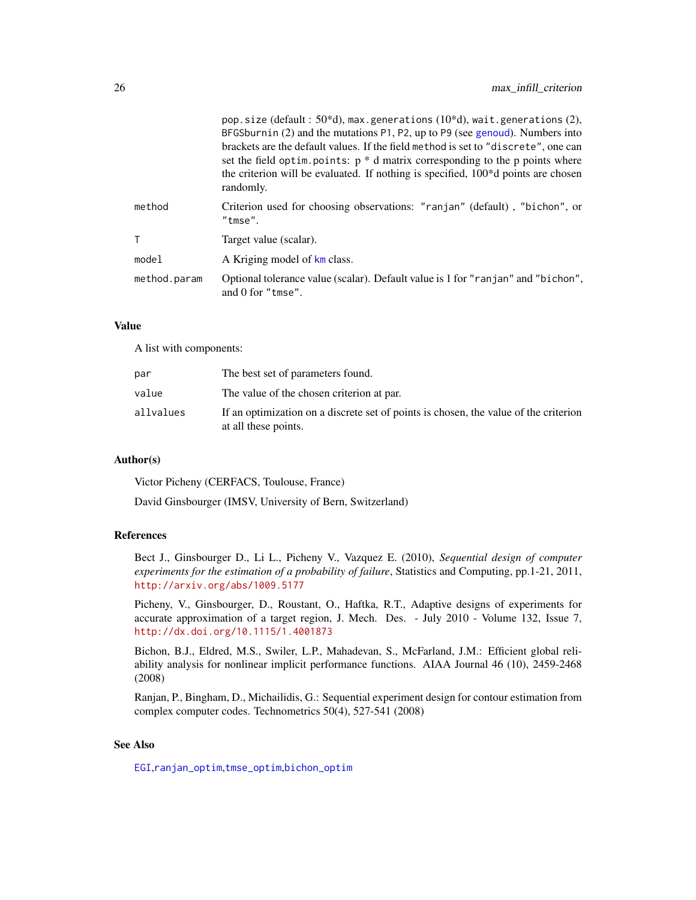|              | pop.size (default: $50*d$ ), max.generations (10*d), wait.generations (2),<br>BFGSburnin (2) and the mutations P1, P2, up to P9 (see genoud). Numbers into<br>brackets are the default values. If the field method is set to "discrete", one can<br>set the field optim. points: $p * d$ matrix corresponding to the p points where<br>the criterion will be evaluated. If nothing is specified, 100 <sup>*</sup> d points are chosen<br>randomly. |
|--------------|----------------------------------------------------------------------------------------------------------------------------------------------------------------------------------------------------------------------------------------------------------------------------------------------------------------------------------------------------------------------------------------------------------------------------------------------------|
| method       | Criterion used for choosing observations: "ranjan" (default), "bichon", or<br>"tmse".                                                                                                                                                                                                                                                                                                                                                              |
|              | Target value (scalar).                                                                                                                                                                                                                                                                                                                                                                                                                             |
| model        | A Kriging model of km class.                                                                                                                                                                                                                                                                                                                                                                                                                       |
| method.param | Optional tolerance value (scalar). Default value is 1 for "ranjan" and "bichon",<br>and $0$ for "tmse".                                                                                                                                                                                                                                                                                                                                            |

### Value

A list with components:

| par       | The best set of parameters found.                                                                            |
|-----------|--------------------------------------------------------------------------------------------------------------|
| value     | The value of the chosen criterion at par.                                                                    |
| allvalues | If an optimization on a discrete set of points is chosen, the value of the criterion<br>at all these points. |

### Author(s)

Victor Picheny (CERFACS, Toulouse, France)

David Ginsbourger (IMSV, University of Bern, Switzerland)

### References

Bect J., Ginsbourger D., Li L., Picheny V., Vazquez E. (2010), *Sequential design of computer experiments for the estimation of a probability of failure*, Statistics and Computing, pp.1-21, 2011, <http://arxiv.org/abs/1009.5177>

Picheny, V., Ginsbourger, D., Roustant, O., Haftka, R.T., Adaptive designs of experiments for accurate approximation of a target region, J. Mech. Des. - July 2010 - Volume 132, Issue 7, <http://dx.doi.org/10.1115/1.4001873>

Bichon, B.J., Eldred, M.S., Swiler, L.P., Mahadevan, S., McFarland, J.M.: Efficient global reliability analysis for nonlinear implicit performance functions. AIAA Journal 46 (10), 2459-2468 (2008)

Ranjan, P., Bingham, D., Michailidis, G.: Sequential experiment design for contour estimation from complex computer codes. Technometrics 50(4), 527-541 (2008)

### See Also

[EGI](#page-11-1),[ranjan\\_optim](#page-57-1),[tmse\\_optim](#page-74-1),[bichon\\_optim](#page-3-1)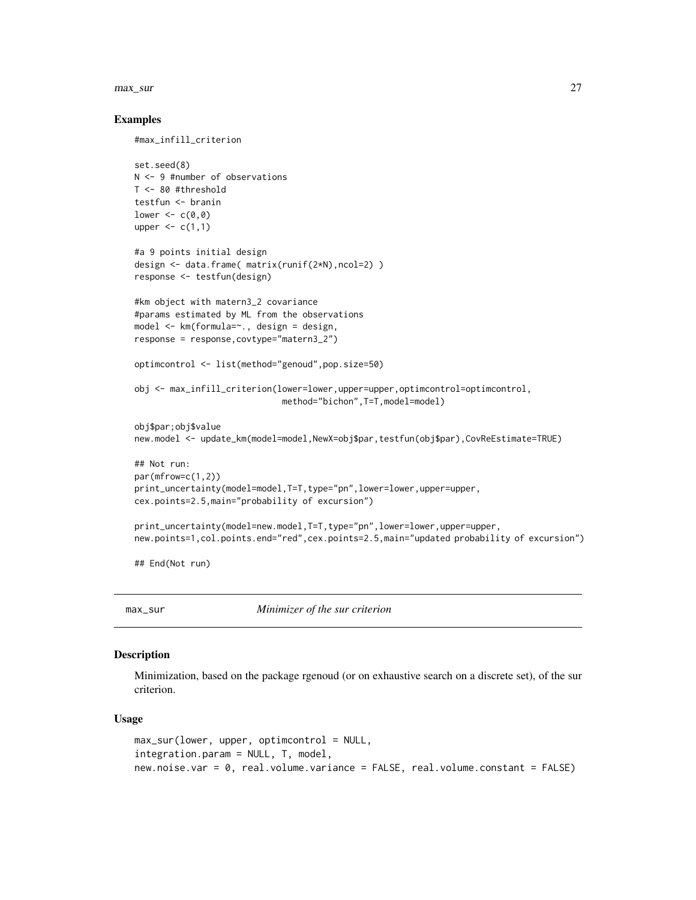#### <span id="page-26-0"></span>max\_sur 27

### Examples

#max\_infill\_criterion

```
set.seed(8)
N <- 9 #number of observations
T <- 80 #threshold
testfun <- branin
lower \leq c(0,0)upper \leq c(1,1)#a 9 points initial design
design <- data.frame( matrix(runif(2*N),ncol=2) )
response <- testfun(design)
#km object with matern3_2 covariance
#params estimated by ML from the observations
model <- km(formula=~., design = design,
response = response,covtype="matern3_2")
optimcontrol <- list(method="genoud",pop.size=50)
obj <- max_infill_criterion(lower=lower,upper=upper,optimcontrol=optimcontrol,
                             method="bichon",T=T,model=model)
obj$par;obj$value
new.model <- update_km(model=model,NewX=obj$par,testfun(obj$par),CovReEstimate=TRUE)
## Not run:
par(mfrow=c(1,2))
print_uncertainty(model=model,T=T,type="pn",lower=lower,upper=upper,
cex.points=2.5,main="probability of excursion")
print_uncertainty(model=new.model,T=T,type="pn",lower=lower,upper=upper,
new.points=1,col.points.end="red",cex.points=2.5,main="updated probability of excursion")
## End(Not run)
```
<span id="page-26-1"></span>max\_sur *Minimizer of the sur criterion*

### Description

Minimization, based on the package rgenoud (or on exhaustive search on a discrete set), of the sur criterion.

#### Usage

```
max\_sur(lower, upper, optimization = NULL,integration.param = NULL, T, model,
new.noise.var = 0, real.volume.variance = FALSE, real.volume.constant = FALSE)
```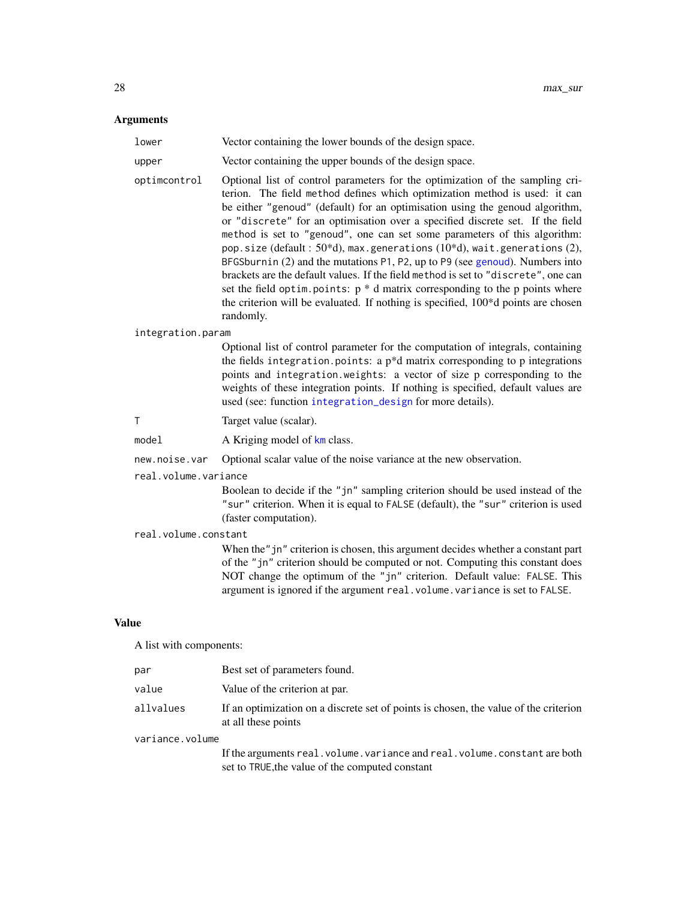#### Arguments

| lower | Vector containing the lower bounds of the design space. |
|-------|---------------------------------------------------------|
| upper | Vector containing the upper bounds of the design space. |

optimcontrol Optional list of control parameters for the optimization of the sampling cri-

terion. The field method defines which optimization method is used: it can be either "genoud" (default) for an optimisation using the genoud algorithm, or "discrete" for an optimisation over a specified discrete set. If the field method is set to "genoud", one can set some parameters of this algorithm: pop.size (default:  $50*d$ ), max.generations  $(10*d)$ , wait.generations  $(2)$ , BFGSburnin (2) and the mutations P1, P2, up to P9 (see [genoud](#page-0-0)). Numbers into brackets are the default values. If the field method is set to "discrete", one can set the field optim.points:  $p * d$  matrix corresponding to the p points where the criterion will be evaluated. If nothing is specified, 100\*d points are chosen randomly.

#### integration.param

Optional list of control parameter for the computation of integrals, containing the fields integration.points: a  $p^*d$  matrix corresponding to  $p$  integrations points and integration.weights: a vector of size p corresponding to the weights of these integration points. If nothing is specified, default values are used (see: function [integration\\_design](#page-19-1) for more details).

- T Target value (scalar).
- model A Kriging model of [km](#page-0-0) class.

new.noise.var Optional scalar value of the noise variance at the new observation.

#### real.volume.variance

Boolean to decide if the "jn" sampling criterion should be used instead of the "sur" criterion. When it is equal to FALSE (default), the "sur" criterion is used (faster computation).

#### real.volume.constant

When the" jn" criterion is chosen, this argument decides whether a constant part of the "jn" criterion should be computed or not. Computing this constant does NOT change the optimum of the "jn" criterion. Default value: FALSE. This argument is ignored if the argument real.volume.variance is set to FALSE.

### Value

A list with components:

| par             | Best set of parameters found.                                                                                                  |
|-----------------|--------------------------------------------------------------------------------------------------------------------------------|
| value           | Value of the criterion at par.                                                                                                 |
| allvalues       | If an optimization on a discrete set of points is chosen, the value of the criterion<br>at all these points                    |
| variance.volume |                                                                                                                                |
|                 | If the arguments real. volume. variance and real. volume. constant are both<br>set to TRUE, the value of the computed constant |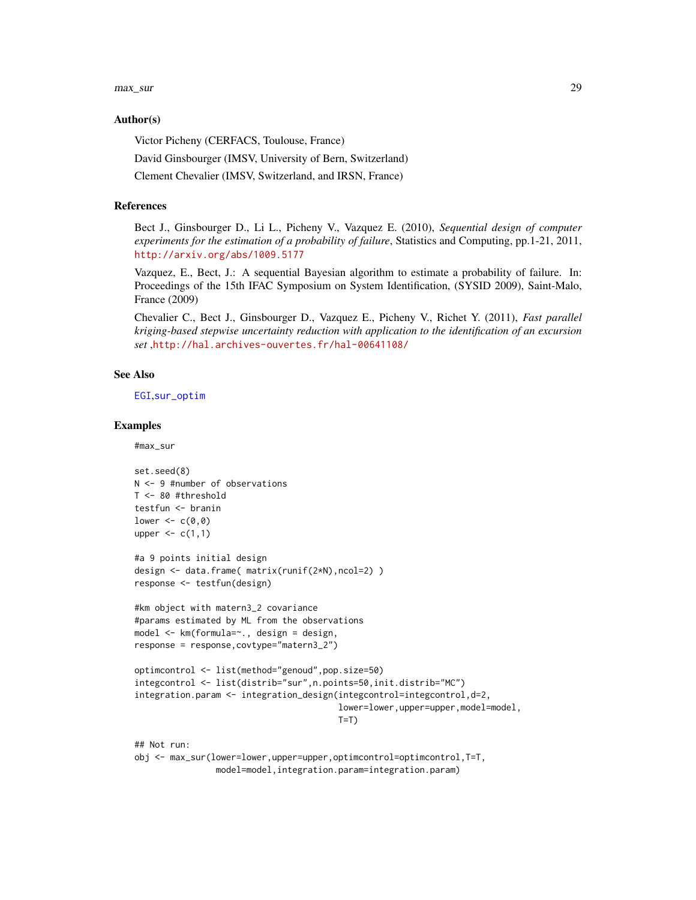max\_sur 29

### Author(s)

Victor Picheny (CERFACS, Toulouse, France)

David Ginsbourger (IMSV, University of Bern, Switzerland)

Clement Chevalier (IMSV, Switzerland, and IRSN, France)

### References

Bect J., Ginsbourger D., Li L., Picheny V., Vazquez E. (2010), *Sequential design of computer experiments for the estimation of a probability of failure*, Statistics and Computing, pp.1-21, 2011, <http://arxiv.org/abs/1009.5177>

Vazquez, E., Bect, J.: A sequential Bayesian algorithm to estimate a probability of failure. In: Proceedings of the 15th IFAC Symposium on System Identification, (SYSID 2009), Saint-Malo, France (2009)

Chevalier C., Bect J., Ginsbourger D., Vazquez E., Picheny V., Richet Y. (2011), *Fast parallel kriging-based stepwise uncertainty reduction with application to the identification of an excursion set* ,<http://hal.archives-ouvertes.fr/hal-00641108/>

### See Also

[EGI](#page-11-1),[sur\\_optim](#page-58-1)

#### Examples

#max\_sur

```
set.seed(8)
N <- 9 #number of observations
T <- 80 #threshold
testfun <- branin
lower \leq c(0,0)upper \leq c(1,1)#a 9 points initial design
design <- data.frame( matrix(runif(2*N),ncol=2) )
response <- testfun(design)
#km object with matern3_2 covariance
#params estimated by ML from the observations
model <- km(formula=~., design = design,
response = response,covtype="matern3_2")
optimcontrol <- list(method="genoud",pop.size=50)
integcontrol <- list(distrib="sur",n.points=50,init.distrib="MC")
integration.param <- integration_design(integcontrol=integcontrol,d=2,
                                        lower=lower,upper=upper,model=model,
                                        T=T)
## Not run:
obj <- max_sur(lower=lower,upper=upper,optimcontrol=optimcontrol,T=T,
```
model=model,integration.param=integration.param)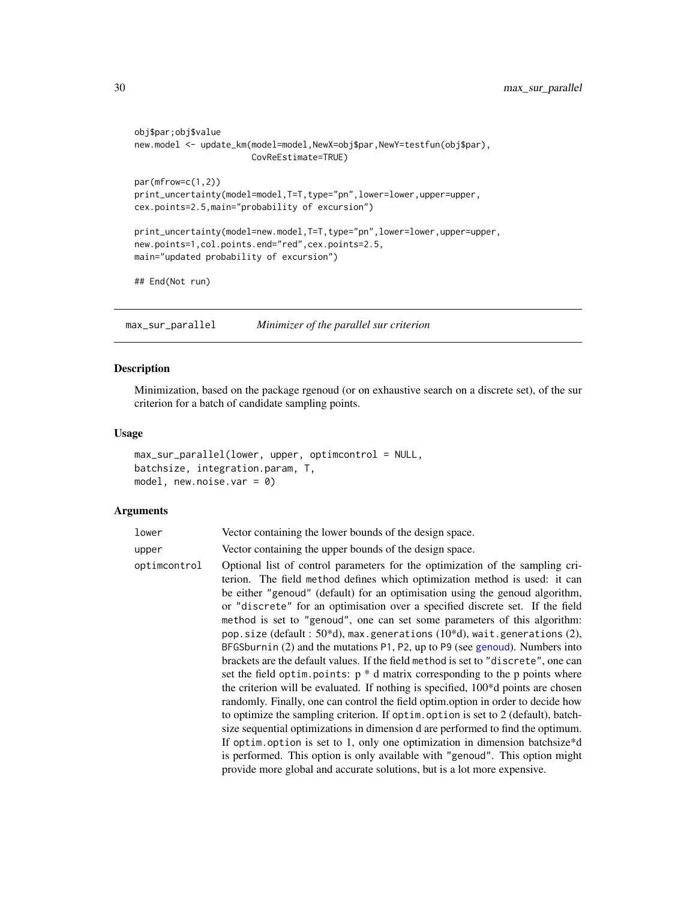```
obj$par;obj$value
new.model <- update_km(model=model,NewX=obj$par,NewY=testfun(obj$par),
                       CovReEstimate=TRUE)
par(mfrow=c(1,2))
print_uncertainty(model=model,T=T,type="pn",lower=lower,upper=upper,
cex.points=2.5,main="probability of excursion")
print_uncertainty(model=new.model,T=T,type="pn",lower=lower,upper=upper,
new.points=1,col.points.end="red",cex.points=2.5,
main="updated probability of excursion")
## End(Not run)
```
<span id="page-29-1"></span>max\_sur\_parallel *Minimizer of the parallel sur criterion*

### Description

Minimization, based on the package rgenoud (or on exhaustive search on a discrete set), of the sur criterion for a batch of candidate sampling points.

#### Usage

```
max_sur_parallel(lower, upper, optimcontrol = NULL,
batchsize, integration.param, T,
model, new.noise.var = 0)
```
### Arguments

| lower | Vector containing the lower bounds of the design space. |
|-------|---------------------------------------------------------|
| upper | Vector containing the upper bounds of the design space. |

```
optimcontrol Optional list of control parameters for the optimization of the sampling cri-
                  terion. The field method defines which optimization method is used: it can
                  be either "genoud" (default) for an optimisation using the genoud algorithm,
                  or "discrete" for an optimisation over a specified discrete set. If the field
                  method is set to "genoud", one can set some parameters of this algorithm:
                  pop.size (default : 50*d), max.generations (10*d), wait.generations (2),
                  BFGSburnin (2) and the mutations P1, P2, up to P9 (see genoud). Numbers into
                  brackets are the default values. If the field method is set to "discrete", one can
                  set the field optim.points: p * d matrix corresponding to the p points where
                  the criterion will be evaluated. If nothing is specified, 100*d points are chosen
                  randomly. Finally, one can control the field optim.option in order to decide how
                  to optimize the sampling criterion. If optim.option is set to 2 (default), batch-
                  size sequential optimizations in dimension d are performed to find the optimum.
                  If optim.option is set to 1, only one optimization in dimension batchsize*d
                  is performed. This option is only available with "genoud". This option might
                  provide more global and accurate solutions, but is a lot more expensive.
```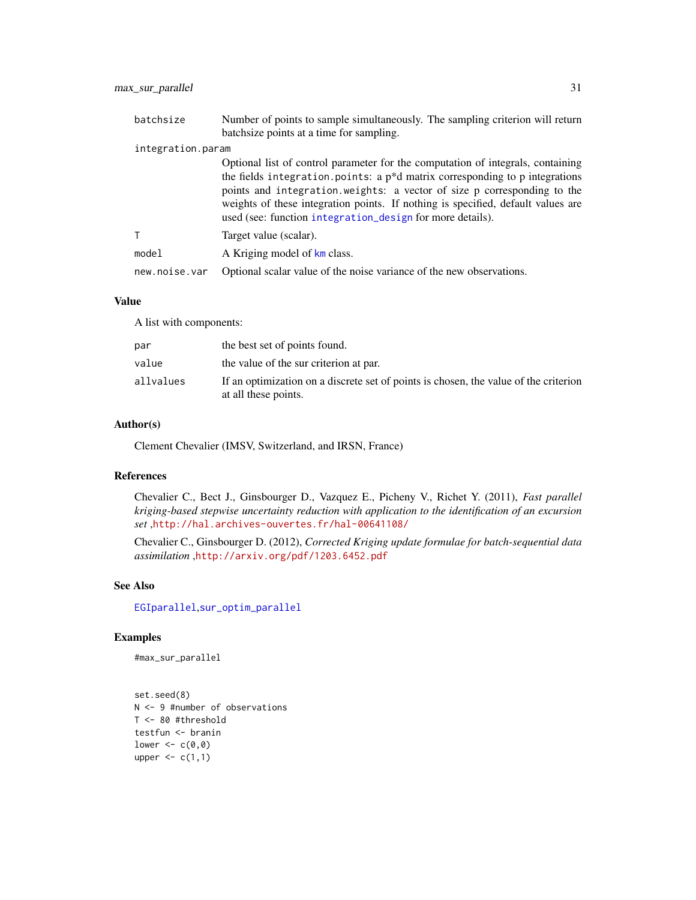| batchsize         | Number of points to sample simultaneously. The sampling criterion will return<br>batchsize points at a time for sampling.                                                                                                                                                                                                                                                                     |  |  |  |  |  |
|-------------------|-----------------------------------------------------------------------------------------------------------------------------------------------------------------------------------------------------------------------------------------------------------------------------------------------------------------------------------------------------------------------------------------------|--|--|--|--|--|
| integration.param |                                                                                                                                                                                                                                                                                                                                                                                               |  |  |  |  |  |
|                   | Optional list of control parameter for the computation of integrals, containing<br>the fields integration points: a $p^*d$ matrix corresponding to p integrations<br>points and integration weights: a vector of size p corresponding to the<br>weights of these integration points. If nothing is specified, default values are<br>used (see: function integration_design for more details). |  |  |  |  |  |
| T                 | Target value (scalar).                                                                                                                                                                                                                                                                                                                                                                        |  |  |  |  |  |
| model             | A Kriging model of km class.                                                                                                                                                                                                                                                                                                                                                                  |  |  |  |  |  |
| new.noise.var     | Optional scalar value of the noise variance of the new observations.                                                                                                                                                                                                                                                                                                                          |  |  |  |  |  |

### Value

A list with components:

| par       | the best set of points found.                                                                                |
|-----------|--------------------------------------------------------------------------------------------------------------|
| value     | the value of the sur criterion at par.                                                                       |
| allvalues | If an optimization on a discrete set of points is chosen, the value of the criterion<br>at all these points. |

### Author(s)

Clement Chevalier (IMSV, Switzerland, and IRSN, France)

### References

Chevalier C., Bect J., Ginsbourger D., Vazquez E., Picheny V., Richet Y. (2011), *Fast parallel kriging-based stepwise uncertainty reduction with application to the identification of an excursion set* ,<http://hal.archives-ouvertes.fr/hal-00641108/>

Chevalier C., Ginsbourger D. (2012), *Corrected Kriging update formulae for batch-sequential data assimilation* ,<http://arxiv.org/pdf/1203.6452.pdf>

### See Also

[EGIparallel](#page-15-1),[sur\\_optim\\_parallel](#page-61-1)

### Examples

#max\_sur\_parallel

```
set.seed(8)
N <- 9 #number of observations
T <- 80 #threshold
testfun <- branin
lower <-c(0,0)upper \leq c(1,1)
```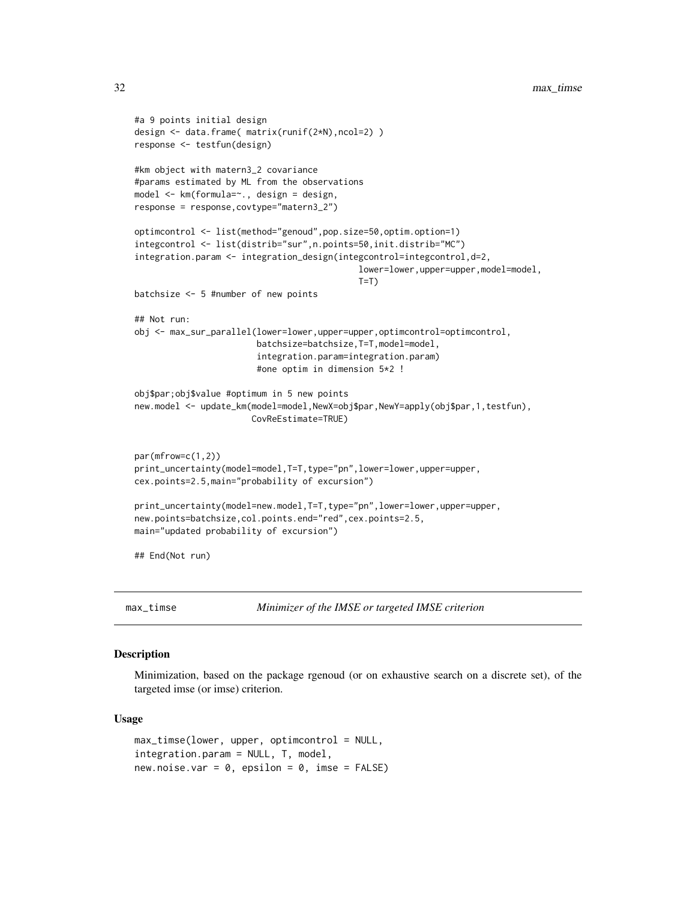```
#a 9 points initial design
design <- data.frame( matrix(runif(2*N),ncol=2) )
response <- testfun(design)
#km object with matern3_2 covariance
#params estimated by ML from the observations
model <- km(formula=~., design = design,
response = response,covtype="matern3_2")
optimcontrol <- list(method="genoud",pop.size=50,optim.option=1)
integcontrol <- list(distrib="sur",n.points=50,init.distrib="MC")
integration.param <- integration_design(integcontrol=integcontrol,d=2,
                                            lower=lower,upper=upper,model=model,
                                            T=Tbatchsize <- 5 #number of new points
## Not run:
obj <- max_sur_parallel(lower=lower,upper=upper,optimcontrol=optimcontrol,
                        batchsize=batchsize,T=T,model=model,
                        integration.param=integration.param)
                        #one optim in dimension 5*2 !
obj$par;obj$value #optimum in 5 new points
new.model <- update_km(model=model,NewX=obj$par,NewY=apply(obj$par,1,testfun),
                       CovReEstimate=TRUE)
par(mfrow=c(1,2))
print_uncertainty(model=model,T=T,type="pn",lower=lower,upper=upper,
cex.points=2.5,main="probability of excursion")
print_uncertainty(model=new.model,T=T,type="pn",lower=lower,upper=upper,
new.points=batchsize,col.points.end="red",cex.points=2.5,
main="updated probability of excursion")
## End(Not run)
```
<span id="page-31-1"></span>max\_timse *Minimizer of the IMSE or targeted IMSE criterion*

### Description

Minimization, based on the package rgenoud (or on exhaustive search on a discrete set), of the targeted imse (or imse) criterion.

### Usage

```
max_time(lower, upper, optimization = NULL,integration.param = NULL, T, model,
new.noise.var = 0, epsilon = 0, imse = FALSE)
```
<span id="page-31-0"></span>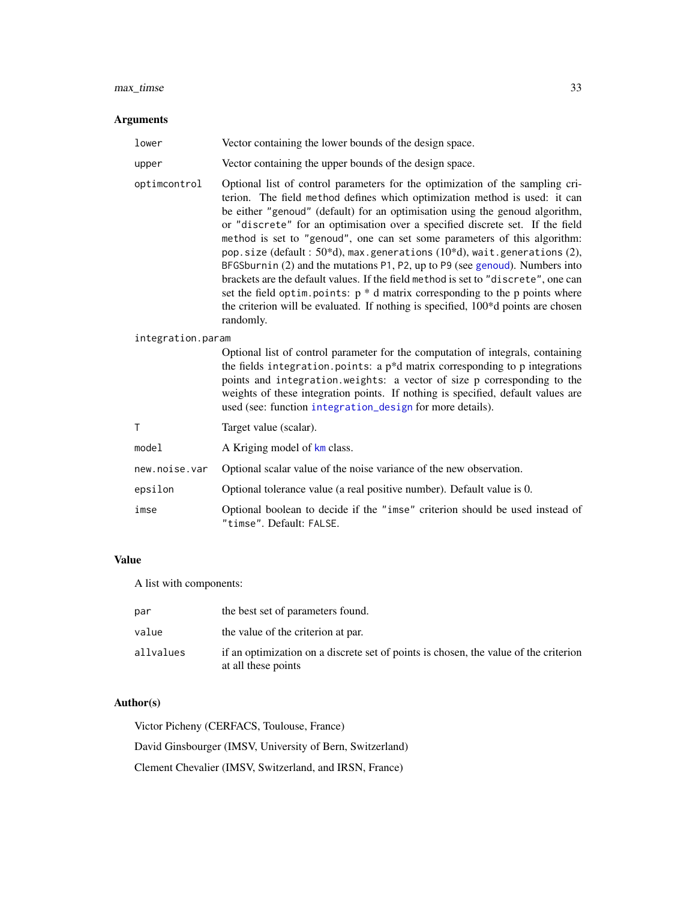#### $max\_times$  33

#### Arguments

lower Vector containing the lower bounds of the design space.

upper Vector containing the upper bounds of the design space.

optimcontrol Optional list of control parameters for the optimization of the sampling criterion. The field method defines which optimization method is used: it can be either "genoud" (default) for an optimisation using the genoud algorithm, or "discrete" for an optimisation over a specified discrete set. If the field method is set to "genoud", one can set some parameters of this algorithm: pop.size (default : 50\*d), max.generations (10\*d), wait.generations (2), BFGSburnin (2) and the mutations P1, P2, up to P9 (see [genoud](#page-0-0)). Numbers into brackets are the default values. If the field method is set to "discrete", one can set the field optim.points:  $p * d$  matrix corresponding to the p points where the criterion will be evaluated. If nothing is specified, 100\*d points are chosen randomly.

#### integration.param

Optional list of control parameter for the computation of integrals, containing the fields integration.points: a  $p * d$  matrix corresponding to p integrations points and integration.weights: a vector of size p corresponding to the weights of these integration points. If nothing is specified, default values are used (see: function [integration\\_design](#page-19-1) for more details).

T Target value (scalar).

model A Kriging model of [km](#page-0-0) class.

- new.noise.var Optional scalar value of the noise variance of the new observation.
- epsilon Optional tolerance value (a real positive number). Default value is 0.
- imse Optional boolean to decide if the "imse" criterion should be used instead of "timse". Default: FALSE.

#### Value

A list with components:

| par       | the best set of parameters found.                                                                           |
|-----------|-------------------------------------------------------------------------------------------------------------|
| value     | the value of the criterion at par.                                                                          |
| allvalues | if an optimization on a discrete set of points is chosen, the value of the criterion<br>at all these points |

### Author(s)

Victor Picheny (CERFACS, Toulouse, France) David Ginsbourger (IMSV, University of Bern, Switzerland) Clement Chevalier (IMSV, Switzerland, and IRSN, France)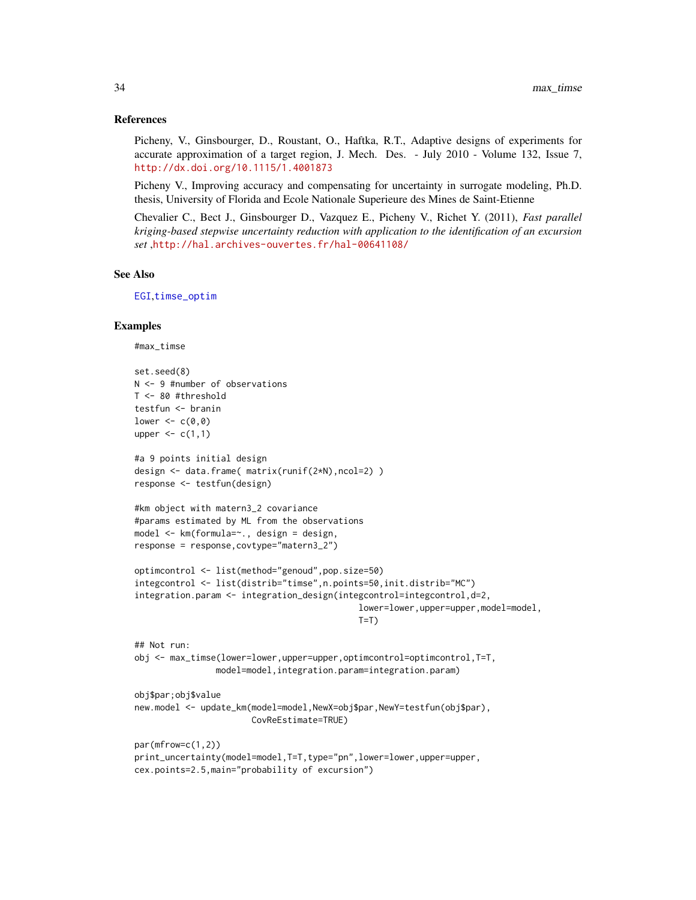### References

Picheny, V., Ginsbourger, D., Roustant, O., Haftka, R.T., Adaptive designs of experiments for accurate approximation of a target region, J. Mech. Des. - July 2010 - Volume 132, Issue 7, <http://dx.doi.org/10.1115/1.4001873>

Picheny V., Improving accuracy and compensating for uncertainty in surrogate modeling, Ph.D. thesis, University of Florida and Ecole Nationale Superieure des Mines de Saint-Etienne

Chevalier C., Bect J., Ginsbourger D., Vazquez E., Picheny V., Richet Y. (2011), *Fast parallel kriging-based stepwise uncertainty reduction with application to the identification of an excursion set* ,<http://hal.archives-ouvertes.fr/hal-00641108/>

### See Also

[EGI](#page-11-1),[timse\\_optim](#page-66-1)

### Examples

```
#max_timse
```

```
set.seed(8)
N <- 9 #number of observations
T <- 80 #threshold
testfun <- branin
lower <-c(0,0)upper \leq c(1,1)
#a 9 points initial design
design <- data.frame( matrix(runif(2*N),ncol=2) )
response <- testfun(design)
#km object with matern3_2 covariance
#params estimated by ML from the observations
model <- km(formula=~., design = design,
response = response,covtype="matern3_2")
optimcontrol <- list(method="genoud",pop.size=50)
integcontrol <- list(distrib="timse",n.points=50,init.distrib="MC")
integration.param <- integration_design(integcontrol=integcontrol,d=2,
                                            lower=lower,upper=upper,model=model,
                                            T=T)
## Not run:
obj <- max_timse(lower=lower,upper=upper,optimcontrol=optimcontrol,T=T,
                model=model,integration.param=integration.param)
obj$par;obj$value
new.model <- update_km(model=model,NewX=obj$par,NewY=testfun(obj$par),
                       CovReEstimate=TRUE)
par(mfrow=c(1,2))
print_uncertainty(model=model,T=T,type="pn",lower=lower,upper=upper,
cex.points=2.5,main="probability of excursion")
```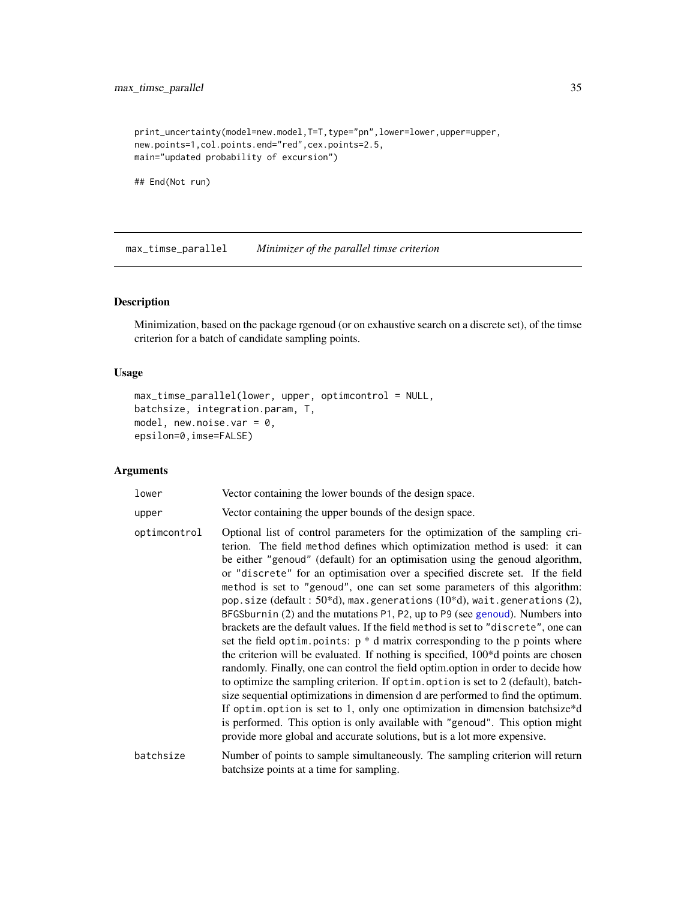```
print_uncertainty(model=new.model,T=T,type="pn",lower=lower,upper=upper,
new.points=1,col.points.end="red",cex.points=2.5,
main="updated probability of excursion")
```
## End(Not run)

max\_timse\_parallel *Minimizer of the parallel timse criterion*

#### Description

Minimization, based on the package rgenoud (or on exhaustive search on a discrete set), of the timse criterion for a batch of candidate sampling points.

#### Usage

```
max_timse_parallel(lower, upper, optimcontrol = NULL,
batchsize, integration.param, T,
model, new.noise.var = 0,
epsilon=0,imse=FALSE)
```
### Arguments

| lower |  | Vector containing the lower bounds of the design space. |  |  |  |  |  |  |  |
|-------|--|---------------------------------------------------------|--|--|--|--|--|--|--|
|-------|--|---------------------------------------------------------|--|--|--|--|--|--|--|

```
upper Vector containing the upper bounds of the design space.
```
optimcontrol Optional list of control parameters for the optimization of the sampling criterion. The field method defines which optimization method is used: it can be either "genoud" (default) for an optimisation using the genoud algorithm, or "discrete" for an optimisation over a specified discrete set. If the field method is set to "genoud", one can set some parameters of this algorithm: pop.size (default : 50\*d), max.generations (10\*d), wait.generations (2), BFGSburnin (2) and the mutations P1, P2, up to P9 (see [genoud](#page-0-0)). Numbers into brackets are the default values. If the field method is set to "discrete", one can set the field optim.points:  $p * d$  matrix corresponding to the p points where the criterion will be evaluated. If nothing is specified, 100\*d points are chosen randomly. Finally, one can control the field optim.option in order to decide how to optimize the sampling criterion. If optim.option is set to 2 (default), batchsize sequential optimizations in dimension d are performed to find the optimum. If optim.option is set to 1, only one optimization in dimension batchsize\*d is performed. This option is only available with "genoud". This option might provide more global and accurate solutions, but is a lot more expensive.

batchsize Number of points to sample simultaneously. The sampling criterion will return batchsize points at a time for sampling.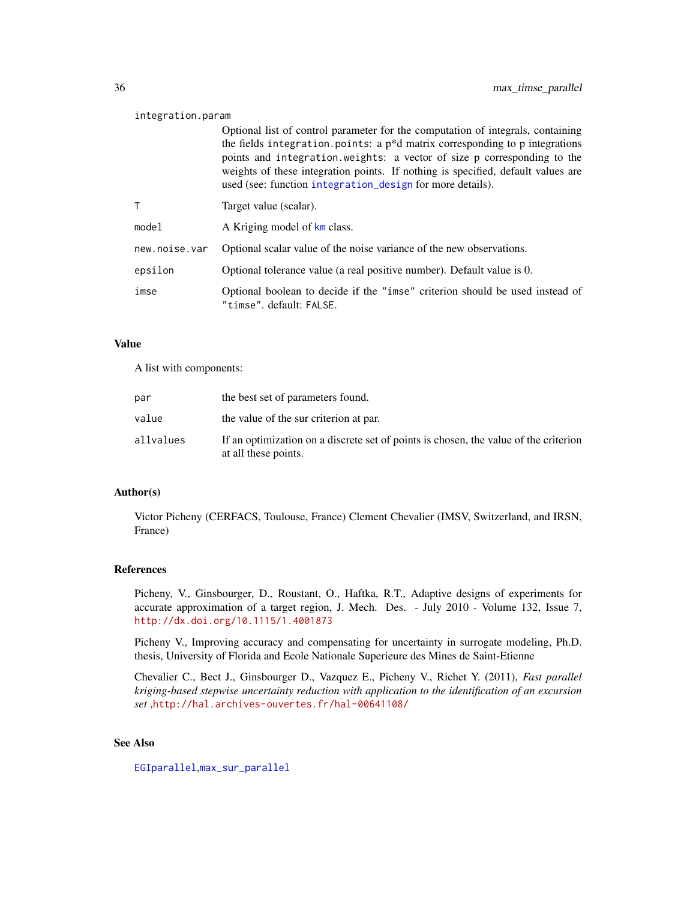#### integration.param

Optional list of control parameter for the computation of integrals, containing the fields integration.points: a  $p * d$  matrix corresponding to p integrations points and integration.weights: a vector of size p corresponding to the weights of these integration points. If nothing is specified, default values are used (see: function [integration\\_design](#page-19-1) for more details).

|               | Target value (scalar).                                                                                  |
|---------------|---------------------------------------------------------------------------------------------------------|
| model         | A Kriging model of km class.                                                                            |
| new.noise.var | Optional scalar value of the noise variance of the new observations.                                    |
| epsilon       | Optional tolerance value (a real positive number). Default value is 0.                                  |
| imse          | Optional boolean to decide if the "imse" criterion should be used instead of<br>"timse".default: FALSE. |

### Value

A list with components:

| par       | the best set of parameters found.                                                                            |
|-----------|--------------------------------------------------------------------------------------------------------------|
| value     | the value of the sur criterion at par.                                                                       |
| allvalues | If an optimization on a discrete set of points is chosen, the value of the criterion<br>at all these points. |

### Author(s)

Victor Picheny (CERFACS, Toulouse, France) Clement Chevalier (IMSV, Switzerland, and IRSN, France)

#### References

Picheny, V., Ginsbourger, D., Roustant, O., Haftka, R.T., Adaptive designs of experiments for accurate approximation of a target region, J. Mech. Des. - July 2010 - Volume 132, Issue 7, <http://dx.doi.org/10.1115/1.4001873>

Picheny V., Improving accuracy and compensating for uncertainty in surrogate modeling, Ph.D. thesis, University of Florida and Ecole Nationale Superieure des Mines de Saint-Etienne

Chevalier C., Bect J., Ginsbourger D., Vazquez E., Picheny V., Richet Y. (2011), *Fast parallel kriging-based stepwise uncertainty reduction with application to the identification of an excursion set* ,<http://hal.archives-ouvertes.fr/hal-00641108/>

### See Also

[EGIparallel](#page-15-1),[max\\_sur\\_parallel](#page-29-1)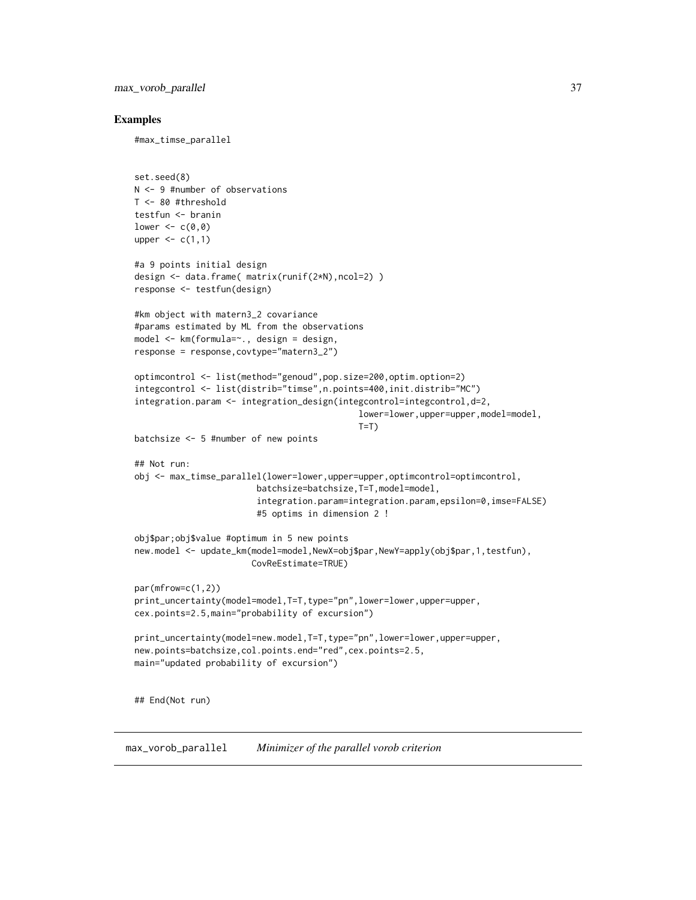max\_vorob\_parallel 37

### Examples

#max\_timse\_parallel

```
set.seed(8)
N <- 9 #number of observations
T <- 80 #threshold
testfun <- branin
lower \leq c(0,0)upper \leq c(1,1)#a 9 points initial design
design <- data.frame( matrix(runif(2*N),ncol=2) )
response <- testfun(design)
#km object with matern3_2 covariance
#params estimated by ML from the observations
model <- km(formula=~., design = design,
response = response,covtype="matern3_2")
optimcontrol <- list(method="genoud",pop.size=200,optim.option=2)
integcontrol <- list(distrib="timse",n.points=400,init.distrib="MC")
integration.param <- integration_design(integcontrol=integcontrol,d=2,
                                             lower=lower,upper=upper,model=model,
                                            T=T)
batchsize <- 5 #number of new points
## Not run:
obj <- max_timse_parallel(lower=lower,upper=upper,optimcontrol=optimcontrol,
                        batchsize=batchsize,T=T,model=model,
                        integration.param=integration.param,epsilon=0,imse=FALSE)
                        #5 optims in dimension 2 !
obj$par;obj$value #optimum in 5 new points
new.model <- update_km(model=model,NewX=obj$par,NewY=apply(obj$par,1,testfun),
                       CovReEstimate=TRUE)
par(mfrow=c(1,2))
print_uncertainty(model=model,T=T,type="pn",lower=lower,upper=upper,
cex.points=2.5,main="probability of excursion")
print_uncertainty(model=new.model,T=T,type="pn",lower=lower,upper=upper,
new.points=batchsize,col.points.end="red",cex.points=2.5,
main="updated probability of excursion")
## End(Not run)
```
max\_vorob\_parallel *Minimizer of the parallel vorob criterion*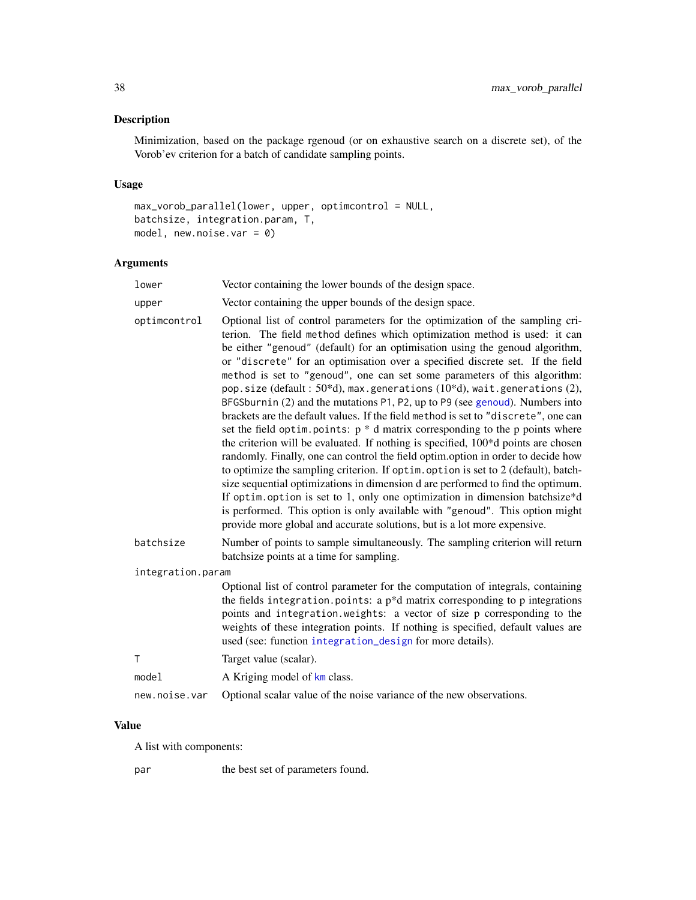# Description

Minimization, based on the package rgenoud (or on exhaustive search on a discrete set), of the Vorob'ev criterion for a batch of candidate sampling points.

# Usage

```
max_vorob_parallel(lower, upper, optimcontrol = NULL,
batchsize, integration.param, T,
model, new.noise.var = 0)
```
# Arguments

| lower             | Vector containing the lower bounds of the design space.                                                                                                                                                                                                                                                                                                                                                                                                                                                                                                                                                                                                                                                                                                                                                                                                                                                                                                                                                                                                                                                                                                                                                                                                                                                                                                     |
|-------------------|-------------------------------------------------------------------------------------------------------------------------------------------------------------------------------------------------------------------------------------------------------------------------------------------------------------------------------------------------------------------------------------------------------------------------------------------------------------------------------------------------------------------------------------------------------------------------------------------------------------------------------------------------------------------------------------------------------------------------------------------------------------------------------------------------------------------------------------------------------------------------------------------------------------------------------------------------------------------------------------------------------------------------------------------------------------------------------------------------------------------------------------------------------------------------------------------------------------------------------------------------------------------------------------------------------------------------------------------------------------|
| upper             | Vector containing the upper bounds of the design space.                                                                                                                                                                                                                                                                                                                                                                                                                                                                                                                                                                                                                                                                                                                                                                                                                                                                                                                                                                                                                                                                                                                                                                                                                                                                                                     |
| optimcontrol      | Optional list of control parameters for the optimization of the sampling cri-<br>terion. The field method defines which optimization method is used: it can<br>be either "genoud" (default) for an optimisation using the genoud algorithm,<br>or "discrete" for an optimisation over a specified discrete set. If the field<br>method is set to "genoud", one can set some parameters of this algorithm:<br>pop.size (default: $50*d$ ), max.generations (10*d), wait.generations (2),<br>BFGSburnin (2) and the mutations P1, P2, up to P9 (see genoud). Numbers into<br>brackets are the default values. If the field method is set to "discrete", one can<br>set the field optim. points: $p * d$ matrix corresponding to the p points where<br>the criterion will be evaluated. If nothing is specified, 100 <sup>*</sup> d points are chosen<br>randomly. Finally, one can control the field optim.option in order to decide how<br>to optimize the sampling criterion. If optim. option is set to 2 (default), batch-<br>size sequential optimizations in dimension d are performed to find the optimum.<br>If optim. option is set to 1, only one optimization in dimension batchsize*d<br>is performed. This option is only available with "genoud". This option might<br>provide more global and accurate solutions, but is a lot more expensive. |
| batchsize         | Number of points to sample simultaneously. The sampling criterion will return<br>batchsize points at a time for sampling.                                                                                                                                                                                                                                                                                                                                                                                                                                                                                                                                                                                                                                                                                                                                                                                                                                                                                                                                                                                                                                                                                                                                                                                                                                   |
| integration.param |                                                                                                                                                                                                                                                                                                                                                                                                                                                                                                                                                                                                                                                                                                                                                                                                                                                                                                                                                                                                                                                                                                                                                                                                                                                                                                                                                             |
|                   | Optional list of control parameter for the computation of integrals, containing<br>the fields integration. points: a $p * d$ matrix corresponding to $p$ integrations<br>points and integration. weights: a vector of size p corresponding to the<br>weights of these integration points. If nothing is specified, default values are<br>used (see: function integration_design for more details).                                                                                                                                                                                                                                                                                                                                                                                                                                                                                                                                                                                                                                                                                                                                                                                                                                                                                                                                                          |
| $\mathsf{T}$      | Target value (scalar).                                                                                                                                                                                                                                                                                                                                                                                                                                                                                                                                                                                                                                                                                                                                                                                                                                                                                                                                                                                                                                                                                                                                                                                                                                                                                                                                      |
| model             | A Kriging model of km class.                                                                                                                                                                                                                                                                                                                                                                                                                                                                                                                                                                                                                                                                                                                                                                                                                                                                                                                                                                                                                                                                                                                                                                                                                                                                                                                                |
| new.noise.var     | Optional scalar value of the noise variance of the new observations.                                                                                                                                                                                                                                                                                                                                                                                                                                                                                                                                                                                                                                                                                                                                                                                                                                                                                                                                                                                                                                                                                                                                                                                                                                                                                        |
|                   |                                                                                                                                                                                                                                                                                                                                                                                                                                                                                                                                                                                                                                                                                                                                                                                                                                                                                                                                                                                                                                                                                                                                                                                                                                                                                                                                                             |

# Value

A list with components:

par the best set of parameters found.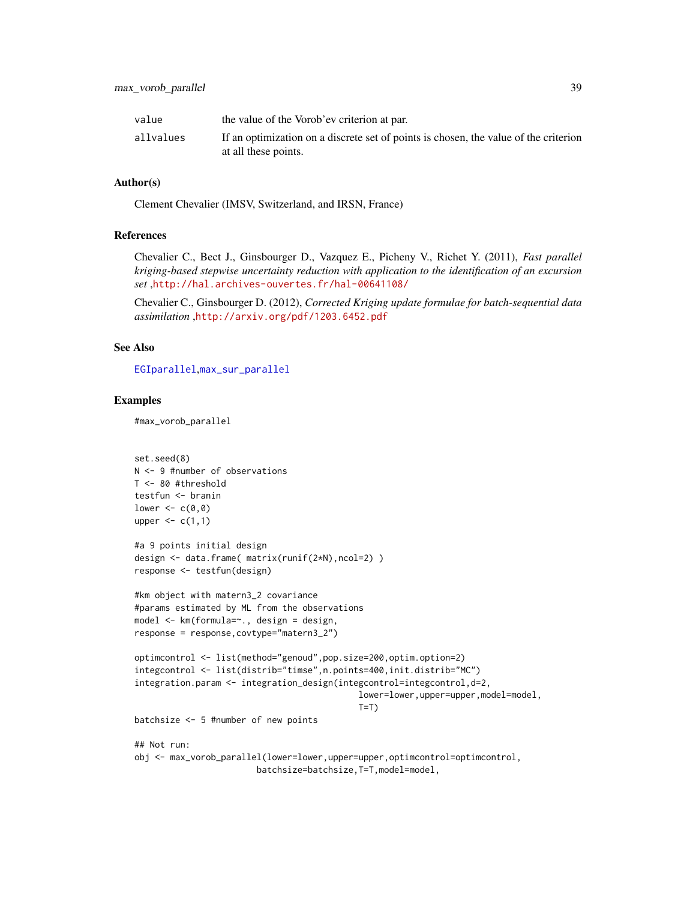| value     | the value of the Vorob'ev criterion at par.                                                                  |
|-----------|--------------------------------------------------------------------------------------------------------------|
| allvalues | If an optimization on a discrete set of points is chosen, the value of the criterion<br>at all these points. |

## Author(s)

Clement Chevalier (IMSV, Switzerland, and IRSN, France)

### References

Chevalier C., Bect J., Ginsbourger D., Vazquez E., Picheny V., Richet Y. (2011), *Fast parallel kriging-based stepwise uncertainty reduction with application to the identification of an excursion set* ,<http://hal.archives-ouvertes.fr/hal-00641108/>

Chevalier C., Ginsbourger D. (2012), *Corrected Kriging update formulae for batch-sequential data assimilation* ,<http://arxiv.org/pdf/1203.6452.pdf>

## See Also

[EGIparallel](#page-15-0),[max\\_sur\\_parallel](#page-29-0)

## Examples

#max\_vorob\_parallel

```
set.seed(8)
N <- 9 #number of observations
T <- 80 #threshold
testfun <- branin
lower <-c(0,0)upper \leq c(1,1)#a 9 points initial design
design <- data.frame( matrix(runif(2*N),ncol=2) )
response <- testfun(design)
#km object with matern3_2 covariance
#params estimated by ML from the observations
model <- km(formula=~., design = design,
response = response,covtype="matern3_2")
optimcontrol <- list(method="genoud",pop.size=200,optim.option=2)
integcontrol <- list(distrib="timse",n.points=400,init.distrib="MC")
integration.param <- integration_design(integcontrol=integcontrol,d=2,
                                            lower=lower,upper=upper,model=model,
                                            T=T)
batchsize <- 5 #number of new points
## Not run:
obj <- max_vorob_parallel(lower=lower,upper=upper,optimcontrol=optimcontrol,
                        batchsize=batchsize,T=T,model=model,
```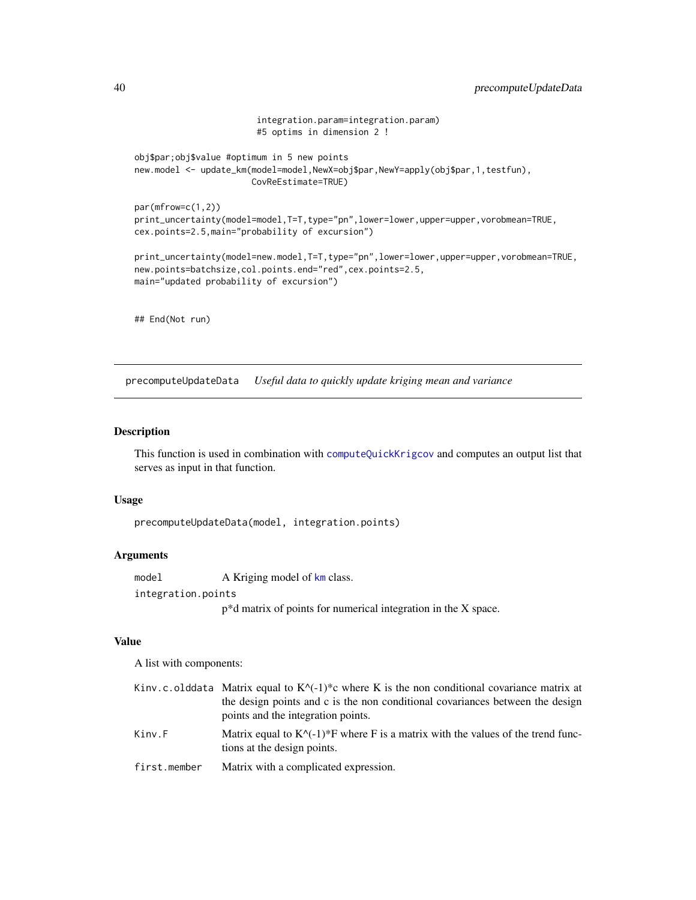```
integration.param=integration.param)
                        #5 optims in dimension 2 !
obj$par;obj$value #optimum in 5 new points
new.model <- update_km(model=model,NewX=obj$par,NewY=apply(obj$par,1,testfun),
                       CovReEstimate=TRUE)
par(mfrow=c(1,2))
print_uncertainty(model=model,T=T,type="pn",lower=lower,upper=upper,vorobmean=TRUE,
cex.points=2.5,main="probability of excursion")
print_uncertainty(model=new.model,T=T,type="pn",lower=lower,upper=upper,vorobmean=TRUE,
new.points=batchsize,col.points.end="red",cex.points=2.5,
main="updated probability of excursion")
## End(Not run)
```
<span id="page-39-0"></span>precomputeUpdateData *Useful data to quickly update kriging mean and variance*

# Description

This function is used in combination with [computeQuickKrigcov](#page-7-0) and computes an output list that serves as input in that function.

## Usage

```
precomputeUpdateData(model, integration.points)
```
# Arguments

model A Kriging model of [km](#page-0-0) class. integration.points p\*d matrix of points for numerical integration in the X space.

## Value

A list with components:

|              | Kinv.c.olddata Matrix equal to $K^{\wedge}(-1)^*$ c where K is the non conditional covariance matrix at                   |
|--------------|---------------------------------------------------------------------------------------------------------------------------|
|              | the design points and c is the non conditional covariances between the design                                             |
|              | points and the integration points.                                                                                        |
| Kinv.F       | Matrix equal to $K^{\wedge}$ (-1)*F where F is a matrix with the values of the trend func-<br>tions at the design points. |
| first.member | Matrix with a complicated expression.                                                                                     |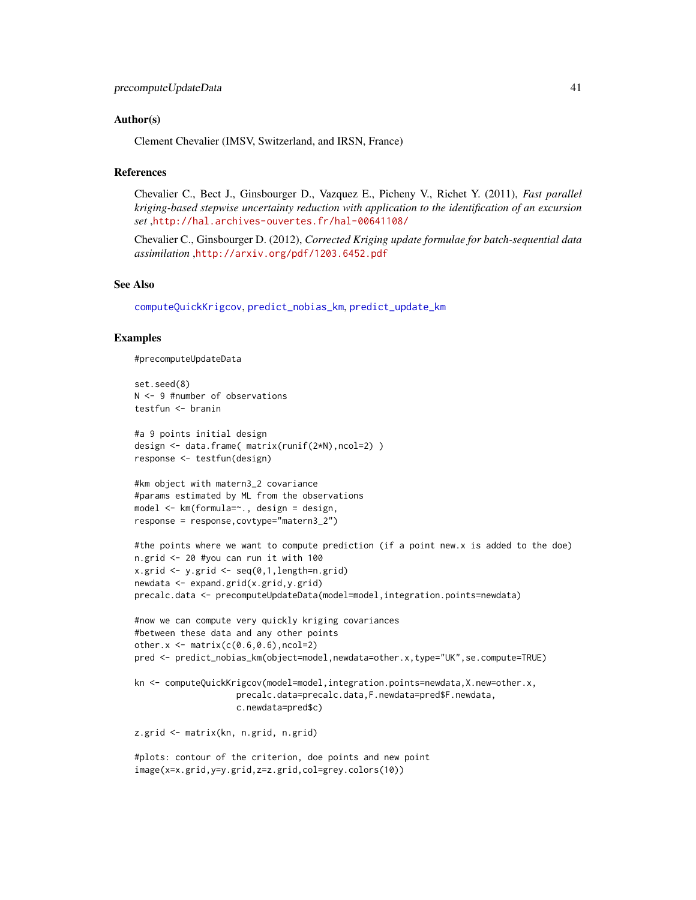### Author(s)

Clement Chevalier (IMSV, Switzerland, and IRSN, France)

## References

Chevalier C., Bect J., Ginsbourger D., Vazquez E., Picheny V., Richet Y. (2011), *Fast parallel kriging-based stepwise uncertainty reduction with application to the identification of an excursion set* ,<http://hal.archives-ouvertes.fr/hal-00641108/>

Chevalier C., Ginsbourger D. (2012), *Corrected Kriging update formulae for batch-sequential data assimilation* ,<http://arxiv.org/pdf/1203.6452.pdf>

### See Also

[computeQuickKrigcov](#page-7-0), [predict\\_nobias\\_km](#page-41-0), [predict\\_update\\_km](#page-43-0)

### Examples

```
#precomputeUpdateData
```

```
set.seed(8)
N <- 9 #number of observations
testfun <- branin
#a 9 points initial design
design <- data.frame( matrix(runif(2*N),ncol=2) )
response <- testfun(design)
#km object with matern3_2 covariance
#params estimated by ML from the observations
model <- km(formula=~., design = design,
response = response,covtype="matern3_2")
#the points where we want to compute prediction (if a point new.x is added to the doe)
n.grid <- 20 #you can run it with 100
x.grid \leftarrow y.grid \leftarrow seq(0,1, length=n.grid)newdata <- expand.grid(x.grid,y.grid)
precalc.data <- precomputeUpdateData(model=model,integration.points=newdata)
#now we can compute very quickly kriging covariances
#between these data and any other points
other.x \leftarrow \text{matrix}(c(0.6, 0.6), ncol=2)pred <- predict_nobias_km(object=model,newdata=other.x,type="UK",se.compute=TRUE)
kn <- computeQuickKrigcov(model=model,integration.points=newdata,X.new=other.x,
                    precalc.data=precalc.data,F.newdata=pred$F.newdata,
                    c.newdata=pred$c)
z.grid <- matrix(kn, n.grid, n.grid)
#plots: contour of the criterion, doe points and new point
image(x=x.grid,y=y.grid,z=z.grid,col=grey.colors(10))
```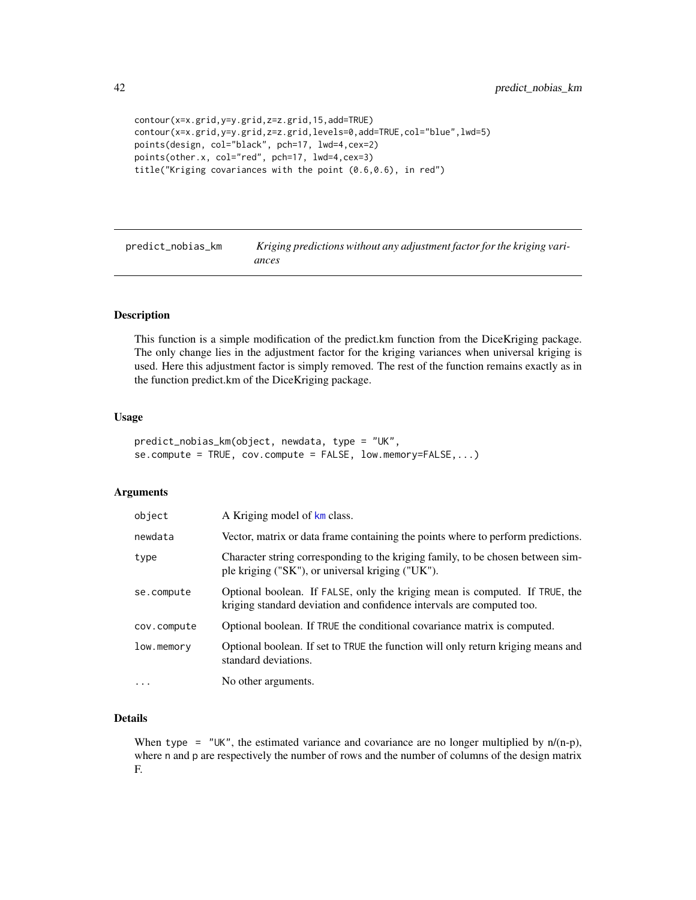```
contour(x=x.grid,y=y.grid,z=z.grid,15,add=TRUE)
contour(x=x.grid,y=y.grid,z=z.grid,levels=0,add=TRUE,col="blue",lwd=5)
points(design, col="black", pch=17, lwd=4,cex=2)
points(other.x, col="red", pch=17, lwd=4,cex=3)
title("Kriging covariances with the point (0.6,0.6), in red")
```
<span id="page-41-0"></span>predict\_nobias\_km *Kriging predictions without any adjustment factor for the kriging variances*

#### Description

This function is a simple modification of the predict.km function from the DiceKriging package. The only change lies in the adjustment factor for the kriging variances when universal kriging is used. Here this adjustment factor is simply removed. The rest of the function remains exactly as in the function predict.km of the DiceKriging package.

## Usage

```
predict_nobias_km(object, newdata, type = "UK",
se.compute = TRUE, cov.compute = FALSE, low.memory=FALSE,...)
```
## Arguments

| object      | A Kriging model of km class.                                                                                                                         |
|-------------|------------------------------------------------------------------------------------------------------------------------------------------------------|
| newdata     | Vector, matrix or data frame containing the points where to perform predictions.                                                                     |
| type        | Character string corresponding to the kriging family, to be chosen between sim-<br>ple kriging ("SK"), or universal kriging ("UK").                  |
| se.compute  | Optional boolean. If FALSE, only the kriging mean is computed. If TRUE, the<br>kriging standard deviation and confidence intervals are computed too. |
| cov.compute | Optional boolean. If TRUE the conditional covariance matrix is computed.                                                                             |
| low.memory  | Optional boolean. If set to TRUE the function will only return kriging means and<br>standard deviations.                                             |
| $\cdots$    | No other arguments.                                                                                                                                  |

# Details

When type =  $"UK"$ , the estimated variance and covariance are no longer multiplied by  $n/(n-p)$ , where n and p are respectively the number of rows and the number of columns of the design matrix F.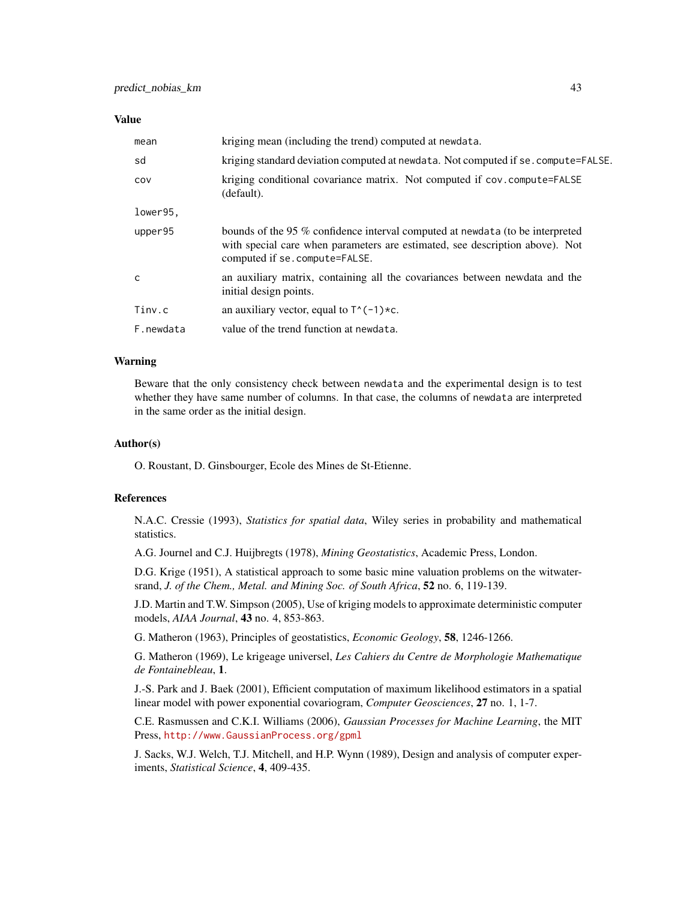## Value

| mean      | kriging mean (including the trend) computed at newdata.                                                                                                                                         |
|-----------|-------------------------------------------------------------------------------------------------------------------------------------------------------------------------------------------------|
| sd        | kriging standard deviation computed at newdata. Not computed if se. compute=FALSE.                                                                                                              |
| COV       | kriging conditional covariance matrix. Not computed if cov.compute=FALSE<br>(default).                                                                                                          |
| lower95,  |                                                                                                                                                                                                 |
| upper95   | bounds of the 95 % confidence interval computed at newdata (to be interpreted<br>with special care when parameters are estimated, see description above). Not<br>computed if se. compute=FALSE. |
| C         | an auxiliary matrix, containing all the covariances between newdata and the<br>initial design points.                                                                                           |
| Tinv.c    | an auxiliary vector, equal to $T^*(-1)*c$ .                                                                                                                                                     |
| F.newdata | value of the trend function at newdata.                                                                                                                                                         |

## Warning

Beware that the only consistency check between newdata and the experimental design is to test whether they have same number of columns. In that case, the columns of newdata are interpreted in the same order as the initial design.

## Author(s)

O. Roustant, D. Ginsbourger, Ecole des Mines de St-Etienne.

### References

N.A.C. Cressie (1993), *Statistics for spatial data*, Wiley series in probability and mathematical statistics.

A.G. Journel and C.J. Huijbregts (1978), *Mining Geostatistics*, Academic Press, London.

D.G. Krige (1951), A statistical approach to some basic mine valuation problems on the witwatersrand, *J. of the Chem., Metal. and Mining Soc. of South Africa*, 52 no. 6, 119-139.

J.D. Martin and T.W. Simpson (2005), Use of kriging models to approximate deterministic computer models, *AIAA Journal*, 43 no. 4, 853-863.

G. Matheron (1963), Principles of geostatistics, *Economic Geology*, 58, 1246-1266.

G. Matheron (1969), Le krigeage universel, *Les Cahiers du Centre de Morphologie Mathematique de Fontainebleau*, 1.

J.-S. Park and J. Baek (2001), Efficient computation of maximum likelihood estimators in a spatial linear model with power exponential covariogram, *Computer Geosciences*, 27 no. 1, 1-7.

C.E. Rasmussen and C.K.I. Williams (2006), *Gaussian Processes for Machine Learning*, the MIT Press, <http://www.GaussianProcess.org/gpml>

J. Sacks, W.J. Welch, T.J. Mitchell, and H.P. Wynn (1989), Design and analysis of computer experiments, *Statistical Science*, 4, 409-435.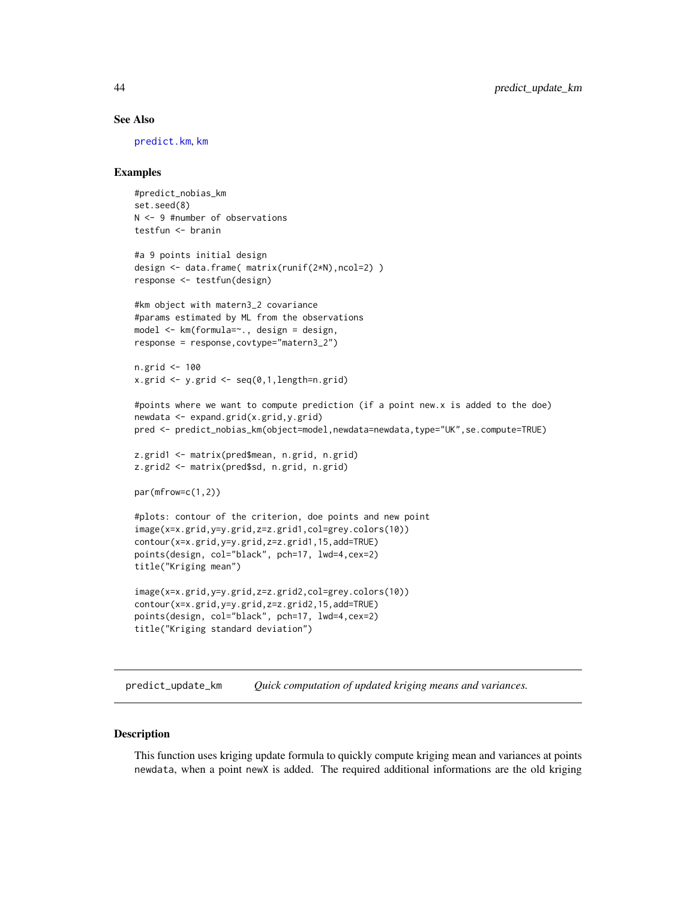### See Also

[predict.km](#page-0-0), [km](#page-0-0)

## Examples

```
#predict_nobias_km
set.seed(8)
N <- 9 #number of observations
testfun <- branin
#a 9 points initial design
design <- data.frame( matrix(runif(2*N),ncol=2) )
response <- testfun(design)
#km object with matern3_2 covariance
#params estimated by ML from the observations
model <- km(formula=~., design = design,
response = response,covtype="matern3_2")
n.grid <- 100
x.grid \leftarrow y.grid \leftarrow seq(0,1, length=n.grid)#points where we want to compute prediction (if a point new.x is added to the doe)
newdata <- expand.grid(x.grid,y.grid)
pred <- predict_nobias_km(object=model,newdata=newdata,type="UK",se.compute=TRUE)
z.grid1 <- matrix(pred$mean, n.grid, n.grid)
z.grid2 <- matrix(pred$sd, n.grid, n.grid)
par(mfrow=c(1,2))
#plots: contour of the criterion, doe points and new point
image(x=x.grid,y=y.grid,z=z.grid1,col=grey.colors(10))
contour(x=x.grid,y=y.grid,z=z.grid1,15,add=TRUE)
points(design, col="black", pch=17, lwd=4,cex=2)
title("Kriging mean")
image(x=x.grid,y=y.grid,z=z.grid2,col=grey.colors(10))
contour(x=x.grid,y=y.grid,z=z.grid2,15,add=TRUE)
points(design, col="black", pch=17, lwd=4,cex=2)
title("Kriging standard deviation")
```
<span id="page-43-0"></span>predict\_update\_km *Quick computation of updated kriging means and variances.*

#### **Description**

This function uses kriging update formula to quickly compute kriging mean and variances at points newdata, when a point newX is added. The required additional informations are the old kriging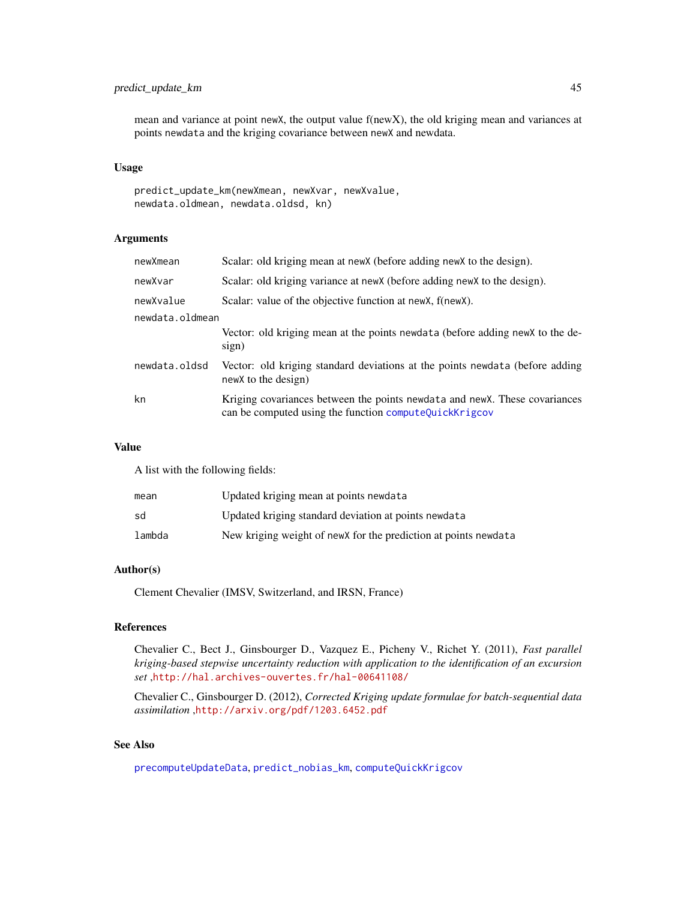# predict\_update\_km 45

mean and variance at point newX, the output value f(newX), the old kriging mean and variances at points newdata and the kriging covariance between newX and newdata.

## Usage

predict\_update\_km(newXmean, newXvar, newXvalue, newdata.oldmean, newdata.oldsd, kn)

# Arguments

| newXmean        | Scalar: old kriging mean at new X (before adding new X to the design).                                                                |  |
|-----------------|---------------------------------------------------------------------------------------------------------------------------------------|--|
| newXvar         | Scalar: old kriging variance at new X (before adding new X to the design).                                                            |  |
| newXvalue       | Scalar: value of the objective function at new X, f(new X).                                                                           |  |
| newdata.oldmean |                                                                                                                                       |  |
|                 | Vector: old kriging mean at the points newdata (before adding new X to the de-<br>sign)                                               |  |
| newdata.oldsd   | Vector: old kriging standard deviations at the points newdata (before adding<br>newX to the design)                                   |  |
| kn              | Kriging covariances between the points newdata and new X. These covariances<br>can be computed using the function computeQuickKrigcov |  |

#### Value

A list with the following fields:

| mean   | Updated kriging mean at points newdata                           |
|--------|------------------------------------------------------------------|
| sd     | Updated kriging standard deviation at points newdata             |
| lambda | New kriging weight of new X for the prediction at points newdata |

## Author(s)

Clement Chevalier (IMSV, Switzerland, and IRSN, France)

## References

Chevalier C., Bect J., Ginsbourger D., Vazquez E., Picheny V., Richet Y. (2011), *Fast parallel kriging-based stepwise uncertainty reduction with application to the identification of an excursion set* ,<http://hal.archives-ouvertes.fr/hal-00641108/>

Chevalier C., Ginsbourger D. (2012), *Corrected Kriging update formulae for batch-sequential data assimilation* ,<http://arxiv.org/pdf/1203.6452.pdf>

# See Also

[precomputeUpdateData](#page-39-0), [predict\\_nobias\\_km](#page-41-0), [computeQuickKrigcov](#page-7-0)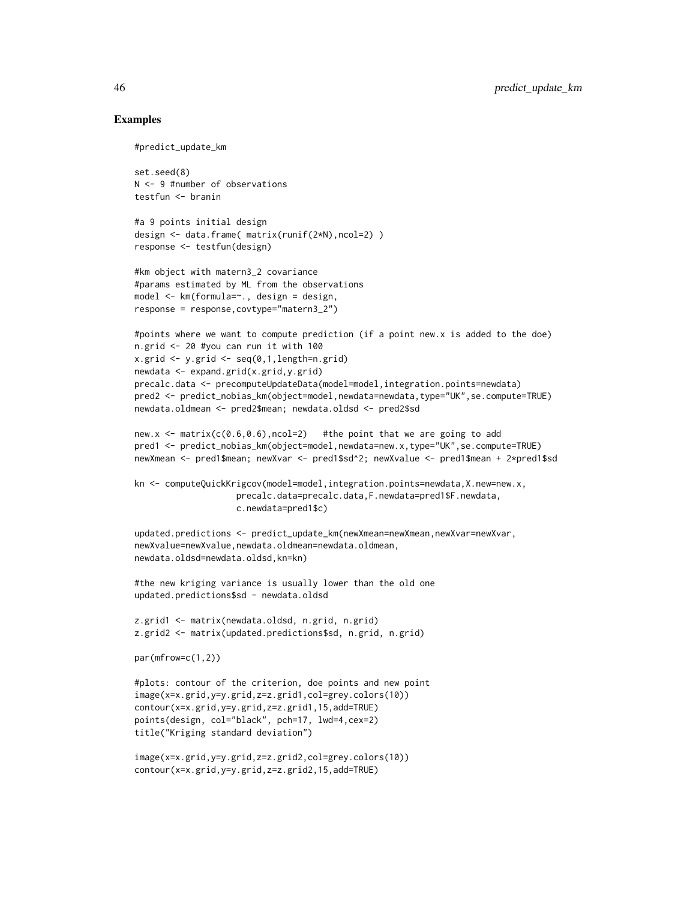## Examples

```
#predict_update_km
```
set.seed(8) N <- 9 #number of observations testfun <- branin

```
#a 9 points initial design
design <- data.frame( matrix(runif(2*N),ncol=2) )
response <- testfun(design)
```

```
#km object with matern3_2 covariance
#params estimated by ML from the observations
model <- km(formula=~., design = design,
response = response,covtype="matern3_2")
```

```
#points where we want to compute prediction (if a point new.x is added to the doe)
n.grid <- 20 #you can run it with 100
x.getid \leq y.getid \leq seq(0,1,length=n.grid)newdata <- expand.grid(x.grid,y.grid)
precalc.data <- precomputeUpdateData(model=model,integration.points=newdata)
pred2 <- predict_nobias_km(object=model,newdata=newdata,type="UK",se.compute=TRUE)
newdata.oldmean <- pred2$mean; newdata.oldsd <- pred2$sd
```

```
new.x \le matrix(c(0.6, 0.6), ncol=2) #the point that we are going to add
pred1 <- predict_nobias_km(object=model,newdata=new.x,type="UK",se.compute=TRUE)
newXmean <- pred1$mean; newXvar <- pred1$sd^2; newXvalue <- pred1$mean + 2*pred1$sd
```

```
kn <- computeQuickKrigcov(model=model,integration.points=newdata,X.new=new.x,
                    precalc.data=precalc.data,F.newdata=pred1$F.newdata,
                    c.newdata=pred1$c)
```

```
updated.predictions <- predict_update_km(newXmean=newXmean,newXvar=newXvar,
newXvalue=newXvalue,newdata.oldmean=newdata.oldmean,
newdata.oldsd=newdata.oldsd,kn=kn)
```
#the new kriging variance is usually lower than the old one updated.predictions\$sd - newdata.oldsd

```
z.grid1 <- matrix(newdata.oldsd, n.grid, n.grid)
z.grid2 <- matrix(updated.predictions$sd, n.grid, n.grid)
```

```
par(mfrow=c(1,2))
```

```
#plots: contour of the criterion, doe points and new point
image(x=x.grid,y=y.grid,z=z.grid1,col=grey.colors(10))
contour(x=x.grid,y=y.grid,z=z.grid1,15,add=TRUE)
points(design, col="black", pch=17, lwd=4,cex=2)
title("Kriging standard deviation")
```

```
image(x=x.grid,y=y.grid,z=z.grid2,col=grey.colors(10))
contour(x=x.grid,y=y.grid,z=z.grid2,15,add=TRUE)
```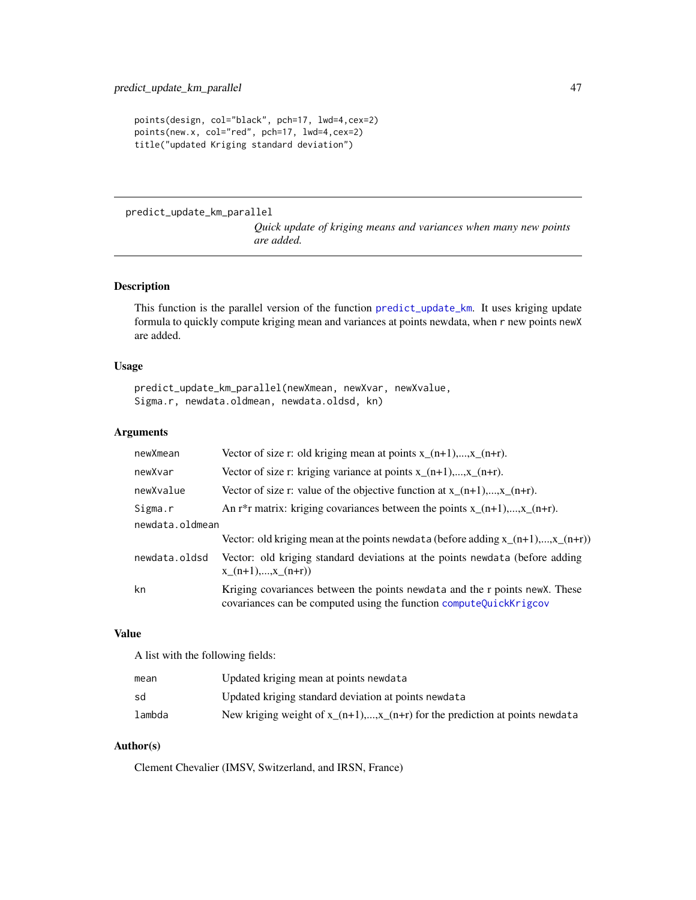```
points(design, col="black", pch=17, lwd=4,cex=2)
points(new.x, col="red", pch=17, lwd=4,cex=2)
title("updated Kriging standard deviation")
```
predict\_update\_km\_parallel

*Quick update of kriging means and variances when many new points are added.*

# Description

This function is the parallel version of the function [predict\\_update\\_km](#page-43-0). It uses kriging update formula to quickly compute kriging mean and variances at points newdata, when r new points newX are added.

### Usage

```
predict_update_km_parallel(newXmean, newXvar, newXvalue,
Sigma.r, newdata.oldmean, newdata.oldsd, kn)
```
# Arguments

| newXmean        | Vector of size r: old kriging mean at points $x_{-}(n+1),,x_{-}(n+r)$ .                                                                            |
|-----------------|----------------------------------------------------------------------------------------------------------------------------------------------------|
| newXvar         | Vector of size r: kriging variance at points $x_{-}(n+1),,x_{-}(n+r)$ .                                                                            |
| newXvalue       | Vector of size r: value of the objective function at $x_{-}(n+1),,x_{-}(n+r)$ .                                                                    |
| Sigma.r         | An r <sup>*</sup> r matrix: kriging covariances between the points $x_{-}(n+1),,x_{-}(n+r)$ .                                                      |
| newdata.oldmean |                                                                                                                                                    |
|                 | Vector: old kriging mean at the points newdata (before adding $x_{(n+1),,x_{(n+r)}}$ )                                                             |
| newdata.oldsd   | Vector: old kriging standard deviations at the points newdata (before adding<br>$x(n+1),,x(n+r)$                                                   |
| kn              | Kriging covariances between the points newdata and the r points new X. These<br>covariances can be computed using the function computeQuickKrigcov |

### Value

A list with the following fields:

| mean   | Updated kriging mean at points newdata                                        |
|--------|-------------------------------------------------------------------------------|
| sd     | Updated kriging standard deviation at points newdata                          |
| lambda | New kriging weight of $x_{n+1},,x_{n+1}$ for the prediction at points newdata |

## Author(s)

Clement Chevalier (IMSV, Switzerland, and IRSN, France)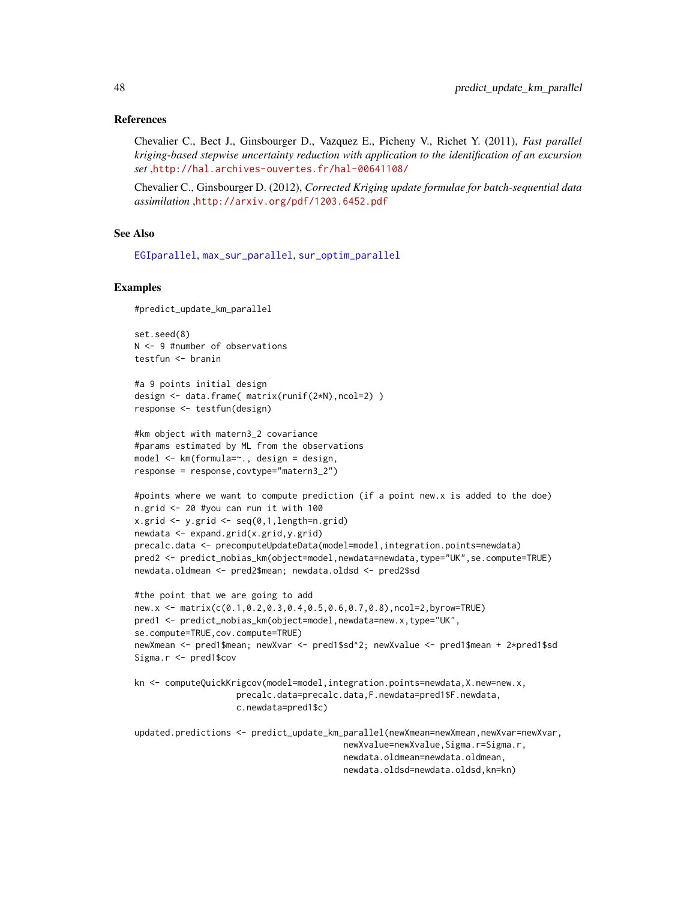### References

Chevalier C., Bect J., Ginsbourger D., Vazquez E., Picheny V., Richet Y. (2011), *Fast parallel kriging-based stepwise uncertainty reduction with application to the identification of an excursion set* ,<http://hal.archives-ouvertes.fr/hal-00641108/>

Chevalier C., Ginsbourger D. (2012), *Corrected Kriging update formulae for batch-sequential data assimilation* ,<http://arxiv.org/pdf/1203.6452.pdf>

#### See Also

[EGIparallel](#page-15-0), [max\\_sur\\_parallel](#page-29-0), [sur\\_optim\\_parallel](#page-61-0)

### Examples

```
#predict_update_km_parallel
```
set.seed(8) N <- 9 #number of observations testfun <- branin

```
#a 9 points initial design
design <- data.frame( matrix(runif(2*N),ncol=2) )
response <- testfun(design)
```

```
#km object with matern3_2 covariance
#params estimated by ML from the observations
model <- km(formula=~., design = design,
response = response,covtype="matern3_2")
```

```
#points where we want to compute prediction (if a point new.x is added to the doe)
n.grid <- 20 #you can run it with 100
x.getid \leq y.getid \leq seq(0,1,length=n.grid)newdata <- expand.grid(x.grid,y.grid)
precalc.data <- precomputeUpdateData(model=model,integration.points=newdata)
pred2 <- predict_nobias_km(object=model,newdata=newdata,type="UK",se.compute=TRUE)
newdata.oldmean <- pred2$mean; newdata.oldsd <- pred2$sd
```

```
#the point that we are going to add
new.x <- matrix(c(0.1,0.2,0.3,0.4,0.5,0.6,0.7,0.8),ncol=2,byrow=TRUE)
pred1 <- predict_nobias_km(object=model,newdata=new.x,type="UK",
se.compute=TRUE,cov.compute=TRUE)
newXmean <- pred1$mean; newXvar <- pred1$sd^2; newXvalue <- pred1$mean + 2*pred1$sd
Sigma.r <- pred1$cov
```

```
kn <- computeQuickKrigcov(model=model,integration.points=newdata,X.new=new.x,
                    precalc.data=precalc.data,F.newdata=pred1$F.newdata,
                    c.newdata=pred1$c)
```
updated.predictions <- predict\_update\_km\_parallel(newXmean=newXmean,newXvar=newXvar, newXvalue=newXvalue,Sigma.r=Sigma.r, newdata.oldmean=newdata.oldmean, newdata.oldsd=newdata.oldsd,kn=kn)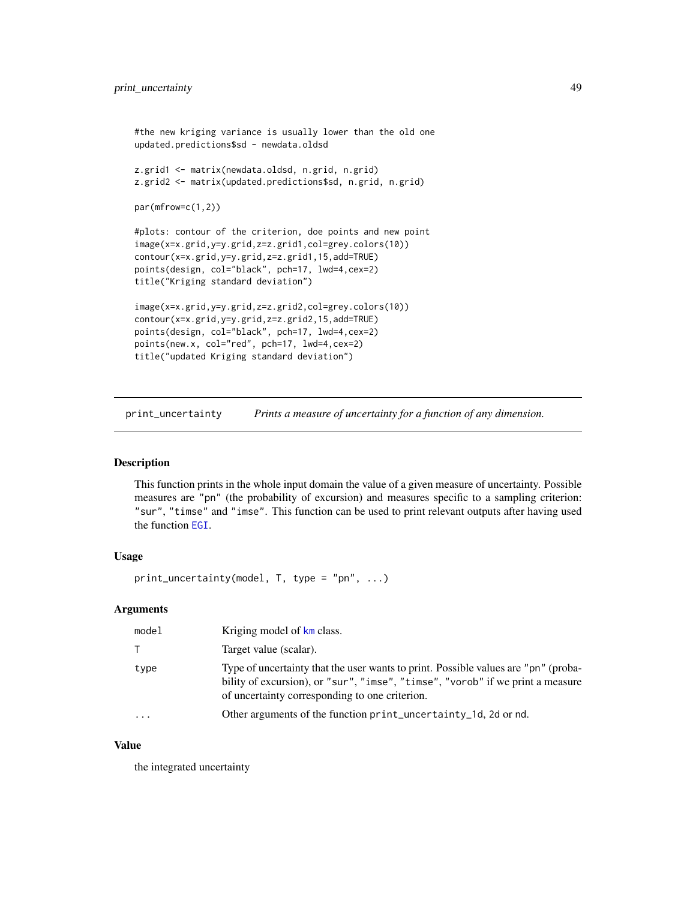```
#the new kriging variance is usually lower than the old one
updated.predictions$sd - newdata.oldsd
z.grid1 <- matrix(newdata.oldsd, n.grid, n.grid)
z.grid2 <- matrix(updated.predictions$sd, n.grid, n.grid)
par(mfrow=c(1,2))
#plots: contour of the criterion, doe points and new point
image(x=x.grid,y=y.grid,z=z.grid1,col=grey.colors(10))
contour(x=x.grid,y=y.grid,z=z.grid1,15,add=TRUE)
points(design, col="black", pch=17, lwd=4,cex=2)
title("Kriging standard deviation")
image(x=x.grid,y=y.grid,z=z.grid2,col=grey.colors(10))
contour(x=x.grid,y=y.grid,z=z.grid2,15,add=TRUE)
points(design, col="black", pch=17, lwd=4,cex=2)
points(new.x, col="red", pch=17, lwd=4,cex=2)
title("updated Kriging standard deviation")
```
print\_uncertainty *Prints a measure of uncertainty for a function of any dimension.*

# **Description**

This function prints in the whole input domain the value of a given measure of uncertainty. Possible measures are "pn" (the probability of excursion) and measures specific to a sampling criterion: "sur", "timse" and "imse". This function can be used to print relevant outputs after having used the function [EGI](#page-11-0).

# Usage

```
print_uncertainty(model, T, type = "pn", ...)
```
## Arguments

| model    | Kriging model of km class.                                                                                                                                                                                             |
|----------|------------------------------------------------------------------------------------------------------------------------------------------------------------------------------------------------------------------------|
|          | Target value (scalar).                                                                                                                                                                                                 |
| type     | Type of uncertainty that the user wants to print. Possible values are "pn" (proba-<br>bility of excursion), or "sur", "imse", "timse", "vorob" if we print a measure<br>of uncertainty corresponding to one criterion. |
| $\cdots$ | Other arguments of the function print_uncertainty_1d, 2d or nd.                                                                                                                                                        |

# Value

the integrated uncertainty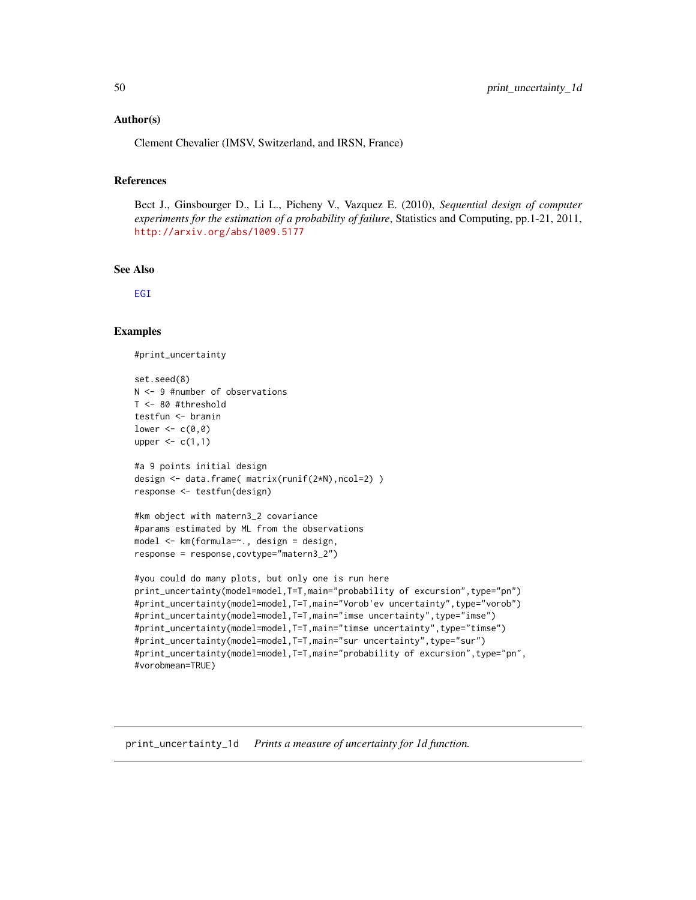## Author(s)

Clement Chevalier (IMSV, Switzerland, and IRSN, France)

## References

Bect J., Ginsbourger D., Li L., Picheny V., Vazquez E. (2010), *Sequential design of computer experiments for the estimation of a probability of failure*, Statistics and Computing, pp.1-21, 2011, <http://arxiv.org/abs/1009.5177>

#### See Also

[EGI](#page-11-0)

# Examples

```
#print_uncertainty
```

```
set.seed(8)
N <- 9 #number of observations
T <- 80 #threshold
testfun <- branin
lower \leq c(0,0)upper \leq c(1,1)#a 9 points initial design
design <- data.frame( matrix(runif(2*N),ncol=2) )
response <- testfun(design)
#km object with matern3_2 covariance
#params estimated by ML from the observations
model <- km(formula=~., design = design,
response = response,covtype="matern3_2")
#you could do many plots, but only one is run here
print_uncertainty(model=model,T=T,main="probability of excursion",type="pn")
#print_uncertainty(model=model,T=T,main="Vorob'ev uncertainty",type="vorob")
#print_uncertainty(model=model,T=T,main="imse uncertainty",type="imse")
#print_uncertainty(model=model,T=T,main="timse uncertainty",type="timse")
#print_uncertainty(model=model,T=T,main="sur uncertainty",type="sur")
#print_uncertainty(model=model,T=T,main="probability of excursion",type="pn",
#vorobmean=TRUE)
```
print\_uncertainty\_1d *Prints a measure of uncertainty for 1d function.*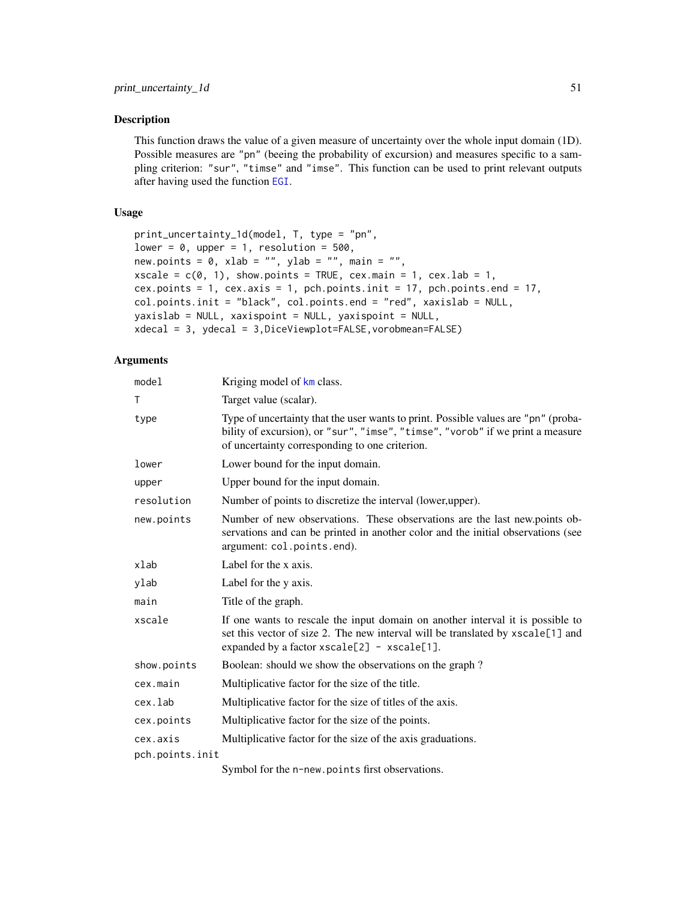## Description

This function draws the value of a given measure of uncertainty over the whole input domain (1D). Possible measures are "pn" (beeing the probability of excursion) and measures specific to a sampling criterion: "sur", "timse" and "imse". This function can be used to print relevant outputs after having used the function [EGI](#page-11-0).

## Usage

```
print_uncertainty_1d(model, T, type = "pn",
lower = 0, upper = 1, resolution = 500,
new.points = 0, xlab = "", ylab = "", main = "",
xscale = c(0, 1), show points = TRUE, cex.mainloop = 1, cexuab = 1,cex.points = 1, cex.axis = 1, pch.points.init = 17, pch.points.end = 17,
col.points.init = "black", col.points.end = "red", xaxislab = NULL,
yaxislab = NULL, xaxispoint = NULL, yaxispoint = NULL,
xdecal = 3, ydecal = 3,DiceViewplot=FALSE,vorobmean=FALSE)
```
# Arguments

| Kriging model of km class.                                                                                                                                                                                             |
|------------------------------------------------------------------------------------------------------------------------------------------------------------------------------------------------------------------------|
| Target value (scalar).                                                                                                                                                                                                 |
| Type of uncertainty that the user wants to print. Possible values are "pn" (proba-<br>bility of excursion), or "sur", "imse", "timse", "vorob" if we print a measure<br>of uncertainty corresponding to one criterion. |
| Lower bound for the input domain.                                                                                                                                                                                      |
| Upper bound for the input domain.                                                                                                                                                                                      |
| Number of points to discretize the interval (lower, upper).                                                                                                                                                            |
| Number of new observations. These observations are the last new points ob-<br>servations and can be printed in another color and the initial observations (see<br>argument: col.points.end).                           |
| Label for the x axis.                                                                                                                                                                                                  |
| Label for the y axis.                                                                                                                                                                                                  |
| Title of the graph.                                                                                                                                                                                                    |
| If one wants to rescale the input domain on another interval it is possible to<br>set this vector of size 2. The new interval will be translated by xscale[1] and<br>expanded by a factor $xscale[2] - xscale[1].$     |
| Boolean: should we show the observations on the graph?                                                                                                                                                                 |
| Multiplicative factor for the size of the title.                                                                                                                                                                       |
| Multiplicative factor for the size of titles of the axis.                                                                                                                                                              |
| Multiplicative factor for the size of the points.                                                                                                                                                                      |
| Multiplicative factor for the size of the axis graduations.                                                                                                                                                            |
| pch.points.init                                                                                                                                                                                                        |
|                                                                                                                                                                                                                        |

Symbol for the n-new.points first observations.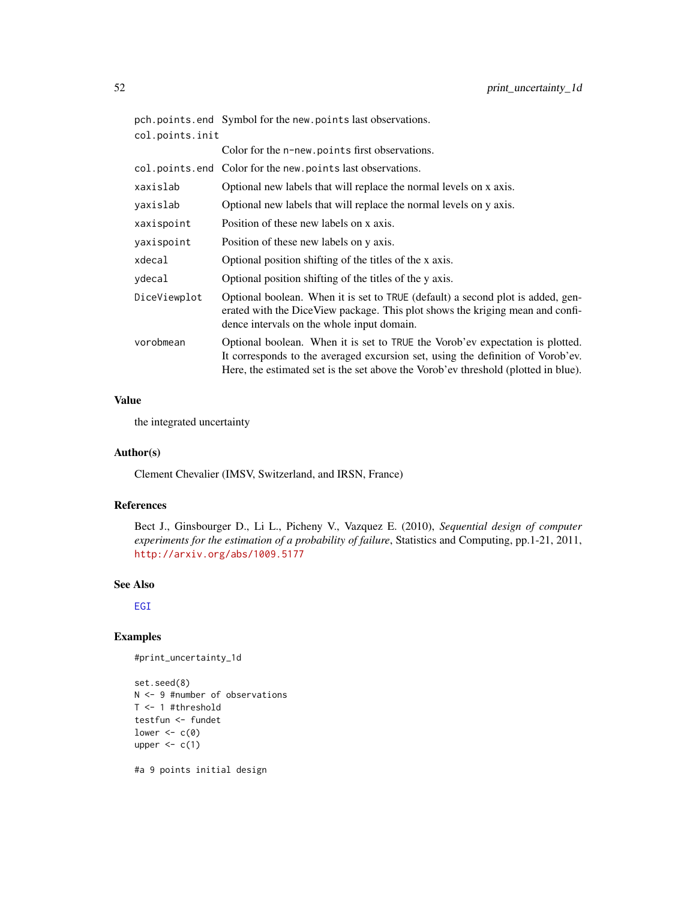|                 | pch.points.end Symbol for the new.points last observations.                                                                                                                                                                                            |
|-----------------|--------------------------------------------------------------------------------------------------------------------------------------------------------------------------------------------------------------------------------------------------------|
| col.points.init |                                                                                                                                                                                                                                                        |
|                 | Color for the n-new. points first observations.                                                                                                                                                                                                        |
|                 | col.points.end Color for the new.points last observations.                                                                                                                                                                                             |
| xaxislab        | Optional new labels that will replace the normal levels on x axis.                                                                                                                                                                                     |
| yaxislab        | Optional new labels that will replace the normal levels on y axis.                                                                                                                                                                                     |
| xaxispoint      | Position of these new labels on x axis.                                                                                                                                                                                                                |
| yaxispoint      | Position of these new labels on y axis.                                                                                                                                                                                                                |
| xdecal          | Optional position shifting of the titles of the x axis.                                                                                                                                                                                                |
| ydecal          | Optional position shifting of the titles of the y axis.                                                                                                                                                                                                |
| DiceViewplot    | Optional boolean. When it is set to TRUE (default) a second plot is added, gen-<br>erated with the DiceView package. This plot shows the kriging mean and confi-<br>dence intervals on the whole input domain.                                         |
| vorobmean       | Optional boolean. When it is set to TRUE the Vorob'ev expectation is plotted.<br>It corresponds to the averaged excursion set, using the definition of Vorob'ev.<br>Here, the estimated set is the set above the Vorob'ev threshold (plotted in blue). |

# Value

the integrated uncertainty

# Author(s)

Clement Chevalier (IMSV, Switzerland, and IRSN, France)

# References

Bect J., Ginsbourger D., Li L., Picheny V., Vazquez E. (2010), *Sequential design of computer experiments for the estimation of a probability of failure*, Statistics and Computing, pp.1-21, 2011, <http://arxiv.org/abs/1009.5177>

### See Also

[EGI](#page-11-0)

# Examples

```
#print_uncertainty_1d
```

```
set.seed(8)
N <- 9 #number of observations
T <- 1 #threshold
testfun <- fundet
lower <-c(0)upper \leq c(1)#a 9 points initial design
```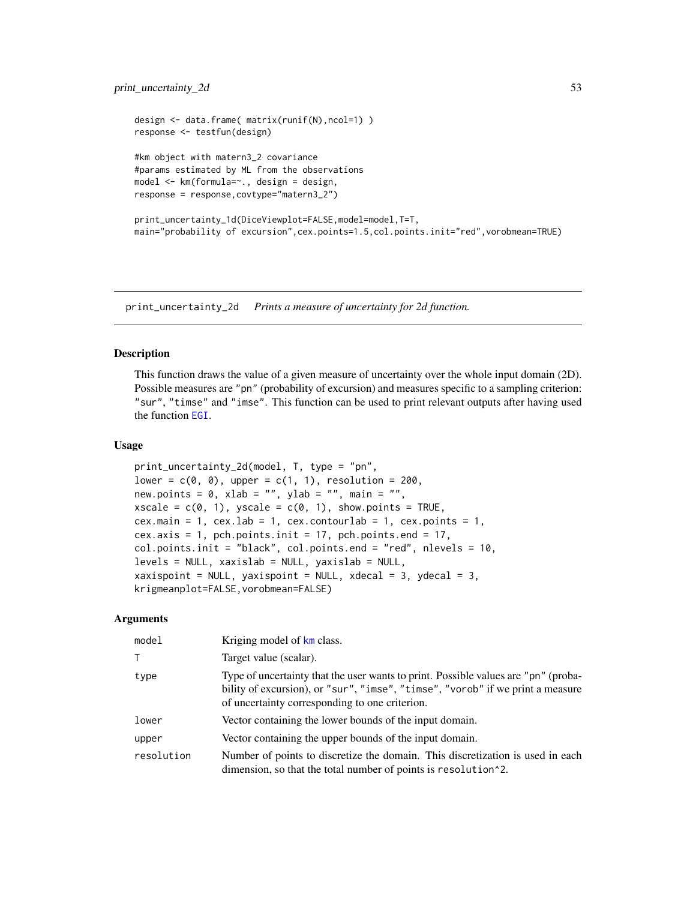```
design <- data.frame( matrix(runif(N),ncol=1) )
response <- testfun(design)
#km object with matern3_2 covariance
#params estimated by ML from the observations
model <- km(formula=~., design = design,
response = response,covtype="matern3_2")
print_uncertainty_1d(DiceViewplot=FALSE,model=model,T=T,
main="probability of excursion",cex.points=1.5,col.points.init="red",vorobmean=TRUE)
```
print\_uncertainty\_2d *Prints a measure of uncertainty for 2d function.*

## **Description**

This function draws the value of a given measure of uncertainty over the whole input domain (2D). Possible measures are "pn" (probability of excursion) and measures specific to a sampling criterion: "sur", "timse" and "imse". This function can be used to print relevant outputs after having used the function [EGI](#page-11-0).

## Usage

```
print_uncertainty_2d(model, T, type = "pn",
lower = c(0, 0), upper = c(1, 1), resolution = 200,
new.points = 0, xlab = "", ylab = "", main = "",
xscale = c(0, 1), yscale = c(0, 1), show points = TRUE,cex.main = 1, cex.lab = 1, cex.contourlab = 1, cex.points = 1,
cex.axis = 1, pch.points.init = 17, pch.points.end = 17,
col.points.init = "black", col.points.end = "red", nlevels = 10,
levels = NULL, xaxislab = NULL, yaxislab = NULL,
xaxispoint = NULL, yaxispoint = NULL, xdecal = 3, ydecal = 3,
krigmeanplot=FALSE,vorobmean=FALSE)
```
# Arguments

| model      | Kriging model of km class.                                                                                                                                                                                             |
|------------|------------------------------------------------------------------------------------------------------------------------------------------------------------------------------------------------------------------------|
| т          | Target value (scalar).                                                                                                                                                                                                 |
| type       | Type of uncertainty that the user wants to print. Possible values are "pn" (proba-<br>bility of excursion), or "sur", "imse", "timse", "vorob" if we print a measure<br>of uncertainty corresponding to one criterion. |
| lower      | Vector containing the lower bounds of the input domain.                                                                                                                                                                |
| upper      | Vector containing the upper bounds of the input domain.                                                                                                                                                                |
| resolution | Number of points to discretize the domain. This discretization is used in each<br>dimension, so that the total number of points is resolution <sup>1</sup> 2.                                                          |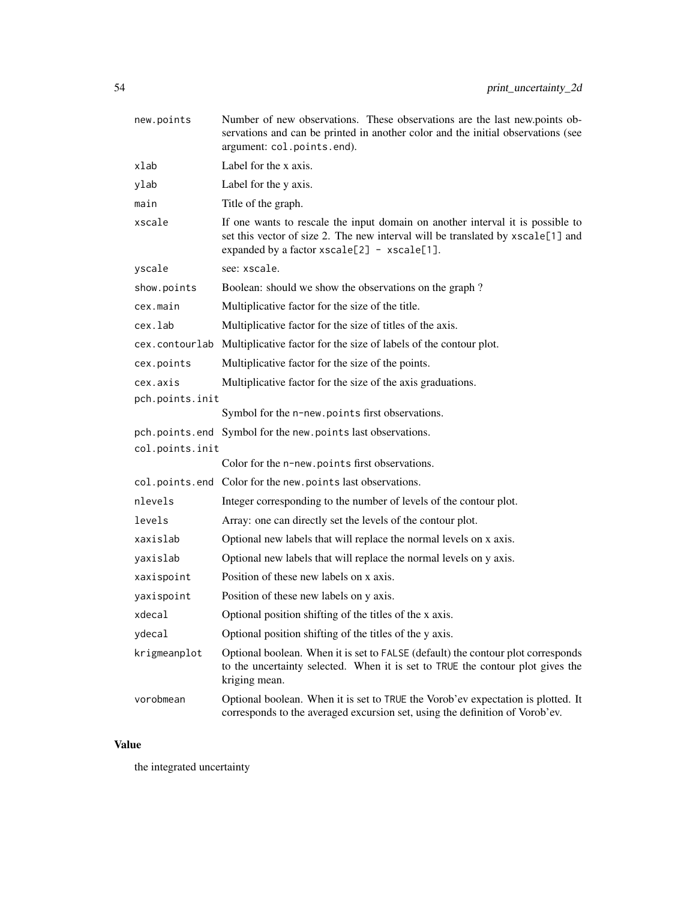| new.points      | Number of new observations. These observations are the last new.points ob-<br>servations and can be printed in another color and the initial observations (see<br>argument: col.points.end).                     |
|-----------------|------------------------------------------------------------------------------------------------------------------------------------------------------------------------------------------------------------------|
| xlab            | Label for the x axis.                                                                                                                                                                                            |
| ylab            | Label for the y axis.                                                                                                                                                                                            |
| main            | Title of the graph.                                                                                                                                                                                              |
| xscale          | If one wants to rescale the input domain on another interval it is possible to<br>set this vector of size 2. The new interval will be translated by xscale[1] and<br>expanded by a factor xscale[2] - xscale[1]. |
| yscale          | see: xscale.                                                                                                                                                                                                     |
| show.points     | Boolean: should we show the observations on the graph?                                                                                                                                                           |
| cex.main        | Multiplicative factor for the size of the title.                                                                                                                                                                 |
| cex.lab         | Multiplicative factor for the size of titles of the axis.                                                                                                                                                        |
|                 | cex.contourlab Multiplicative factor for the size of labels of the contour plot.                                                                                                                                 |
| cex.points      | Multiplicative factor for the size of the points.                                                                                                                                                                |
| cex.axis        | Multiplicative factor for the size of the axis graduations.                                                                                                                                                      |
| pch.points.init |                                                                                                                                                                                                                  |
|                 | Symbol for the n-new.points first observations.                                                                                                                                                                  |
|                 | pch.points.end Symbol for the new.points last observations.                                                                                                                                                      |
| col.points.init |                                                                                                                                                                                                                  |
|                 | Color for the n-new.points first observations.                                                                                                                                                                   |
|                 | col.points.end Color for the new.points last observations.                                                                                                                                                       |
| nlevels         | Integer corresponding to the number of levels of the contour plot.                                                                                                                                               |
| levels          | Array: one can directly set the levels of the contour plot.                                                                                                                                                      |
| xaxislab        | Optional new labels that will replace the normal levels on x axis.                                                                                                                                               |
| yaxislab        | Optional new labels that will replace the normal levels on y axis.                                                                                                                                               |
| xaxispoint      | Position of these new labels on x axis.                                                                                                                                                                          |
| yaxispoint      | Position of these new labels on y axis.                                                                                                                                                                          |
| xdecal          | Optional position shifting of the titles of the x axis.                                                                                                                                                          |
| ydecal          | Optional position shifting of the titles of the y axis.                                                                                                                                                          |
| krigmeanplot    | Optional boolean. When it is set to FALSE (default) the contour plot corresponds<br>to the uncertainty selected. When it is set to TRUE the contour plot gives the<br>kriging mean.                              |
| vorobmean       | Optional boolean. When it is set to TRUE the Vorob'ev expectation is plotted. It<br>corresponds to the averaged excursion set, using the definition of Vorob'ev.                                                 |

# Value

the integrated uncertainty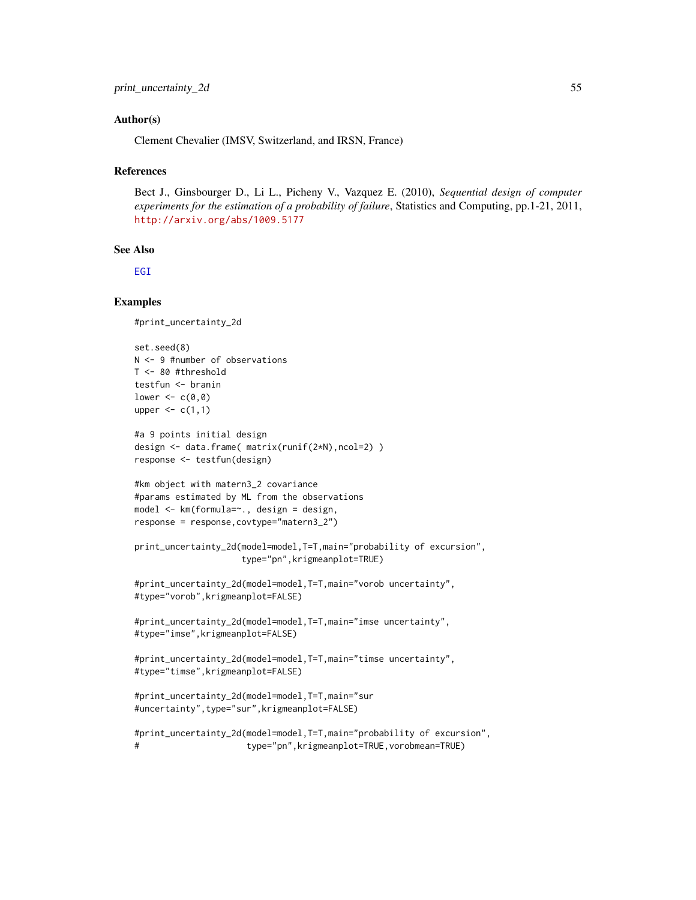## Author(s)

Clement Chevalier (IMSV, Switzerland, and IRSN, France)

#### References

Bect J., Ginsbourger D., Li L., Picheny V., Vazquez E. (2010), *Sequential design of computer experiments for the estimation of a probability of failure*, Statistics and Computing, pp.1-21, 2011, <http://arxiv.org/abs/1009.5177>

## See Also

[EGI](#page-11-0)

### Examples

#print\_uncertainty\_2d

```
set.seed(8)
N <- 9 #number of observations
T <- 80 #threshold
testfun <- branin
lower <-c(0,0)upper \leq c(1,1)#a 9 points initial design
design <- data.frame( matrix(runif(2*N),ncol=2) )
response <- testfun(design)
#km object with matern3_2 covariance
#params estimated by ML from the observations
model <- km(formula=~., design = design,
response = response,covtype="matern3_2")
print_uncertainty_2d(model=model,T=T,main="probability of excursion",
                    type="pn",krigmeanplot=TRUE)
#print_uncertainty_2d(model=model,T=T,main="vorob uncertainty",
#type="vorob",krigmeanplot=FALSE)
#print_uncertainty_2d(model=model,T=T,main="imse uncertainty",
#type="imse",krigmeanplot=FALSE)
#print_uncertainty_2d(model=model,T=T,main="timse uncertainty",
#type="timse",krigmeanplot=FALSE)
#print_uncertainty_2d(model=model,T=T,main="sur
#uncertainty",type="sur",krigmeanplot=FALSE)
#print_uncertainty_2d(model=model,T=T,main="probability of excursion",
# type="pn",krigmeanplot=TRUE,vorobmean=TRUE)
```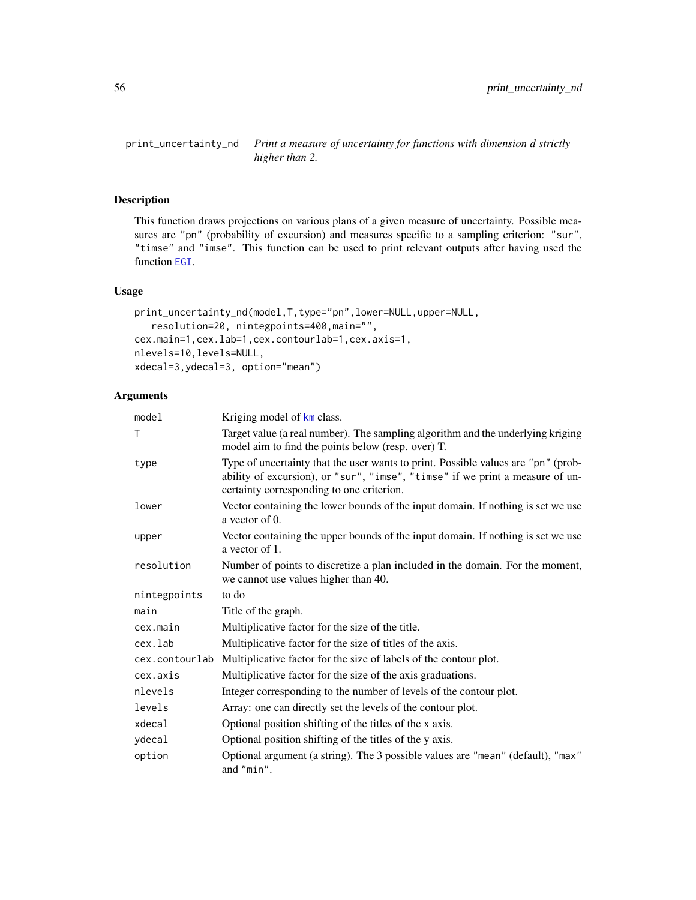print\_uncertainty\_nd *Print a measure of uncertainty for functions with dimension d strictly higher than 2.*

# Description

This function draws projections on various plans of a given measure of uncertainty. Possible measures are "pn" (probability of excursion) and measures specific to a sampling criterion: "sur", "timse" and "imse". This function can be used to print relevant outputs after having used the function [EGI](#page-11-0).

## Usage

```
print_uncertainty_nd(model, T, type="pn", lower=NULL, upper=NULL,
   resolution=20, nintegpoints=400,main="",
cex.main=1,cex.lab=1,cex.contourlab=1,cex.axis=1,
nlevels=10,levels=NULL,
xdecal=3,ydecal=3, option="mean")
```
## Arguments

| model          | Kriging model of km class.                                                                                                                                                                                      |
|----------------|-----------------------------------------------------------------------------------------------------------------------------------------------------------------------------------------------------------------|
| T              | Target value (a real number). The sampling algorithm and the underlying kriging<br>model aim to find the points below (resp. over) T.                                                                           |
| type           | Type of uncertainty that the user wants to print. Possible values are "pn" (prob-<br>ability of excursion), or "sur", "imse", "timse" if we print a measure of un-<br>certainty corresponding to one criterion. |
| lower          | Vector containing the lower bounds of the input domain. If nothing is set we use<br>a vector of $\theta$ .                                                                                                      |
| upper          | Vector containing the upper bounds of the input domain. If nothing is set we use<br>a vector of 1.                                                                                                              |
| resolution     | Number of points to discretize a plan included in the domain. For the moment,<br>we cannot use values higher than 40.                                                                                           |
| nintegpoints   | to do                                                                                                                                                                                                           |
| main           | Title of the graph.                                                                                                                                                                                             |
| cex.main       | Multiplicative factor for the size of the title.                                                                                                                                                                |
| cex.lab        | Multiplicative factor for the size of titles of the axis.                                                                                                                                                       |
| cex.contourlab | Multiplicative factor for the size of labels of the contour plot.                                                                                                                                               |
| cex.axis       | Multiplicative factor for the size of the axis graduations.                                                                                                                                                     |
| nlevels        | Integer corresponding to the number of levels of the contour plot.                                                                                                                                              |
| levels         | Array: one can directly set the levels of the contour plot.                                                                                                                                                     |
| xdecal         | Optional position shifting of the titles of the x axis.                                                                                                                                                         |
| ydecal         | Optional position shifting of the titles of the y axis.                                                                                                                                                         |
| option         | Optional argument (a string). The 3 possible values are "mean" (default), "max"<br>and "min".                                                                                                                   |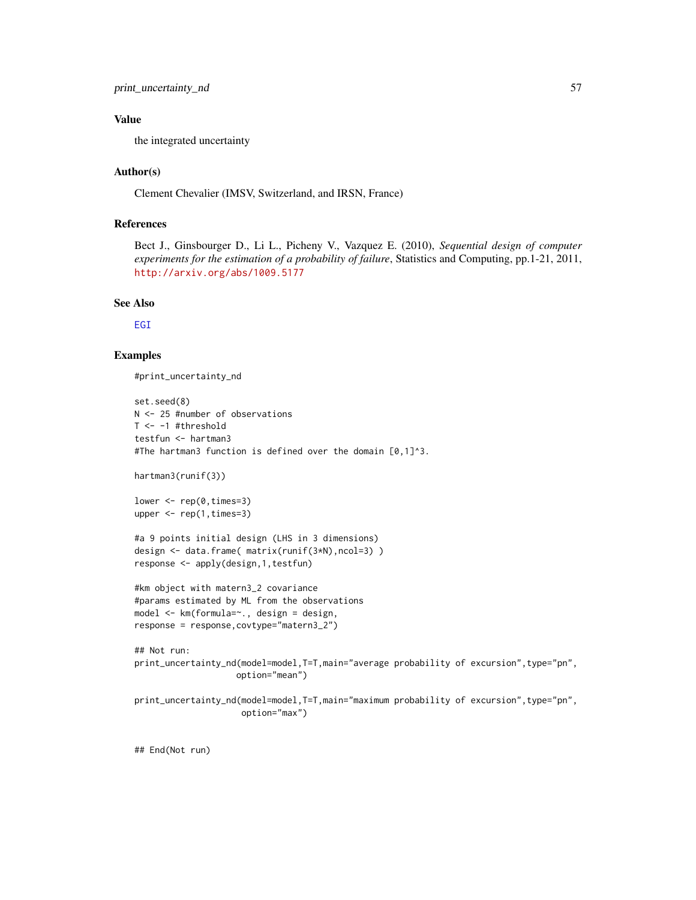# Value

the integrated uncertainty

## Author(s)

Clement Chevalier (IMSV, Switzerland, and IRSN, France)

# References

Bect J., Ginsbourger D., Li L., Picheny V., Vazquez E. (2010), *Sequential design of computer experiments for the estimation of a probability of failure*, Statistics and Computing, pp.1-21, 2011, <http://arxiv.org/abs/1009.5177>

### See Also

[EGI](#page-11-0)

## Examples

#print\_uncertainty\_nd

```
set.seed(8)
N <- 25 #number of observations
T <- -1 #threshold
testfun <- hartman3
#The hartman3 function is defined over the domain [0,1]^3.
hartman3(runif(3))
lower <- rep(0, times=3)
upper <- rep(1,times=3)
#a 9 points initial design (LHS in 3 dimensions)
design <- data.frame( matrix(runif(3*N),ncol=3) )
response <- apply(design,1,testfun)
#km object with matern3_2 covariance
#params estimated by ML from the observations
model <- km(formula=~., design = design,
response = response,covtype="matern3_2")
## Not run:
print_uncertainty_nd(model=model,T=T,main="average probability of excursion",type="pn",
                    option="mean")
print_uncertainty_nd(model=model,T=T,main="maximum probability of excursion",type="pn",
                     option="max")
```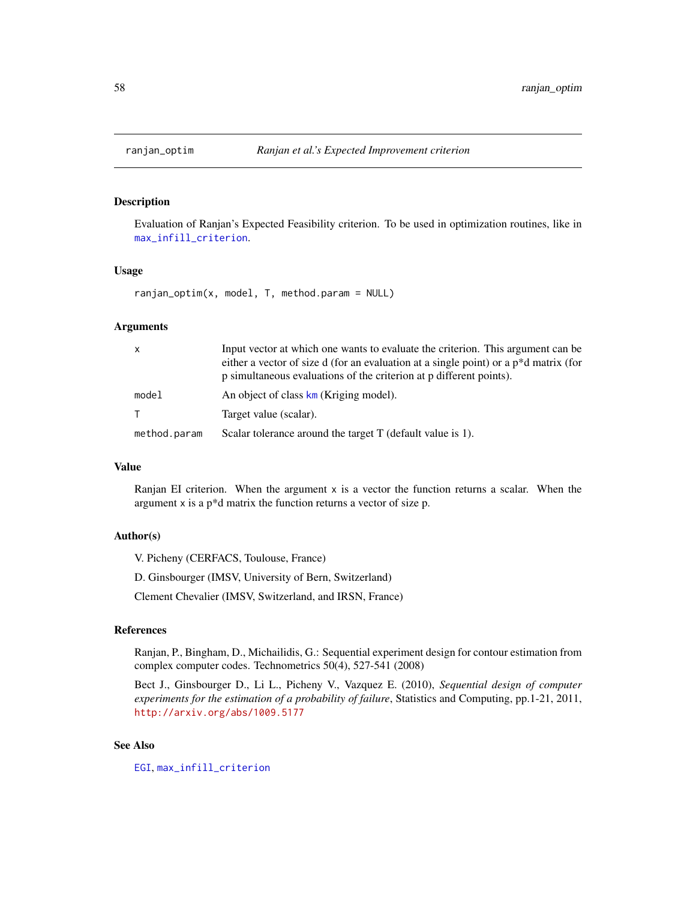## Description

Evaluation of Ranjan's Expected Feasibility criterion. To be used in optimization routines, like in [max\\_infill\\_criterion](#page-24-0).

## Usage

ranjan\_optim(x, model, T, method.param = NULL)

## Arguments

| $\mathsf{x}$ | Input vector at which one wants to evaluate the criterion. This argument can be<br>either a vector of size d (for an evaluation at a single point) or a p <sup>*</sup> d matrix (for<br>p simultaneous evaluations of the criterion at p different points). |
|--------------|-------------------------------------------------------------------------------------------------------------------------------------------------------------------------------------------------------------------------------------------------------------|
| model        | An object of class km (Kriging model).                                                                                                                                                                                                                      |
| $\top$       | Target value (scalar).                                                                                                                                                                                                                                      |
| method.param | Scalar tolerance around the target T (default value is 1).                                                                                                                                                                                                  |

# Value

Ranjan EI criterion. When the argument  $x$  is a vector the function returns a scalar. When the argument  $x$  is a  $p^*d$  matrix the function returns a vector of size  $p$ .

## Author(s)

V. Picheny (CERFACS, Toulouse, France)

D. Ginsbourger (IMSV, University of Bern, Switzerland)

Clement Chevalier (IMSV, Switzerland, and IRSN, France)

## References

Ranjan, P., Bingham, D., Michailidis, G.: Sequential experiment design for contour estimation from complex computer codes. Technometrics 50(4), 527-541 (2008)

Bect J., Ginsbourger D., Li L., Picheny V., Vazquez E. (2010), *Sequential design of computer experiments for the estimation of a probability of failure*, Statistics and Computing, pp.1-21, 2011, <http://arxiv.org/abs/1009.5177>

# See Also

[EGI](#page-11-0), [max\\_infill\\_criterion](#page-24-0)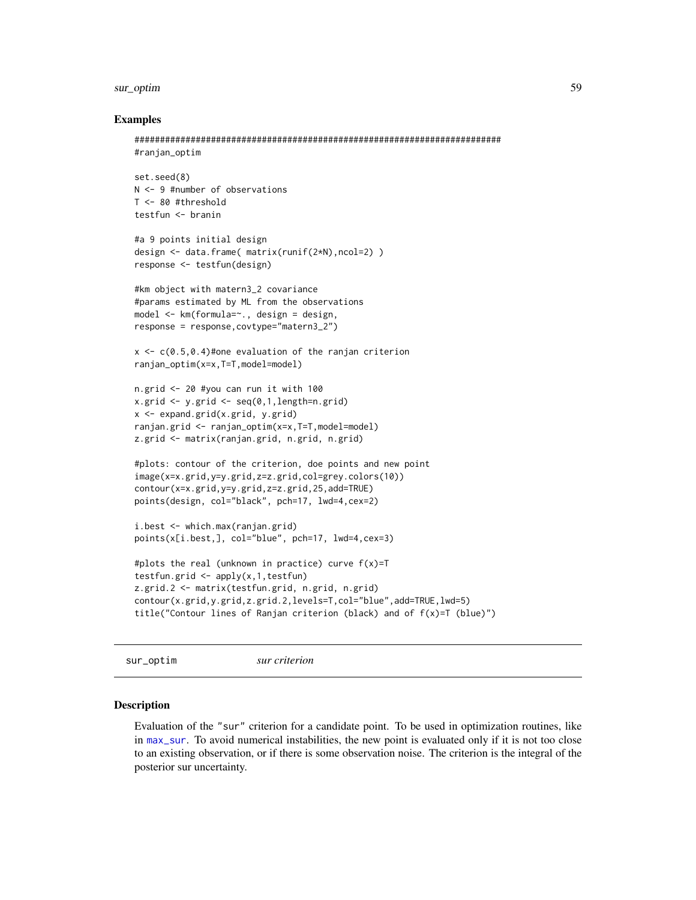### sur\_optim 59

### Examples

```
########################################################################
#ranjan_optim
```

```
set.seed(8)
N <- 9 #number of observations
T <- 80 #threshold
testfun <- branin
```

```
#a 9 points initial design
design <- data.frame( matrix(runif(2*N),ncol=2) )
response <- testfun(design)
```

```
#km object with matern3_2 covariance
#params estimated by ML from the observations
model <- km(formula=~., design = design,
response = response,covtype="matern3_2")
```

```
x \leq c(0.5, 0.4)#one evaluation of the ranjan criterion
ranjan_optim(x=x,T=T,model=model)
```

```
n.grid <- 20 #you can run it with 100
x.grid \le y.grid \le seg(0,1, length=n.grid)x <- expand.grid(x.grid, y.grid)
ranjan.grid <- ranjan_optim(x=x,T=T,model=model)
z.grid <- matrix(ranjan.grid, n.grid, n.grid)
```

```
#plots: contour of the criterion, doe points and new point
image(x=x.grid,y=y.grid,z=z.grid,col=grey.colors(10))
contour(x=x.grid,y=y.grid,z=z.grid,25,add=TRUE)
points(design, col="black", pch=17, lwd=4,cex=2)
```

```
i.best <- which.max(ranjan.grid)
points(x[i.best,], col="blue", pch=17, lwd=4,cex=3)
```

```
#plots the real (unknown in practice) curve f(x)=T
testfun.grid <- apply(x,1,testfun)
z.grid.2 <- matrix(testfun.grid, n.grid, n.grid)
contour(x.grid,y.grid,z.grid.2,levels=T,col="blue",add=TRUE,lwd=5)
title("Contour lines of Ranjan criterion (black) and of f(x)=T (blue)")
```

```
sur_optim sur criterion
```
## **Description**

Evaluation of the "sur" criterion for a candidate point. To be used in optimization routines, like in [max\\_sur](#page-26-0). To avoid numerical instabilities, the new point is evaluated only if it is not too close to an existing observation, or if there is some observation noise. The criterion is the integral of the posterior sur uncertainty.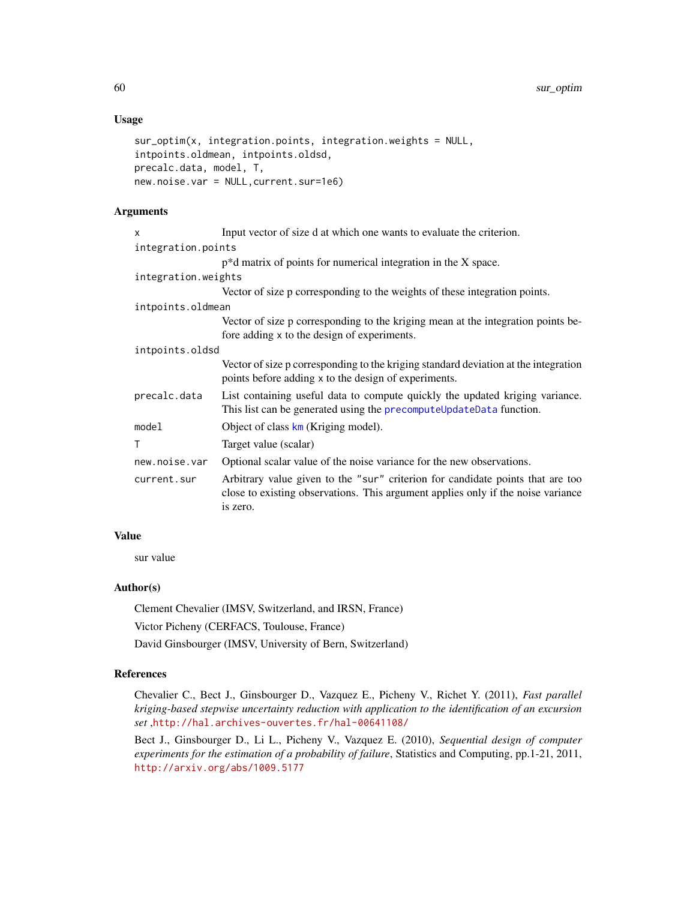## Usage

```
sur_optim(x, integration.points, integration.weights = NULL,
intpoints.oldmean, intpoints.oldsd,
precalc.data, model, T,
new.noise.var = NULL,current.sur=1e6)
```
## Arguments

| x                   | Input vector of size d at which one wants to evaluate the criterion.                                                                                                           |
|---------------------|--------------------------------------------------------------------------------------------------------------------------------------------------------------------------------|
| integration.points  |                                                                                                                                                                                |
|                     | $p^*d$ matrix of points for numerical integration in the X space.                                                                                                              |
| integration.weights |                                                                                                                                                                                |
|                     | Vector of size p corresponding to the weights of these integration points.                                                                                                     |
| intpoints.oldmean   |                                                                                                                                                                                |
|                     | Vector of size p corresponding to the kriging mean at the integration points be-<br>fore adding x to the design of experiments.                                                |
| intpoints.oldsd     |                                                                                                                                                                                |
|                     | Vector of size p corresponding to the kriging standard deviation at the integration<br>points before adding x to the design of experiments.                                    |
| precalc.data        | List containing useful data to compute quickly the updated kriging variance.<br>This list can be generated using the precomputeUpdateData function.                            |
| model               | Object of class km (Kriging model).                                                                                                                                            |
| T                   | Target value (scalar)                                                                                                                                                          |
| new.noise.var       | Optional scalar value of the noise variance for the new observations.                                                                                                          |
| current.sur         | Arbitrary value given to the "sur" criterion for candidate points that are too<br>close to existing observations. This argument applies only if the noise variance<br>is zero. |

## Value

sur value

## Author(s)

Clement Chevalier (IMSV, Switzerland, and IRSN, France)

Victor Picheny (CERFACS, Toulouse, France)

David Ginsbourger (IMSV, University of Bern, Switzerland)

# References

Chevalier C., Bect J., Ginsbourger D., Vazquez E., Picheny V., Richet Y. (2011), *Fast parallel kriging-based stepwise uncertainty reduction with application to the identification of an excursion set* ,<http://hal.archives-ouvertes.fr/hal-00641108/>

Bect J., Ginsbourger D., Li L., Picheny V., Vazquez E. (2010), *Sequential design of computer experiments for the estimation of a probability of failure*, Statistics and Computing, pp.1-21, 2011, <http://arxiv.org/abs/1009.5177>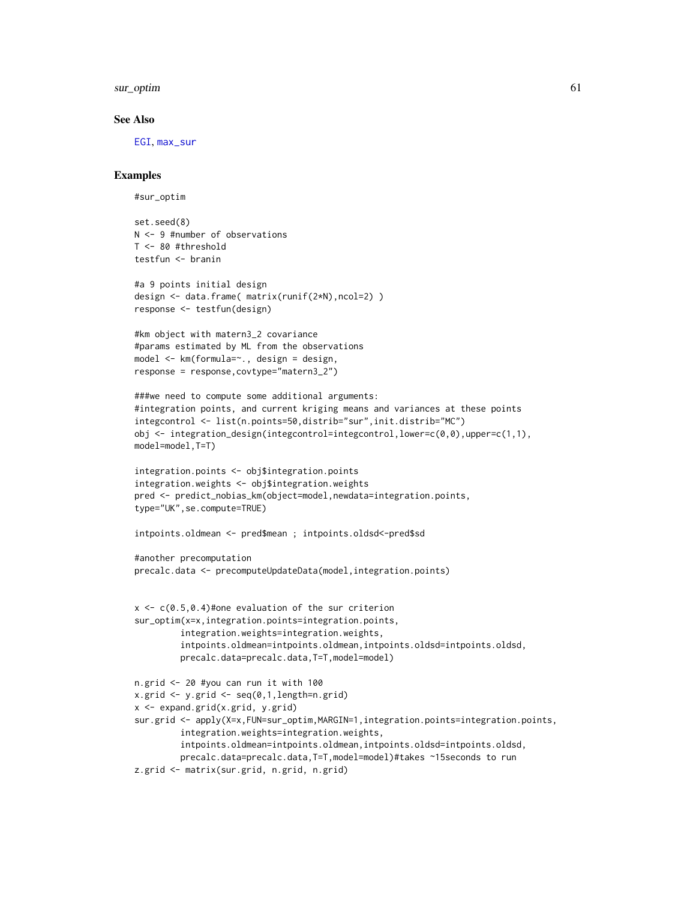sur\_optim 61

### See Also

[EGI](#page-11-0), [max\\_sur](#page-26-0)

## Examples

#sur\_optim

set.seed(8) N <- 9 #number of observations T <- 80 #threshold testfun <- branin

```
#a 9 points initial design
design <- data.frame( matrix(runif(2*N),ncol=2) )
response <- testfun(design)
```

```
#km object with matern3_2 covariance
#params estimated by ML from the observations
model <- km(formula=~., design = design,
response = response,covtype="matern3_2")
```

```
###we need to compute some additional arguments:
#integration points, and current kriging means and variances at these points
integcontrol <- list(n.points=50,distrib="sur",init.distrib="MC")
obj <- integration_design(integcontrol=integcontrol,lower=c(0,0),upper=c(1,1),
model=model,T=T)
```

```
integration.points <- obj$integration.points
integration.weights <- obj$integration.weights
pred <- predict_nobias_km(object=model,newdata=integration.points,
type="UK",se.compute=TRUE)
```
intpoints.oldmean <- pred\$mean ; intpoints.oldsd<-pred\$sd

```
#another precomputation
precalc.data <- precomputeUpdateData(model,integration.points)
```

```
x \leq c(0.5, 0.4)#one evaluation of the sur criterion
sur_optim(x=x,integration.points=integration.points,
         integration.weights=integration.weights,
         intpoints.oldmean=intpoints.oldmean,intpoints.oldsd=intpoints.oldsd,
         precalc.data=precalc.data,T=T,model=model)
n.grid <- 20 #you can run it with 100
x.grid \leq y.grid \leq seq(0,1, length=n.grid)
```

```
x <- expand.grid(x.grid, y.grid)
```

```
sur.grid <- apply(X=x,FUN=sur_optim,MARGIN=1,integration.points=integration.points,
         integration.weights=integration.weights,
         intpoints.oldmean=intpoints.oldmean,intpoints.oldsd=intpoints.oldsd,
        precalc.data=precalc.data,T=T,model=model)#takes ~15seconds to run
```

```
z.grid <- matrix(sur.grid, n.grid, n.grid)
```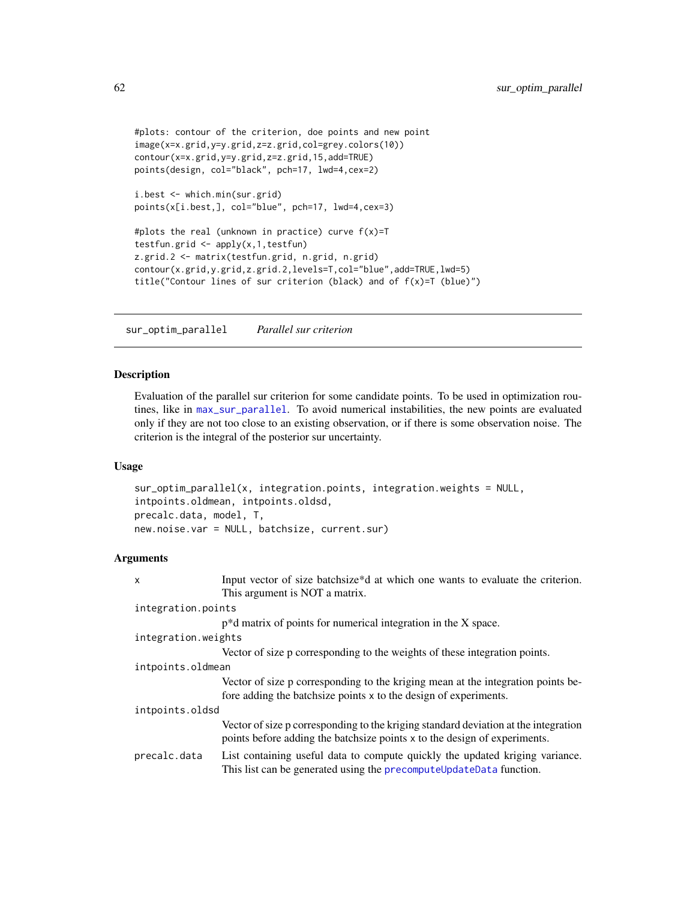```
#plots: contour of the criterion, doe points and new point
image(x=x.grid,y=y.grid,z=z.grid,col=grey.colors(10))
contour(x=x.grid,y=y.grid,z=z.grid,15,add=TRUE)
points(design, col="black", pch=17, lwd=4,cex=2)
```

```
i.best <- which.min(sur.grid)
points(x[i.best,], col="blue", pch=17, lwd=4,cex=3)
```

```
#plots the real (unknown in practice) curve f(x)=Ttestfun.grid <- apply(x,1,testfun)
z.grid.2 <- matrix(testfun.grid, n.grid, n.grid)
contour(x.grid,y.grid,z.grid.2,levels=T,col="blue",add=TRUE,lwd=5)
title("Contour lines of sur criterion (black) and of f(x)=T (blue)")
```
<span id="page-61-0"></span>sur\_optim\_parallel *Parallel sur criterion*

## Description

Evaluation of the parallel sur criterion for some candidate points. To be used in optimization routines, like in [max\\_sur\\_parallel](#page-29-0). To avoid numerical instabilities, the new points are evaluated only if they are not too close to an existing observation, or if there is some observation noise. The criterion is the integral of the posterior sur uncertainty.

## Usage

```
sur_optim_parallel(x, integration.points, integration.weights = NULL,
intpoints.oldmean, intpoints.oldsd,
precalc.data, model, T,
new.noise.var = NULL, batchsize, current.sur)
```
## Arguments

| X                   | Input vector of size batchsize*d at which one wants to evaluate the criterion.<br>This argument is NOT a matrix.                                                 |  |
|---------------------|------------------------------------------------------------------------------------------------------------------------------------------------------------------|--|
| integration.points  |                                                                                                                                                                  |  |
|                     | $p^*d$ matrix of points for numerical integration in the X space.                                                                                                |  |
| integration.weights |                                                                                                                                                                  |  |
|                     | Vector of size p corresponding to the weights of these integration points.                                                                                       |  |
| intpoints.oldmean   |                                                                                                                                                                  |  |
|                     | Vector of size p corresponding to the kriging mean at the integration points be-<br>fore adding the batchsize points x to the design of experiments.             |  |
| intpoints.oldsd     |                                                                                                                                                                  |  |
|                     | Vector of size p corresponding to the kriging standard deviation at the integration<br>points before adding the batchsize points x to the design of experiments. |  |
| precalc.data        | List containing useful data to compute quickly the updated kriging variance.<br>This list can be generated using the precompute UpdateData function.             |  |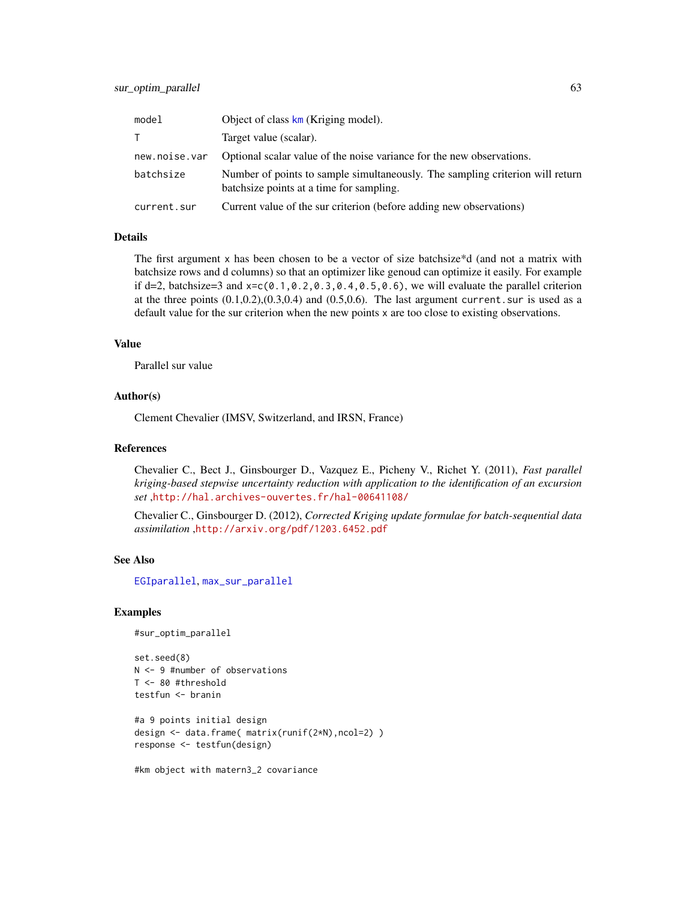| model         | Object of class $km$ (Kriging model).                                                                                     |
|---------------|---------------------------------------------------------------------------------------------------------------------------|
|               | Target value (scalar).                                                                                                    |
| new.noise.var | Optional scalar value of the noise variance for the new observations.                                                     |
| batchsize     | Number of points to sample simultaneously. The sampling criterion will return<br>batchsize points at a time for sampling. |
| current.sur   | Current value of the sur criterion (before adding new observations)                                                       |

## Details

The first argument x has been chosen to be a vector of size batchsize\*d (and not a matrix with batchsize rows and d columns) so that an optimizer like genoud can optimize it easily. For example if d=2, batchsize=3 and  $x = c(0.1, 0.2, 0.3, 0.4, 0.5, 0.6)$ , we will evaluate the parallel criterion at the three points  $(0.1, 0.2), (0.3, 0.4)$  and  $(0.5, 0.6)$ . The last argument current. sur is used as a default value for the sur criterion when the new points x are too close to existing observations.

## Value

Parallel sur value

## Author(s)

Clement Chevalier (IMSV, Switzerland, and IRSN, France)

## References

Chevalier C., Bect J., Ginsbourger D., Vazquez E., Picheny V., Richet Y. (2011), *Fast parallel kriging-based stepwise uncertainty reduction with application to the identification of an excursion set* ,<http://hal.archives-ouvertes.fr/hal-00641108/>

Chevalier C., Ginsbourger D. (2012), *Corrected Kriging update formulae for batch-sequential data assimilation* ,<http://arxiv.org/pdf/1203.6452.pdf>

## See Also

[EGIparallel](#page-15-0), [max\\_sur\\_parallel](#page-29-0)

### Examples

```
#sur_optim_parallel
```

```
set.seed(8)
N <- 9 #number of observations
T <- 80 #threshold
testfun <- branin
```

```
#a 9 points initial design
design <- data.frame( matrix(runif(2*N),ncol=2) )
response <- testfun(design)
```
#km object with matern3\_2 covariance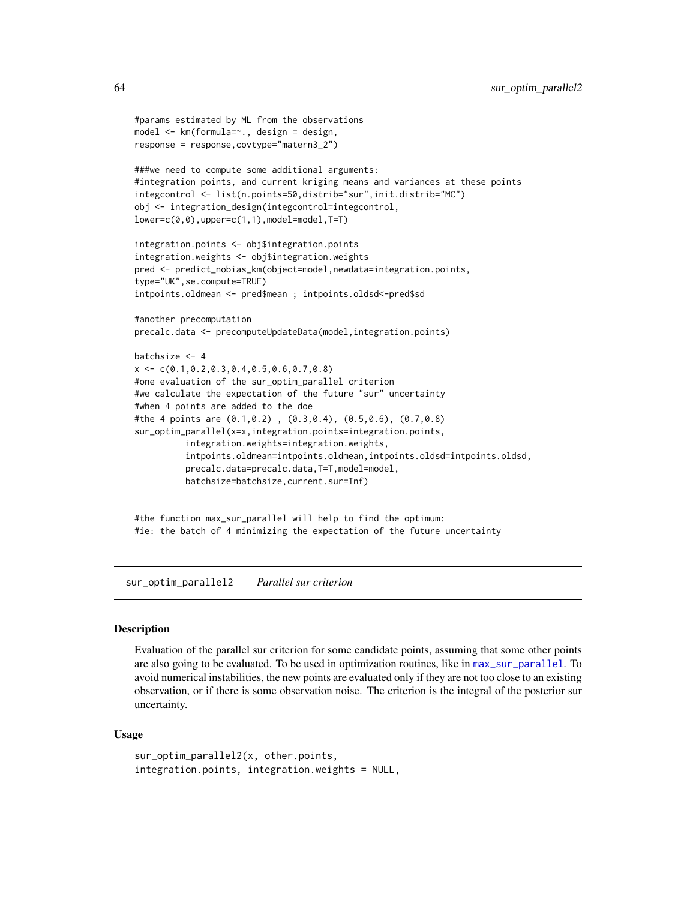```
#params estimated by ML from the observations
model <- km(formula=~., design = design,
response = response,covtype="matern3_2")
###we need to compute some additional arguments:
#integration points, and current kriging means and variances at these points
integcontrol <- list(n.points=50,distrib="sur",init.distrib="MC")
obj <- integration_design(integcontrol=integcontrol,
lower=c(0,0),upper=c(1,1),model=model,T=T)
integration.points <- obj$integration.points
integration.weights <- obj$integration.weights
pred <- predict_nobias_km(object=model,newdata=integration.points,
type="UK",se.compute=TRUE)
intpoints.oldmean <- pred$mean ; intpoints.oldsd<-pred$sd
#another precomputation
precalc.data <- precomputeUpdateData(model,integration.points)
batchsize <- 4
x \leq -c(0.1, 0.2, 0.3, 0.4, 0.5, 0.6, 0.7, 0.8)#one evaluation of the sur_optim_parallel criterion
#we calculate the expectation of the future "sur" uncertainty
#when 4 points are added to the doe
#the 4 points are (0.1,0.2) , (0.3,0.4), (0.5,0.6), (0.7,0.8)
sur_optim_parallel(x=x,integration.points=integration.points,
          integration.weights=integration.weights,
          intpoints.oldmean=intpoints.oldmean,intpoints.oldsd=intpoints.oldsd,
          precalc.data=precalc.data,T=T,model=model,
          batchsize=batchsize,current.sur=Inf)
```
#the function max\_sur\_parallel will help to find the optimum: #ie: the batch of 4 minimizing the expectation of the future uncertainty

sur\_optim\_parallel2 *Parallel sur criterion*

### Description

Evaluation of the parallel sur criterion for some candidate points, assuming that some other points are also going to be evaluated. To be used in optimization routines, like in [max\\_sur\\_parallel](#page-29-0). To avoid numerical instabilities, the new points are evaluated only if they are not too close to an existing observation, or if there is some observation noise. The criterion is the integral of the posterior sur uncertainty.

#### Usage

```
sur_optim_parallel2(x, other.points,
integration.points, integration.weights = NULL,
```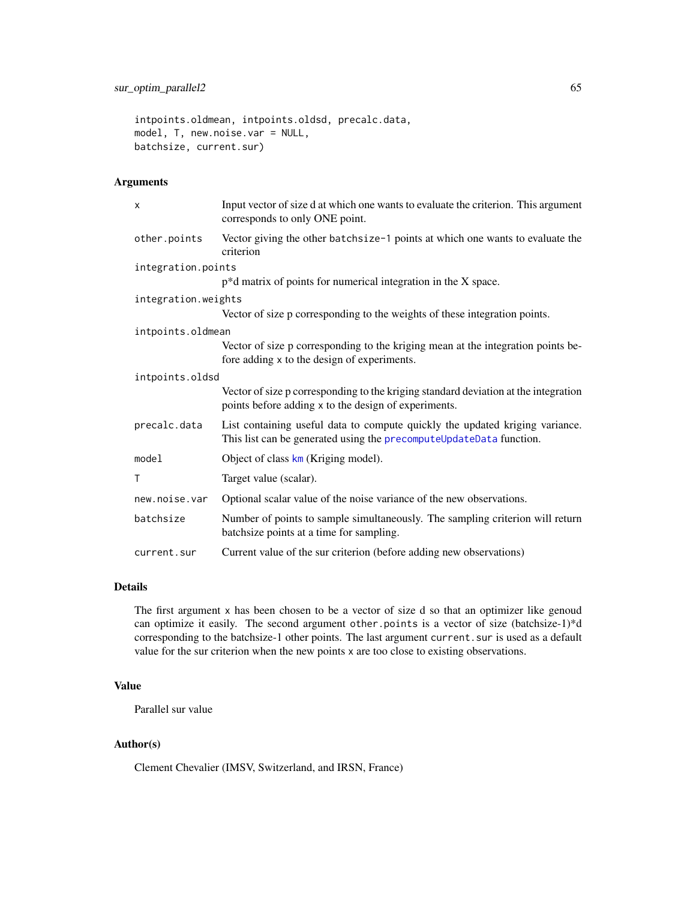intpoints.oldmean, intpoints.oldsd, precalc.data, model, T, new.noise.var = NULL, batchsize, current.sur)

# Arguments

| x                   | Input vector of size d at which one wants to evaluate the criterion. This argument<br>corresponds to only ONE point.                                |  |
|---------------------|-----------------------------------------------------------------------------------------------------------------------------------------------------|--|
| other.points        | Vector giving the other batchsize-1 points at which one wants to evaluate the<br>criterion                                                          |  |
| integration.points  |                                                                                                                                                     |  |
|                     | $p^*d$ matrix of points for numerical integration in the X space.                                                                                   |  |
| integration.weights |                                                                                                                                                     |  |
|                     | Vector of size p corresponding to the weights of these integration points.                                                                          |  |
| intpoints.oldmean   |                                                                                                                                                     |  |
|                     | Vector of size p corresponding to the kriging mean at the integration points be-<br>fore adding x to the design of experiments.                     |  |
| intpoints.oldsd     |                                                                                                                                                     |  |
|                     | Vector of size p corresponding to the kriging standard deviation at the integration<br>points before adding x to the design of experiments.         |  |
| precalc.data        | List containing useful data to compute quickly the updated kriging variance.<br>This list can be generated using the precomputeUpdateData function. |  |
| model               | Object of class $km$ (Kriging model).                                                                                                               |  |
| T                   | Target value (scalar).                                                                                                                              |  |
| new.noise.var       | Optional scalar value of the noise variance of the new observations.                                                                                |  |
| batchsize           | Number of points to sample simultaneously. The sampling criterion will return<br>batchsize points at a time for sampling.                           |  |
| current.sur         | Current value of the sur criterion (before adding new observations)                                                                                 |  |

# Details

The first argument x has been chosen to be a vector of size d so that an optimizer like genoud can optimize it easily. The second argument other.points is a vector of size (batchsize-1)\*d corresponding to the batchsize-1 other points. The last argument current. sur is used as a default value for the sur criterion when the new points x are too close to existing observations.

## Value

Parallel sur value

# Author(s)

Clement Chevalier (IMSV, Switzerland, and IRSN, France)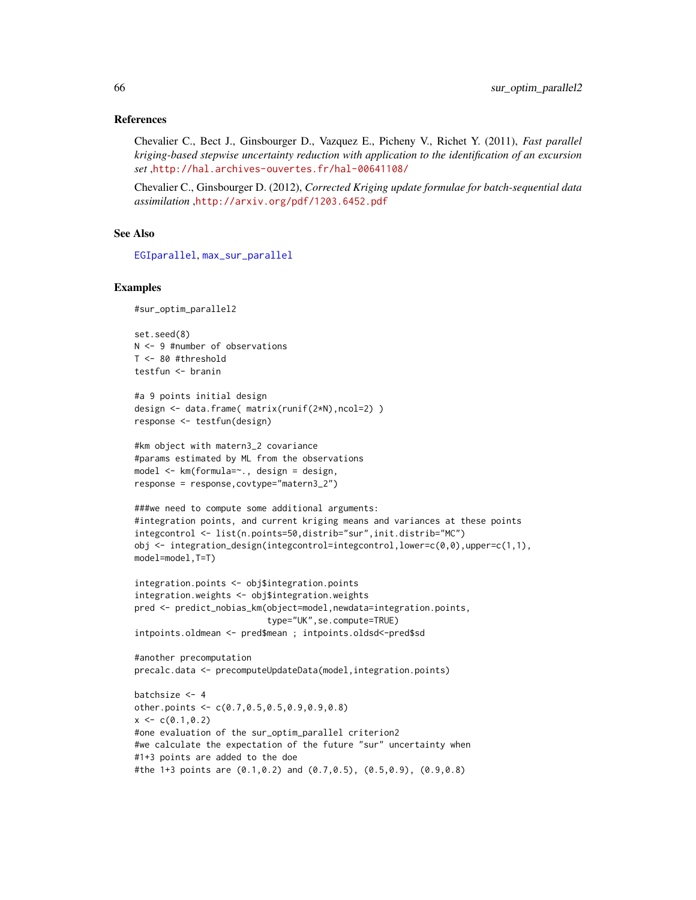### References

Chevalier C., Bect J., Ginsbourger D., Vazquez E., Picheny V., Richet Y. (2011), *Fast parallel kriging-based stepwise uncertainty reduction with application to the identification of an excursion set* ,<http://hal.archives-ouvertes.fr/hal-00641108/>

Chevalier C., Ginsbourger D. (2012), *Corrected Kriging update formulae for batch-sequential data assimilation* ,<http://arxiv.org/pdf/1203.6452.pdf>

### See Also

[EGIparallel](#page-15-0), [max\\_sur\\_parallel](#page-29-0)

## Examples

```
#sur_optim_parallel2
```
set.seed(8) N <- 9 #number of observations T <- 80 #threshold testfun <- branin

```
#a 9 points initial design
design <- data.frame( matrix(runif(2*N),ncol=2) )
response <- testfun(design)
```

```
#km object with matern3_2 covariance
#params estimated by ML from the observations
model <- km(formula=~., design = design,
response = response,covtype="matern3_2")
```

```
###we need to compute some additional arguments:
#integration points, and current kriging means and variances at these points
integcontrol <- list(n.points=50,distrib="sur",init.distrib="MC")
obj \leq integration_design(integcontrol=integcontrol,lower=c(0,0),upper=c(1,1),
model=model,T=T)
```

```
integration.points <- obj$integration.points
integration.weights <- obj$integration.weights
pred <- predict_nobias_km(object=model,newdata=integration.points,
                         type="UK",se.compute=TRUE)
intpoints.oldmean <- pred$mean ; intpoints.oldsd<-pred$sd
```

```
#another precomputation
precalc.data <- precomputeUpdateData(model,integration.points)
batchsize <- 4
other.points <- c(0.7,0.5,0.5,0.9,0.9,0.8)
x \leftarrow c(0.1, 0.2)#one evaluation of the sur_optim_parallel criterion2
#we calculate the expectation of the future "sur" uncertainty when
#1+3 points are added to the doe
```

```
#the 1+3 points are (0.1,0.2) and (0.7,0.5), (0.5,0.9), (0.9,0.8)
```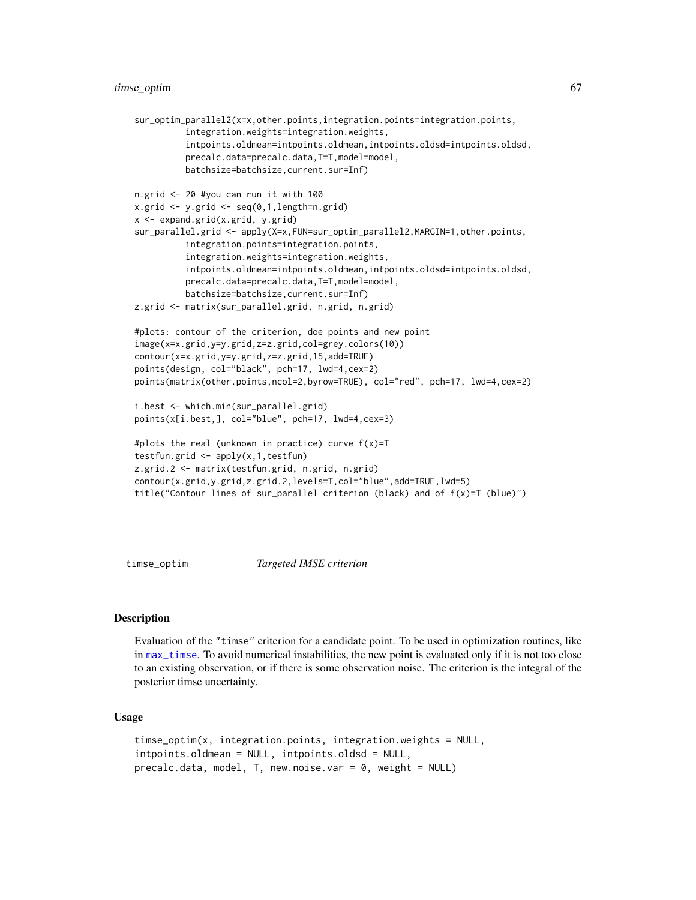## timse\_optim 67

```
sur_optim_parallel2(x=x,other.points,integration.points=integration.points,
          integration.weights=integration.weights,
          intpoints.oldmean=intpoints.oldmean,intpoints.oldsd=intpoints.oldsd,
          precalc.data=precalc.data,T=T,model=model,
          batchsize=batchsize,current.sur=Inf)
n.grid <- 20 #you can run it with 100
x.grid \leftarrow y.grid \leftarrow seq(0,1, length=n.grid)x <- expand.grid(x.grid, y.grid)
sur_parallel.grid <- apply(X=x,FUN=sur_optim_parallel2,MARGIN=1,other.points,
          integration.points=integration.points,
          integration.weights=integration.weights,
          intpoints.oldmean=intpoints.oldmean,intpoints.oldsd=intpoints.oldsd,
          precalc.data=precalc.data,T=T,model=model,
          batchsize=batchsize,current.sur=Inf)
z.grid <- matrix(sur_parallel.grid, n.grid, n.grid)
#plots: contour of the criterion, doe points and new point
image(x=x.grid,y=y.grid,z=z.grid,col=grey.colors(10))
contour(x=x.grid,y=y.grid,z=z.grid,15,add=TRUE)
points(design, col="black", pch=17, lwd=4,cex=2)
points(matrix(other.points,ncol=2,byrow=TRUE), col="red", pch=17, lwd=4,cex=2)
i.best <- which.min(sur_parallel.grid)
points(x[i.best,], col="blue", pch=17, lwd=4,cex=3)
#plots the real (unknown in practice) curve f(x)=T
testfun.grid \leq apply(x, 1, \text{testfun})z.grid.2 <- matrix(testfun.grid, n.grid, n.grid)
contour(x.grid,y.grid,z.grid.2,levels=T,col="blue",add=TRUE,lwd=5)
title("Contour lines of sur_parallel criterion (black) and of f(x)=T (blue)")
```
timse\_optim *Targeted IMSE criterion*

### Description

Evaluation of the "timse" criterion for a candidate point. To be used in optimization routines, like in [max\\_timse](#page-31-0). To avoid numerical instabilities, the new point is evaluated only if it is not too close to an existing observation, or if there is some observation noise. The criterion is the integral of the posterior timse uncertainty.

## Usage

```
timse_optim(x, integration.points, integration.weights = NULL,
intpoints.oldmean = NULL, intpoints.oldsd = NULL,
precalc.data, model, T, new.noise.var = 0, weight = NULL)
```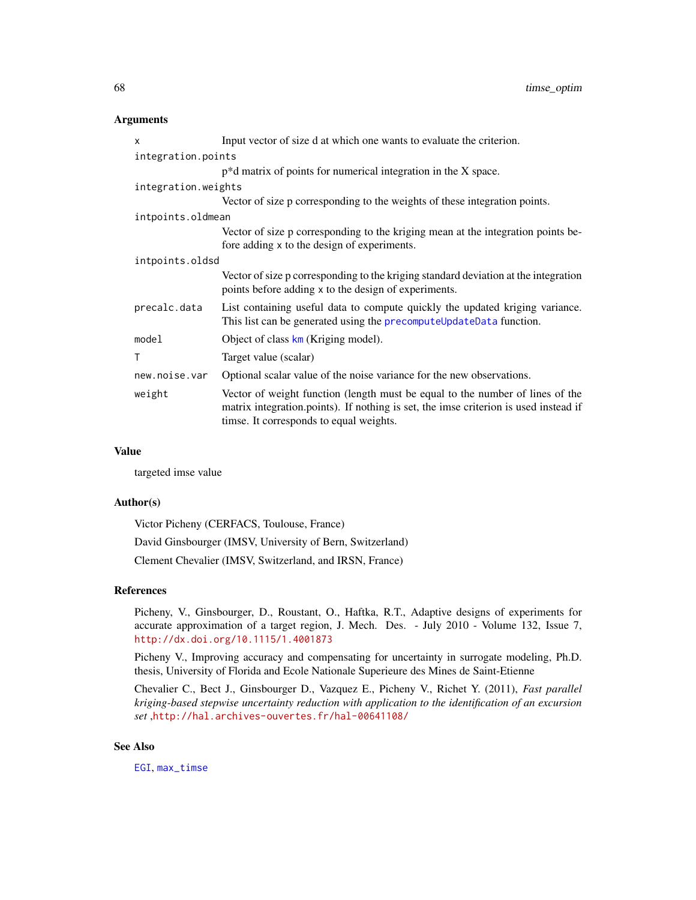## **Arguments**

| $\mathsf{x}$        | Input vector of size d at which one wants to evaluate the criterion.                                                                                                                                             |  |
|---------------------|------------------------------------------------------------------------------------------------------------------------------------------------------------------------------------------------------------------|--|
| integration.points  |                                                                                                                                                                                                                  |  |
|                     | $p^*d$ matrix of points for numerical integration in the X space.                                                                                                                                                |  |
| integration.weights |                                                                                                                                                                                                                  |  |
|                     | Vector of size p corresponding to the weights of these integration points.                                                                                                                                       |  |
| intpoints.oldmean   |                                                                                                                                                                                                                  |  |
|                     | Vector of size p corresponding to the kriging mean at the integration points be-<br>fore adding x to the design of experiments.                                                                                  |  |
| intpoints.oldsd     |                                                                                                                                                                                                                  |  |
|                     | Vector of size p corresponding to the kriging standard deviation at the integration<br>points before adding x to the design of experiments.                                                                      |  |
| precalc.data        | List containing useful data to compute quickly the updated kriging variance.<br>This list can be generated using the precomputeUpdateData function.                                                              |  |
| model               | Object of class $km$ (Kriging model).                                                                                                                                                                            |  |
| Τ                   | Target value (scalar)                                                                                                                                                                                            |  |
| new.noise.var       | Optional scalar value of the noise variance for the new observations.                                                                                                                                            |  |
| weight              | Vector of weight function (length must be equal to the number of lines of the<br>matrix integration.points). If nothing is set, the imse criterion is used instead if<br>timse. It corresponds to equal weights. |  |

## Value

targeted imse value

#### Author(s)

Victor Picheny (CERFACS, Toulouse, France)

David Ginsbourger (IMSV, University of Bern, Switzerland)

Clement Chevalier (IMSV, Switzerland, and IRSN, France)

### References

Picheny, V., Ginsbourger, D., Roustant, O., Haftka, R.T., Adaptive designs of experiments for accurate approximation of a target region, J. Mech. Des. - July 2010 - Volume 132, Issue 7, <http://dx.doi.org/10.1115/1.4001873>

Picheny V., Improving accuracy and compensating for uncertainty in surrogate modeling, Ph.D. thesis, University of Florida and Ecole Nationale Superieure des Mines de Saint-Etienne

Chevalier C., Bect J., Ginsbourger D., Vazquez E., Picheny V., Richet Y. (2011), *Fast parallel kriging-based stepwise uncertainty reduction with application to the identification of an excursion set* ,<http://hal.archives-ouvertes.fr/hal-00641108/>

### See Also

[EGI](#page-11-0), [max\\_timse](#page-31-0)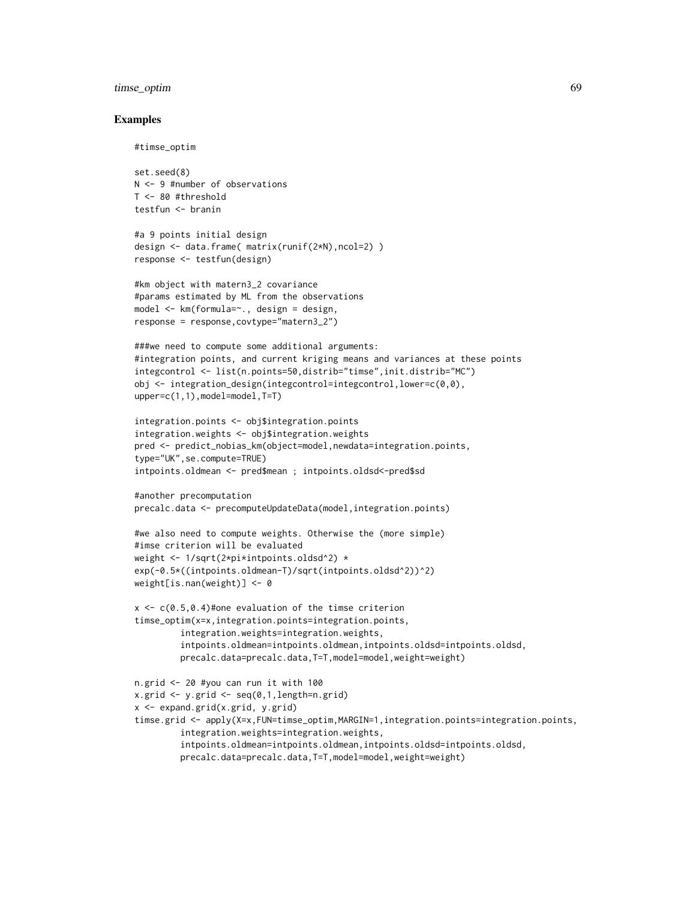# timse\_optim 69

## Examples

```
#timse_optim
```

```
set.seed(8)
N <- 9 #number of observations
T <- 80 #threshold
testfun <- branin
```

```
#a 9 points initial design
design <- data.frame( matrix(runif(2*N),ncol=2) )
response <- testfun(design)
```

```
#km object with matern3_2 covariance
#params estimated by ML from the observations
model <- km(formula=~., design = design,
response = response,covtype="matern3_2")
```

```
###we need to compute some additional arguments:
#integration points, and current kriging means and variances at these points
integcontrol <- list(n.points=50,distrib="timse",init.distrib="MC")
obj <- integration_design(integcontrol=integcontrol,lower=c(0,0),
upper=c(1,1),model=model,T=T)
```

```
integration.points <- obj$integration.points
integration.weights <- obj$integration.weights
pred <- predict_nobias_km(object=model,newdata=integration.points,
type="UK",se.compute=TRUE)
intpoints.oldmean <- pred$mean ; intpoints.oldsd<-pred$sd
```

```
#another precomputation
precalc.data <- precomputeUpdateData(model,integration.points)
```

```
#we also need to compute weights. Otherwise the (more simple)
#imse criterion will be evaluated
weight <- 1/sqrt(2*pi*intpoints.oldsd^2) *
exp(-0.5*((intpoints.oldmean-T)/sqrt(intpoints.oldsd^2))^2)
weight[is.nan(weight)] <- 0
```

```
x \leq c(0.5, 0.4)#one evaluation of the timse criterion
timse_optim(x=x,integration.points=integration.points,
         integration.weights=integration.weights,
         intpoints.oldmean=intpoints.oldmean,intpoints.oldsd=intpoints.oldsd,
        precalc.data=precalc.data,T=T,model=model,weight=weight)
```

```
n.grid <- 20 #you can run it with 100
x.getid \leq y.getid \leq seq(0,1,length=n.grid)x <- expand.grid(x.grid, y.grid)
timse.grid <- apply(X=x,FUN=timse_optim,MARGIN=1,integration.points=integration.points,
         integration.weights=integration.weights,
         intpoints.oldmean=intpoints.oldmean,intpoints.oldsd=intpoints.oldsd,
         precalc.data=precalc.data,T=T,model=model,weight=weight)
```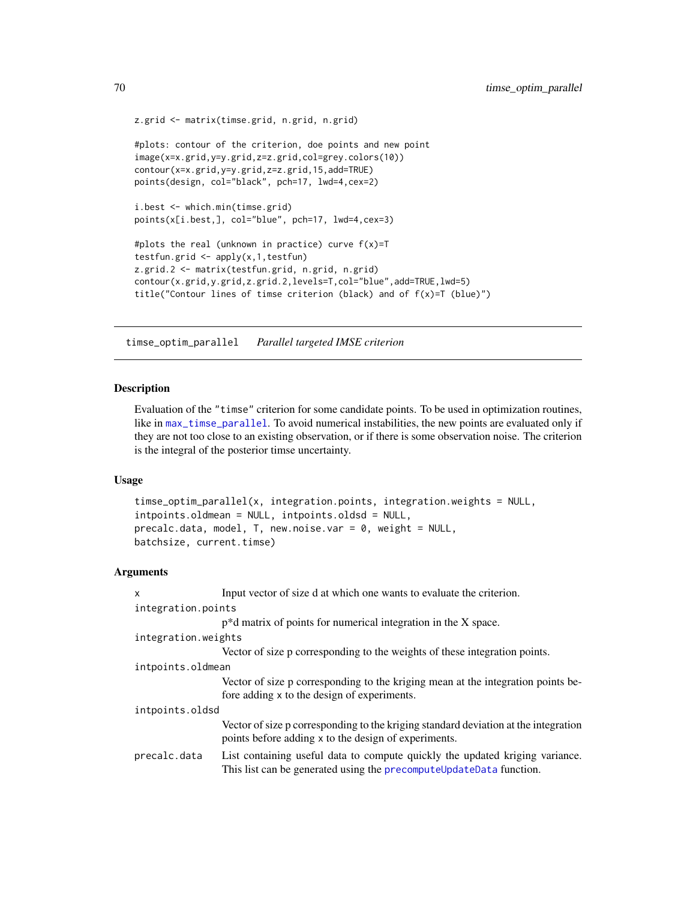```
z.grid <- matrix(timse.grid, n.grid, n.grid)
#plots: contour of the criterion, doe points and new point
image(x=x.grid,y=y.grid,z=z.grid,col=grey.colors(10))
contour(x=x.grid,y=y.grid,z=z.grid,15,add=TRUE)
points(design, col="black", pch=17, lwd=4,cex=2)
i.best <- which.min(timse.grid)
points(x[i.best,], col="blue", pch=17, lwd=4,cex=3)
#plots the real (unknown in practice) curve f(x)=T
testfun.grid <- apply(x,1,testfun)
z.grid.2 <- matrix(testfun.grid, n.grid, n.grid)
contour(x.grid,y.grid,z.grid.2,levels=T,col="blue",add=TRUE,lwd=5)
title("Contour lines of timse criterion (black) and of f(x)=T (blue)")
```
timse\_optim\_parallel *Parallel targeted IMSE criterion*

### Description

Evaluation of the "timse" criterion for some candidate points. To be used in optimization routines, like in [max\\_timse\\_parallel](#page-34-0). To avoid numerical instabilities, the new points are evaluated only if they are not too close to an existing observation, or if there is some observation noise. The criterion is the integral of the posterior timse uncertainty.

## Usage

```
timse_optim_parallel(x, integration.points, integration.weights = NULL,
intpoints.oldmean = NULL, intpoints.oldsd = NULL,
precalc.data, model, T, new.noise.var = 0, weight = NULL,
batchsize, current.timse)
```
## Arguments

| X                   | Input vector of size d at which one wants to evaluate the criterion.                                                                                |  |
|---------------------|-----------------------------------------------------------------------------------------------------------------------------------------------------|--|
| integration.points  |                                                                                                                                                     |  |
|                     | $p^*d$ matrix of points for numerical integration in the X space.                                                                                   |  |
| integration.weights |                                                                                                                                                     |  |
|                     | Vector of size p corresponding to the weights of these integration points.                                                                          |  |
| intpoints.oldmean   |                                                                                                                                                     |  |
|                     | Vector of size p corresponding to the kriging mean at the integration points be-<br>fore adding x to the design of experiments.                     |  |
| intpoints.oldsd     |                                                                                                                                                     |  |
|                     | Vector of size p corresponding to the kriging standard deviation at the integration<br>points before adding x to the design of experiments.         |  |
| precalc.data        | List containing useful data to compute quickly the updated kriging variance.<br>This list can be generated using the precomputeUpdateData function. |  |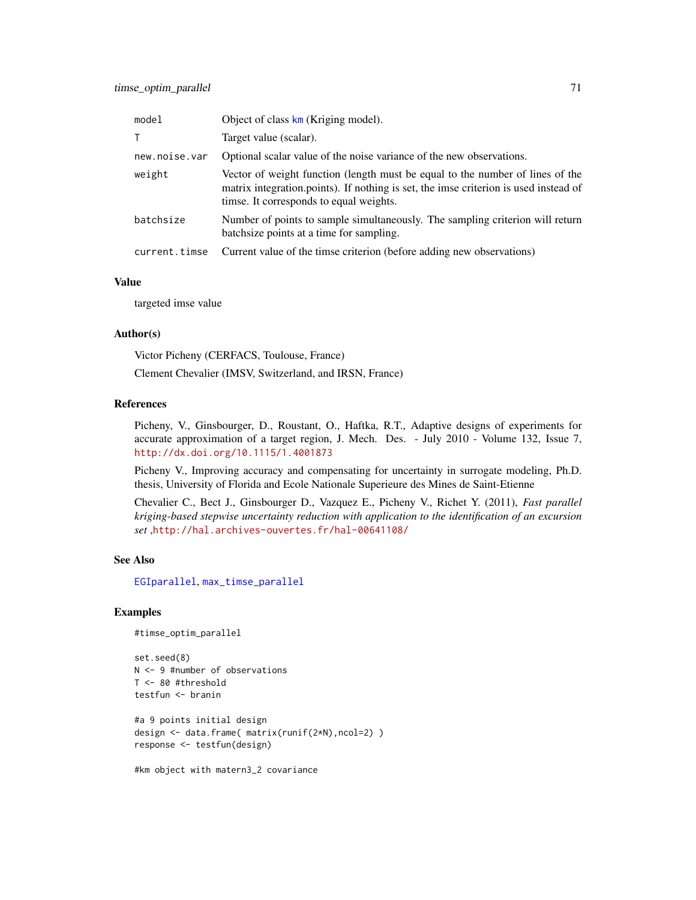| model         | Object of class km (Kriging model).                                                                                                                                                                              |
|---------------|------------------------------------------------------------------------------------------------------------------------------------------------------------------------------------------------------------------|
| T.            | Target value (scalar).                                                                                                                                                                                           |
| new.noise.var | Optional scalar value of the noise variance of the new observations.                                                                                                                                             |
| weight        | Vector of weight function (length must be equal to the number of lines of the<br>matrix integration.points). If nothing is set, the imse criterion is used instead of<br>timse. It corresponds to equal weights. |
| batchsize     | Number of points to sample simultaneously. The sampling criterion will return<br>batchsize points at a time for sampling.                                                                                        |
| current.timse | Current value of the timse criterion (before adding new observations)                                                                                                                                            |

#### Value

targeted imse value

### Author(s)

Victor Picheny (CERFACS, Toulouse, France)

Clement Chevalier (IMSV, Switzerland, and IRSN, France)

## References

Picheny, V., Ginsbourger, D., Roustant, O., Haftka, R.T., Adaptive designs of experiments for accurate approximation of a target region, J. Mech. Des. - July 2010 - Volume 132, Issue 7, <http://dx.doi.org/10.1115/1.4001873>

Picheny V., Improving accuracy and compensating for uncertainty in surrogate modeling, Ph.D. thesis, University of Florida and Ecole Nationale Superieure des Mines de Saint-Etienne

Chevalier C., Bect J., Ginsbourger D., Vazquez E., Picheny V., Richet Y. (2011), *Fast parallel kriging-based stepwise uncertainty reduction with application to the identification of an excursion set* ,<http://hal.archives-ouvertes.fr/hal-00641108/>

#### See Also

[EGIparallel](#page-15-0), [max\\_timse\\_parallel](#page-34-0)

## Examples

```
#timse_optim_parallel
```

```
set.seed(8)
N <- 9 #number of observations
T <- 80 #threshold
testfun <- branin
```

```
#a 9 points initial design
design <- data.frame( matrix(runif(2*N),ncol=2) )
response <- testfun(design)
```
#km object with matern3\_2 covariance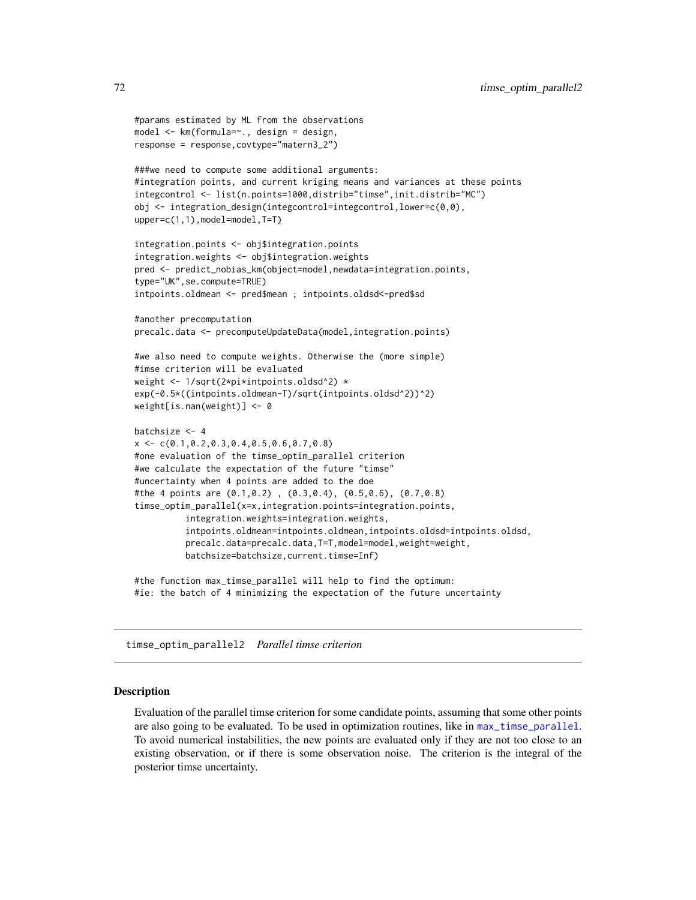```
#params estimated by ML from the observations
model <- km(formula=~., design = design,
response = response,covtype="matern3_2")
###we need to compute some additional arguments:
#integration points, and current kriging means and variances at these points
integcontrol <- list(n.points=1000,distrib="timse",init.distrib="MC")
obj <- integration_design(integcontrol=integcontrol,lower=c(0,0),
upper=c(1,1),model=model,T=T)
integration.points <- obj$integration.points
integration.weights <- obj$integration.weights
pred <- predict_nobias_km(object=model,newdata=integration.points,
type="UK",se.compute=TRUE)
intpoints.oldmean <- pred$mean ; intpoints.oldsd<-pred$sd
#another precomputation
precalc.data <- precomputeUpdateData(model,integration.points)
#we also need to compute weights. Otherwise the (more simple)
#imse criterion will be evaluated
weight <- 1/sqrt(2*pi*intpoints.oldsd^2) *
exp(-0.5*((intpoints.oldmean-T)/sqrt(intpoints.oldsd^2))^2)
weight[is.nan(weight)] <- 0
batchsize <- 4
x \leq -c(0.1, 0.2, 0.3, 0.4, 0.5, 0.6, 0.7, 0.8)#one evaluation of the timse_optim_parallel criterion
#we calculate the expectation of the future "timse"
#uncertainty when 4 points are added to the doe
#the 4 points are (0.1,0.2) , (0.3,0.4), (0.5,0.6), (0.7,0.8)
timse_optim_parallel(x=x,integration.points=integration.points,
          integration.weights=integration.weights,
          intpoints.oldmean=intpoints.oldmean,intpoints.oldsd=intpoints.oldsd,
          precalc.data=precalc.data,T=T,model=model,weight=weight,
          batchsize=batchsize,current.timse=Inf)
```
#the function max\_timse\_parallel will help to find the optimum: #ie: the batch of 4 minimizing the expectation of the future uncertainty

timse\_optim\_parallel2 *Parallel timse criterion*

## Description

Evaluation of the parallel timse criterion for some candidate points, assuming that some other points are also going to be evaluated. To be used in optimization routines, like in [max\\_timse\\_parallel](#page-34-0). To avoid numerical instabilities, the new points are evaluated only if they are not too close to an existing observation, or if there is some observation noise. The criterion is the integral of the posterior timse uncertainty.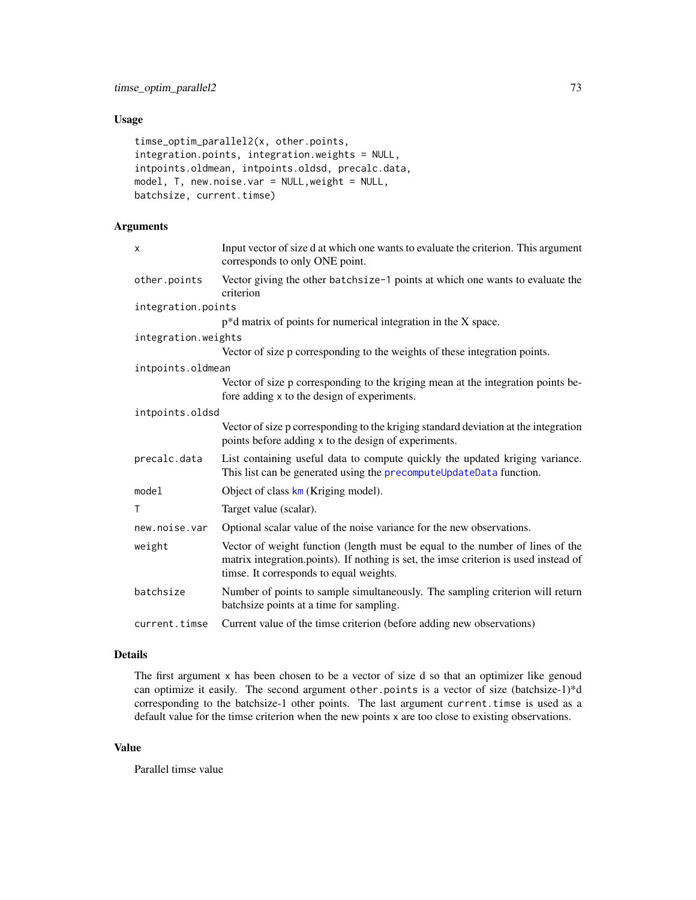# <span id="page-72-0"></span>Usage

```
timse_optim_parallel2(x, other.points,
integration.points, integration.weights = NULL,
intpoints.oldmean, intpoints.oldsd, precalc.data,
model, T, new.noise.var = NULL,weight = NULL,
batchsize, current.timse)
```
# Arguments

| X                   | Input vector of size d at which one wants to evaluate the criterion. This argument<br>corresponds to only ONE point.                                                                                             |
|---------------------|------------------------------------------------------------------------------------------------------------------------------------------------------------------------------------------------------------------|
| other.points        | Vector giving the other batchsize-1 points at which one wants to evaluate the<br>criterion                                                                                                                       |
| integration.points  |                                                                                                                                                                                                                  |
|                     | $p^*d$ matrix of points for numerical integration in the X space.                                                                                                                                                |
| integration.weights |                                                                                                                                                                                                                  |
|                     | Vector of size p corresponding to the weights of these integration points.                                                                                                                                       |
| intpoints.oldmean   |                                                                                                                                                                                                                  |
|                     | Vector of size p corresponding to the kriging mean at the integration points be-<br>fore adding x to the design of experiments.                                                                                  |
| intpoints.oldsd     |                                                                                                                                                                                                                  |
|                     | Vector of size p corresponding to the kriging standard deviation at the integration<br>points before adding x to the design of experiments.                                                                      |
| precalc.data        | List containing useful data to compute quickly the updated kriging variance.<br>This list can be generated using the precomputeUpdateData function.                                                              |
| model               | Object of class km (Kriging model).                                                                                                                                                                              |
| T                   | Target value (scalar).                                                                                                                                                                                           |
| new.noise.var       | Optional scalar value of the noise variance for the new observations.                                                                                                                                            |
| weight              | Vector of weight function (length must be equal to the number of lines of the<br>matrix integration.points). If nothing is set, the imse criterion is used instead of<br>timse. It corresponds to equal weights. |
| batchsize           | Number of points to sample simultaneously. The sampling criterion will return<br>batchsize points at a time for sampling.                                                                                        |
| current.timse       | Current value of the timse criterion (before adding new observations)                                                                                                                                            |

#### Details

The first argument x has been chosen to be a vector of size d so that an optimizer like genoud can optimize it easily. The second argument other.points is a vector of size (batchsize-1)\*d corresponding to the batchsize-1 other points. The last argument current.timse is used as a default value for the timse criterion when the new points x are too close to existing observations.

## Value

Parallel timse value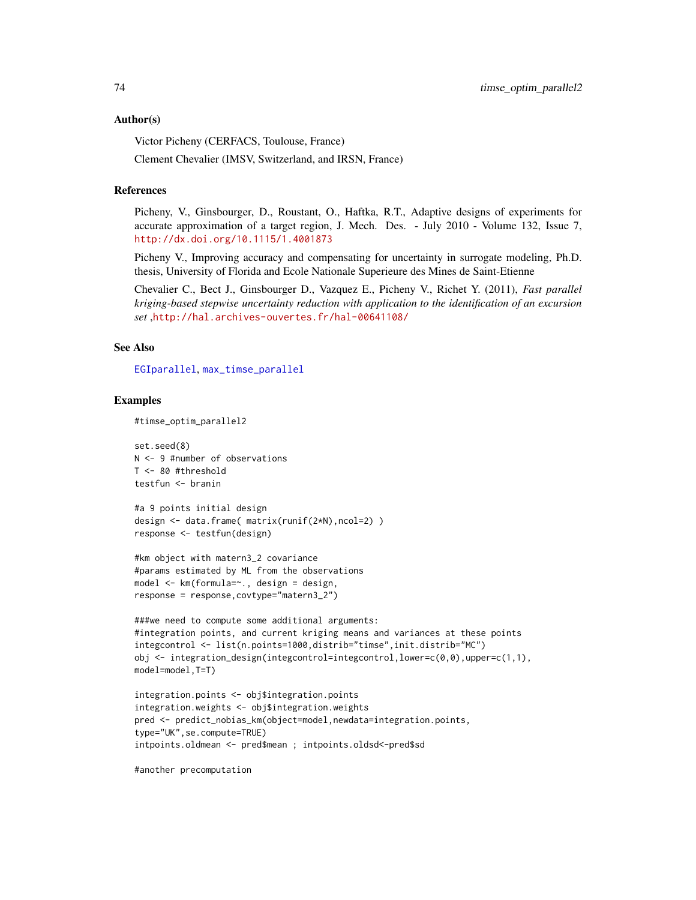#### <span id="page-73-0"></span>Author(s)

Victor Picheny (CERFACS, Toulouse, France)

Clement Chevalier (IMSV, Switzerland, and IRSN, France)

#### References

Picheny, V., Ginsbourger, D., Roustant, O., Haftka, R.T., Adaptive designs of experiments for accurate approximation of a target region, J. Mech. Des. - July 2010 - Volume 132, Issue 7, <http://dx.doi.org/10.1115/1.4001873>

Picheny V., Improving accuracy and compensating for uncertainty in surrogate modeling, Ph.D. thesis, University of Florida and Ecole Nationale Superieure des Mines de Saint-Etienne

Chevalier C., Bect J., Ginsbourger D., Vazquez E., Picheny V., Richet Y. (2011), *Fast parallel kriging-based stepwise uncertainty reduction with application to the identification of an excursion set* ,<http://hal.archives-ouvertes.fr/hal-00641108/>

## See Also

[EGIparallel](#page-15-0), [max\\_timse\\_parallel](#page-34-0)

## Examples

#timse\_optim\_parallel2

set.seed(8) N <- 9 #number of observations T <- 80 #threshold testfun <- branin

```
#a 9 points initial design
design <- data.frame( matrix(runif(2*N),ncol=2) )
response <- testfun(design)
```

```
#km object with matern3_2 covariance
#params estimated by ML from the observations
model <- km(formula=~., design = design,
response = response,covtype="matern3_2")
```

```
###we need to compute some additional arguments:
#integration points, and current kriging means and variances at these points
integcontrol <- list(n.points=1000,distrib="timse",init.distrib="MC")
obj <- integration_design(integcontrol=integcontrol,lower=c(0,0),upper=c(1,1),
model=model,T=T)
```

```
integration.points <- obj$integration.points
integration.weights <- obj$integration.weights
pred <- predict_nobias_km(object=model,newdata=integration.points,
type="UK",se.compute=TRUE)
intpoints.oldmean <- pred$mean ; intpoints.oldsd<-pred$sd
```
#another precomputation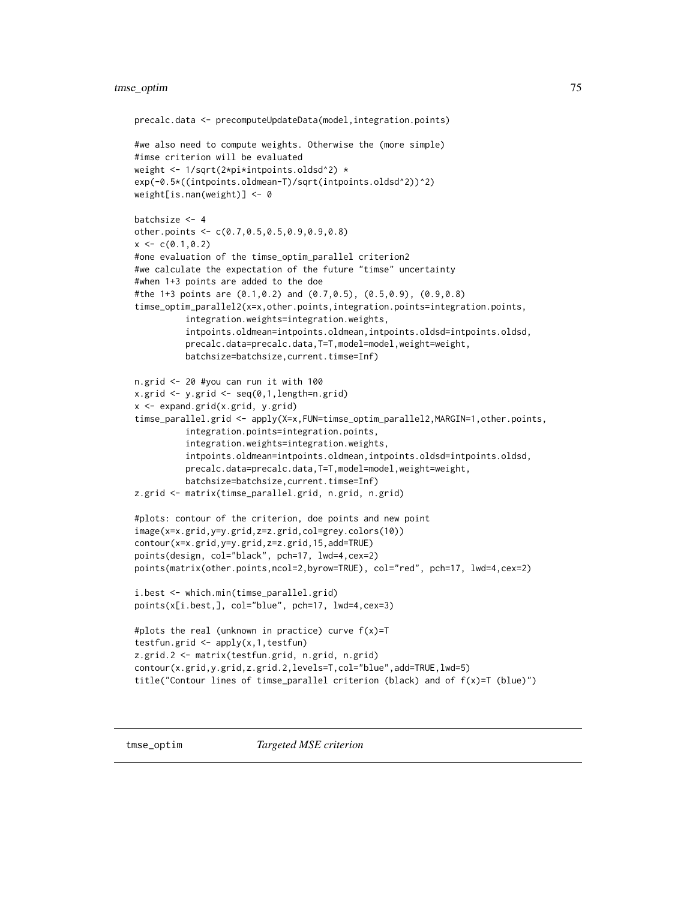# <span id="page-74-0"></span>tmse\_optim 75

```
precalc.data <- precomputeUpdateData(model,integration.points)
#we also need to compute weights. Otherwise the (more simple)
#imse criterion will be evaluated
weight <- 1/sqrt(2*pi*intpoints.oldsd^2) *
exp(-0.5*((intpoints.oldmean-T)/sqrt(intpoints.oldsd^2))^2)
weight[is.nan(weight)] <- 0
batchsize <- 4
other.points <- c(0.7,0.5,0.5,0.9,0.9,0.8)
x \leq -c(0.1, 0.2)#one evaluation of the timse_optim_parallel criterion2
#we calculate the expectation of the future "timse" uncertainty
#when 1+3 points are added to the doe
#the 1+3 points are (0.1,0.2) and (0.7,0.5), (0.5,0.9), (0.9,0.8)
timse_optim_parallel2(x=x,other.points,integration.points=integration.points,
          integration.weights=integration.weights,
          intpoints.oldmean=intpoints.oldmean,intpoints.oldsd=intpoints.oldsd,
          precalc.data=precalc.data,T=T,model=model,weight=weight,
          batchsize=batchsize,current.timse=Inf)
n.grid <- 20 #you can run it with 100
x.grid <- y.grid <- seq(0,1,length=n.grid)
x <- expand.grid(x.grid, y.grid)
timse_parallel.grid <- apply(X=x,FUN=timse_optim_parallel2,MARGIN=1,other.points,
          integration.points=integration.points,
          integration.weights=integration.weights,
          intpoints.oldmean=intpoints.oldmean,intpoints.oldsd=intpoints.oldsd,
          precalc.data=precalc.data,T=T,model=model,weight=weight,
          batchsize=batchsize,current.timse=Inf)
z.grid <- matrix(timse_parallel.grid, n.grid, n.grid)
#plots: contour of the criterion, doe points and new point
image(x=x.grid,y=y.grid,z=z.grid,col=grey.colors(10))
contour(x=x.grid,y=y.grid,z=z.grid,15,add=TRUE)
points(design, col="black", pch=17, lwd=4,cex=2)
points(matrix(other.points,ncol=2,byrow=TRUE), col="red", pch=17, lwd=4,cex=2)
i.best <- which.min(timse_parallel.grid)
points(x[i.best,], col="blue", pch=17, lwd=4,cex=3)
#plots the real (unknown in practice) curve f(x)=T
testfun.grid <- apply(x,1,testfun)
z.grid.2 <- matrix(testfun.grid, n.grid, n.grid)
contour(x.grid,y.grid,z.grid.2,levels=T,col="blue",add=TRUE,lwd=5)
title("Contour lines of timse_parallel criterion (black) and of f(x)=T (blue)")
```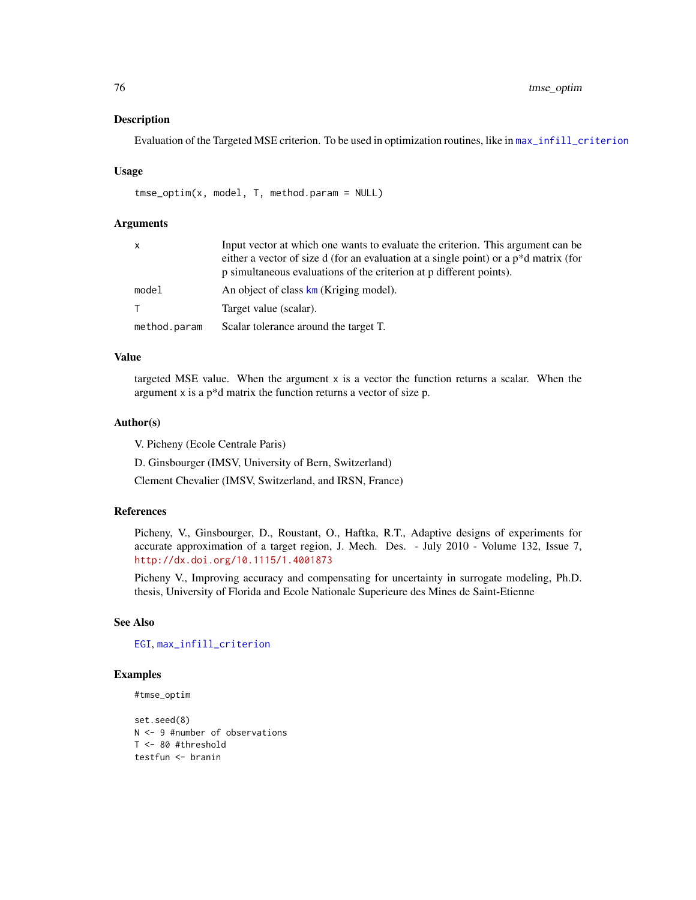#### Description

Evaluation of the Targeted MSE criterion. To be used in optimization routines, like in [max\\_infill\\_criterion](#page-24-0)

#### Usage

tmse\_optim(x, model, T, method.param = NULL)

#### **Arguments**

| x            | Input vector at which one wants to evaluate the criterion. This argument can be<br>either a vector of size d (for an evaluation at a single point) or a p <sup>*</sup> d matrix (for<br>p simultaneous evaluations of the criterion at p different points). |
|--------------|-------------------------------------------------------------------------------------------------------------------------------------------------------------------------------------------------------------------------------------------------------------|
| model        | An object of class km (Kriging model).                                                                                                                                                                                                                      |
| T.           | Target value (scalar).                                                                                                                                                                                                                                      |
| method.param | Scalar tolerance around the target T.                                                                                                                                                                                                                       |

# Value

targeted MSE value. When the argument  $x$  is a vector the function returns a scalar. When the argument x is a p\*d matrix the function returns a vector of size p.

#### Author(s)

V. Picheny (Ecole Centrale Paris)

D. Ginsbourger (IMSV, University of Bern, Switzerland)

Clement Chevalier (IMSV, Switzerland, and IRSN, France)

# References

Picheny, V., Ginsbourger, D., Roustant, O., Haftka, R.T., Adaptive designs of experiments for accurate approximation of a target region, J. Mech. Des. - July 2010 - Volume 132, Issue 7, <http://dx.doi.org/10.1115/1.4001873>

Picheny V., Improving accuracy and compensating for uncertainty in surrogate modeling, Ph.D. thesis, University of Florida and Ecole Nationale Superieure des Mines de Saint-Etienne

## See Also

[EGI](#page-11-0), [max\\_infill\\_criterion](#page-24-0)

## Examples

#tmse\_optim

set.seed(8) N <- 9 #number of observations T <- 80 #threshold testfun <- branin

<span id="page-75-0"></span>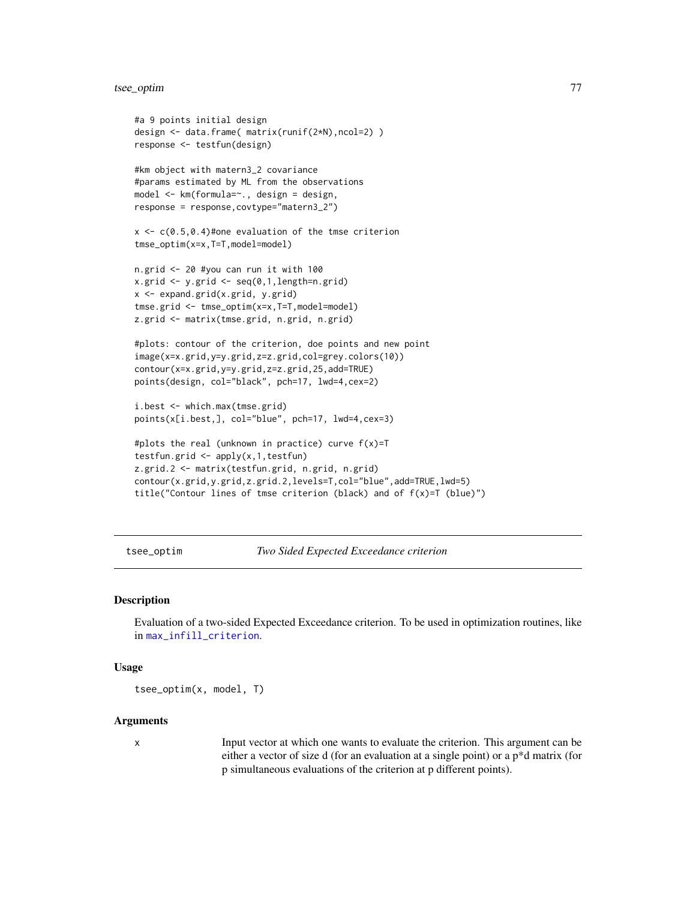# <span id="page-76-0"></span>tsee\_optim 77

```
#a 9 points initial design
design <- data.frame( matrix(runif(2*N),ncol=2) )
response <- testfun(design)
#km object with matern3_2 covariance
#params estimated by ML from the observations
model <- km(formula=~., design = design,
response = response,covtype="matern3_2")
x \leq c(0.5, 0.4)#one evaluation of the tmse criterion
tmse_optim(x=x,T=T,model=model)
n.grid <- 20 #you can run it with 100
x.grid <- y.grid <- seq(0,1,length=n.grid)
x <- expand.grid(x.grid, y.grid)
tmse.grid <- tmse_optim(x=x,T=T,model=model)
z.grid <- matrix(tmse.grid, n.grid, n.grid)
#plots: contour of the criterion, doe points and new point
image(x=x.grid,y=y.grid,z=z.grid,col=grey.colors(10))
contour(x=x.grid,y=y.grid,z=z.grid,25,add=TRUE)
points(design, col="black", pch=17, lwd=4,cex=2)
i.best <- which.max(tmse.grid)
points(x[i.best,], col="blue", pch=17, lwd=4,cex=3)
#plots the real (unknown in practice) curve f(x)=T
testfun.grid <- apply(x,1,testfun)
z.grid.2 <- matrix(testfun.grid, n.grid, n.grid)
```

```
contour(x.grid,y.grid,z.grid.2,levels=T,col="blue",add=TRUE,lwd=5)
title("Contour lines of tmse criterion (black) and of f(x)=T (blue)")
```
tsee\_optim *Two Sided Expected Exceedance criterion*

# **Description**

Evaluation of a two-sided Expected Exceedance criterion. To be used in optimization routines, like in [max\\_infill\\_criterion](#page-24-0).

#### Usage

tsee\_optim(x, model, T)

#### Arguments

x Input vector at which one wants to evaluate the criterion. This argument can be either a vector of size d (for an evaluation at a single point) or a p\*d matrix (for p simultaneous evaluations of the criterion at p different points).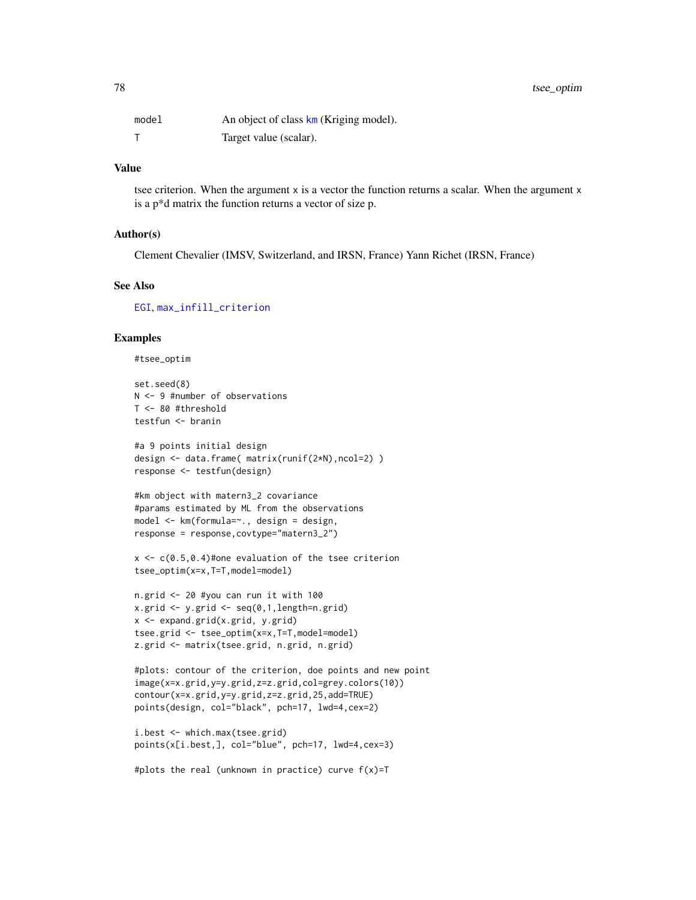<span id="page-77-0"></span>

| model | An object of class km (Kriging model). |
|-------|----------------------------------------|
|       | Target value (scalar).                 |

## Value

tsee criterion. When the argument  $x$  is a vector the function returns a scalar. When the argument  $x$ is a p\*d matrix the function returns a vector of size p.

#### Author(s)

Clement Chevalier (IMSV, Switzerland, and IRSN, France) Yann Richet (IRSN, France)

#### See Also

[EGI](#page-11-0), [max\\_infill\\_criterion](#page-24-0)

#### Examples

```
#tsee_optim
```

```
set.seed(8)
N <- 9 #number of observations
T <- 80 #threshold
testfun <- branin
```

```
#a 9 points initial design
design <- data.frame( matrix(runif(2*N),ncol=2) )
response <- testfun(design)
```

```
#km object with matern3_2 covariance
#params estimated by ML from the observations
model <- km(formula=~., design = design,
response = response,covtype="matern3_2")
```

```
x \leq c(0.5, 0.4)#one evaluation of the tsee criterion
tsee_optim(x=x,T=T,model=model)
```

```
n.grid <- 20 #you can run it with 100
x.grid \leq y.grid \leq seq(0,1, length=n.grid)x <- expand.grid(x.grid, y.grid)
tsee.grid <- tsee_optim(x=x,T=T,model=model)
z.grid <- matrix(tsee.grid, n.grid, n.grid)
```

```
#plots: contour of the criterion, doe points and new point
image(x=x.grid,y=y.grid,z=z.grid,col=grey.colors(10))
contour(x=x.grid,y=y.grid,z=z.grid,25,add=TRUE)
points(design, col="black", pch=17, lwd=4,cex=2)
```

```
i.best <- which.max(tsee.grid)
points(x[i.best,], col="blue", pch=17, lwd=4,cex=3)
```

```
#plots the real (unknown in practice) curve f(x)=T
```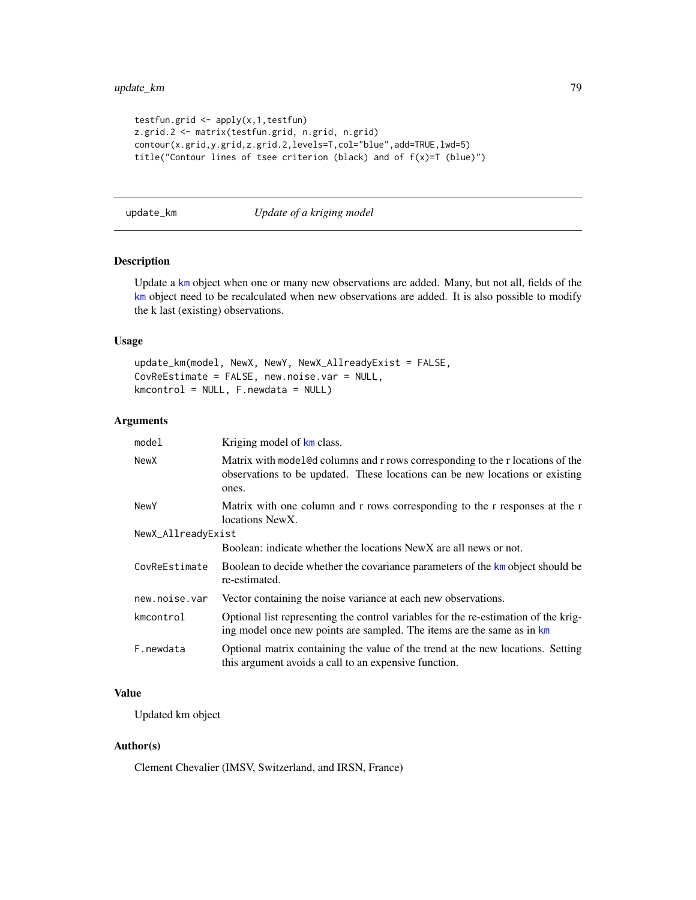```
testfun.grid \leq apply(x, 1, \text{testfun})z.grid.2 <- matrix(testfun.grid, n.grid, n.grid)
contour(x.grid,y.grid,z.grid.2,levels=T,col="blue",add=TRUE,lwd=5)
title("Contour lines of tsee criterion (black) and of f(x)=T (blue)")
```
update\_km *Update of a kriging model*

## Description

Update a [km](#page-0-0) object when one or many new observations are added. Many, but not all, fields of the [km](#page-0-0) object need to be recalculated when new observations are added. It is also possible to modify the k last (existing) observations.

## Usage

```
update_km(model, NewX, NewY, NewX_AllreadyExist = FALSE,
CovReEstimate = FALSE, new.noise.var = NULL,
kmcontrol = NULL, F.newdata = NULL)
```
# Arguments

| model              | Kriging model of km class.                                                                                                                                              |
|--------------------|-------------------------------------------------------------------------------------------------------------------------------------------------------------------------|
| NewX               | Matrix with model@d columns and r rows corresponding to the r locations of the<br>observations to be updated. These locations can be new locations or existing<br>ones. |
| <b>NewY</b>        | Matrix with one column and r rows corresponding to the r responses at the r<br>locations NewX.                                                                          |
| NewX_AllreadyExist |                                                                                                                                                                         |
|                    | Boolean: indicate whether the locations New X are all news or not.                                                                                                      |
| CovReEstimate      | Boolean to decide whether the covariance parameters of the km object should be<br>re-estimated.                                                                         |
| new.noise.var      | Vector containing the noise variance at each new observations.                                                                                                          |
| kmcontrol          | Optional list representing the control variables for the re-estimation of the krig-<br>ing model once new points are sampled. The items are the same as in km           |
| F.newdata          | Optional matrix containing the value of the trend at the new locations. Setting<br>this argument avoids a call to an expensive function.                                |

# Value

Updated km object

## Author(s)

Clement Chevalier (IMSV, Switzerland, and IRSN, France)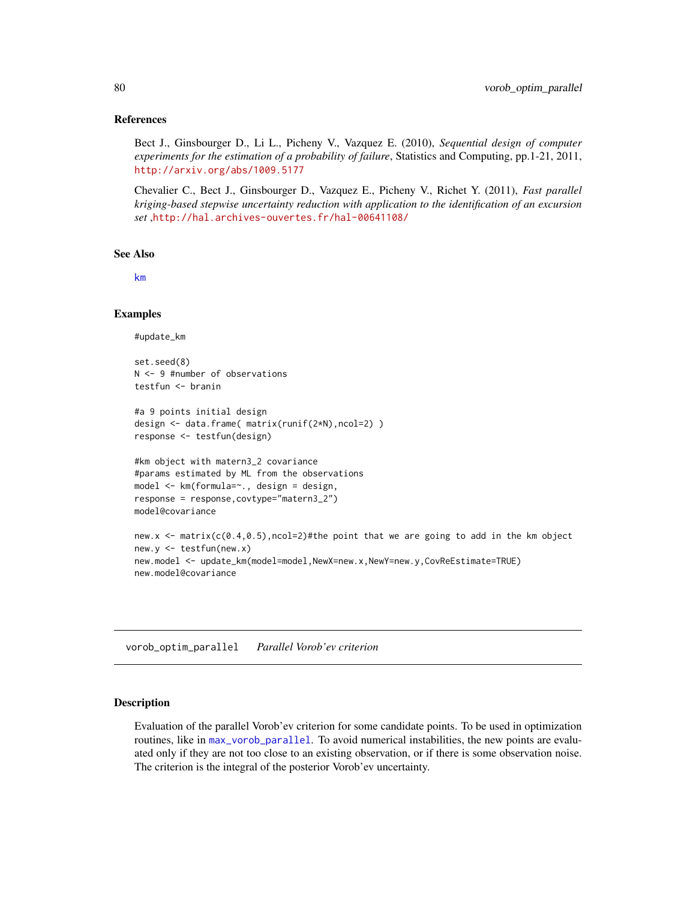#### <span id="page-79-1"></span>References

Bect J., Ginsbourger D., Li L., Picheny V., Vazquez E. (2010), *Sequential design of computer experiments for the estimation of a probability of failure*, Statistics and Computing, pp.1-21, 2011, <http://arxiv.org/abs/1009.5177>

Chevalier C., Bect J., Ginsbourger D., Vazquez E., Picheny V., Richet Y. (2011), *Fast parallel kriging-based stepwise uncertainty reduction with application to the identification of an excursion set* ,<http://hal.archives-ouvertes.fr/hal-00641108/>

#### See Also

[km](#page-0-0)

#### Examples

#update\_km

set.seed(8) N <- 9 #number of observations testfun <- branin

```
#a 9 points initial design
design <- data.frame( matrix(runif(2*N),ncol=2) )
response <- testfun(design)
```

```
#km object with matern3_2 covariance
#params estimated by ML from the observations
model <- km(formula=~., design = design,
response = response,covtype="matern3_2")
model@covariance
```

```
new.x \leq matrix(c(0.4,0.5), ncol=2)#the point that we are going to add in the km object
new.y <- testfun(new.x)
new.model <- update_km(model=model,NewX=new.x,NewY=new.y,CovReEstimate=TRUE)
new.model@covariance
```
<span id="page-79-0"></span>vorob\_optim\_parallel *Parallel Vorob'ev criterion*

#### **Description**

Evaluation of the parallel Vorob'ev criterion for some candidate points. To be used in optimization routines, like in [max\\_vorob\\_parallel](#page-36-0). To avoid numerical instabilities, the new points are evaluated only if they are not too close to an existing observation, or if there is some observation noise. The criterion is the integral of the posterior Vorob'ev uncertainty.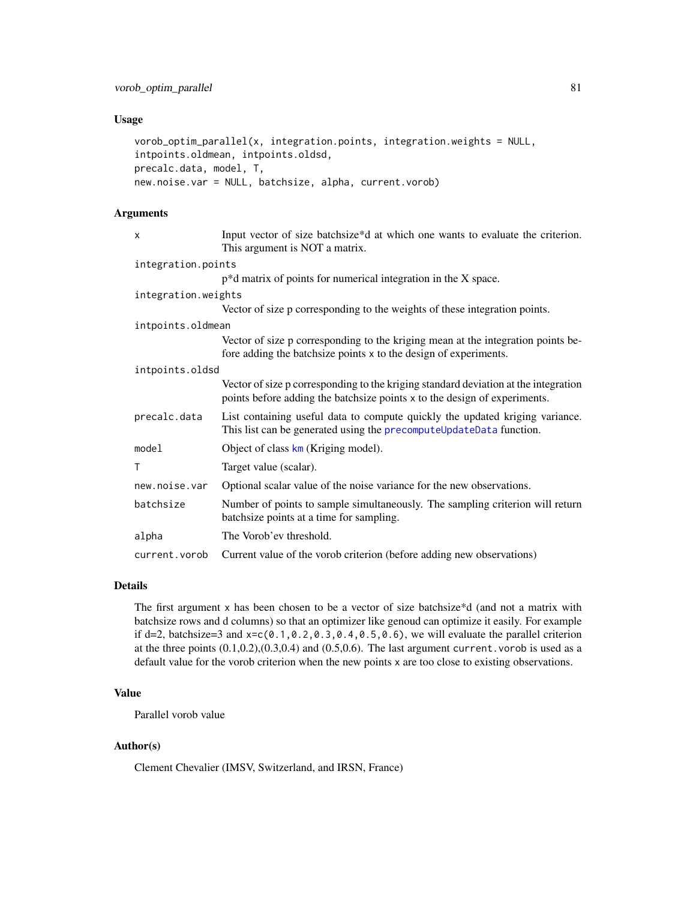## <span id="page-80-0"></span>Usage

```
vorob_optim_parallel(x, integration.points, integration.weights = NULL,
intpoints.oldmean, intpoints.oldsd,
precalc.data, model, T,
new.noise.var = NULL, batchsize, alpha, current.vorob)
```
# Arguments

| x                   | Input vector of size batchsize*d at which one wants to evaluate the criterion.<br>This argument is NOT a matrix.                                                 |  |
|---------------------|------------------------------------------------------------------------------------------------------------------------------------------------------------------|--|
| integration.points  |                                                                                                                                                                  |  |
|                     | $p^*d$ matrix of points for numerical integration in the X space.                                                                                                |  |
| integration.weights |                                                                                                                                                                  |  |
|                     | Vector of size p corresponding to the weights of these integration points.                                                                                       |  |
| intpoints.oldmean   |                                                                                                                                                                  |  |
|                     | Vector of size p corresponding to the kriging mean at the integration points be-<br>fore adding the batch size points x to the design of experiments.            |  |
| intpoints.oldsd     |                                                                                                                                                                  |  |
|                     | Vector of size p corresponding to the kriging standard deviation at the integration<br>points before adding the batchsize points x to the design of experiments. |  |
| precalc.data        | List containing useful data to compute quickly the updated kriging variance.<br>This list can be generated using the precomputeUpdateData function.              |  |
| model               | Object of class $km$ (Kriging model).                                                                                                                            |  |
| T                   | Target value (scalar).                                                                                                                                           |  |
| new.noise.var       | Optional scalar value of the noise variance for the new observations.                                                                                            |  |
| batchsize           | Number of points to sample simultaneously. The sampling criterion will return<br>batchsize points at a time for sampling.                                        |  |
| alpha               | The Vorob'ev threshold.                                                                                                                                          |  |
| current.vorob       | Current value of the vorob criterion (before adding new observations)                                                                                            |  |

## Details

The first argument x has been chosen to be a vector of size batchsize\*d (and not a matrix with batchsize rows and d columns) so that an optimizer like genoud can optimize it easily. For example if d=2, batchsize=3 and  $x = c(0.1, 0.2, 0.3, 0.4, 0.5, 0.6)$ , we will evaluate the parallel criterion at the three points  $(0.1, 0.2), (0.3, 0.4)$  and  $(0.5, 0.6)$ . The last argument current. vorob is used as a default value for the vorob criterion when the new points x are too close to existing observations.

# Value

Parallel vorob value

# Author(s)

Clement Chevalier (IMSV, Switzerland, and IRSN, France)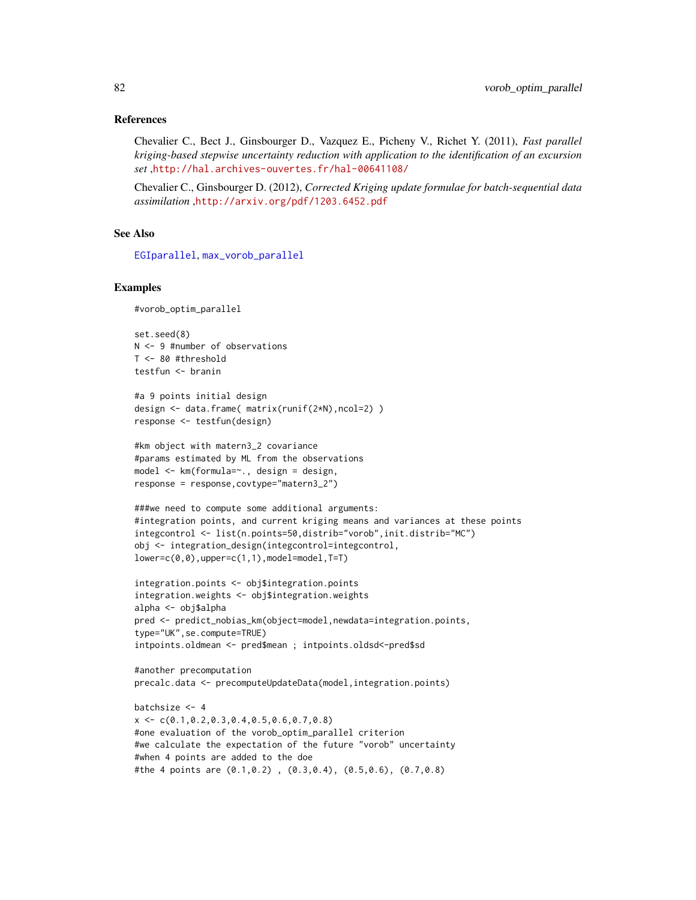#### <span id="page-81-0"></span>References

Chevalier C., Bect J., Ginsbourger D., Vazquez E., Picheny V., Richet Y. (2011), *Fast parallel kriging-based stepwise uncertainty reduction with application to the identification of an excursion set* ,<http://hal.archives-ouvertes.fr/hal-00641108/>

Chevalier C., Ginsbourger D. (2012), *Corrected Kriging update formulae for batch-sequential data assimilation* ,<http://arxiv.org/pdf/1203.6452.pdf>

#### See Also

[EGIparallel](#page-15-0), [max\\_vorob\\_parallel](#page-36-0)

## Examples

#vorob\_optim\_parallel

set.seed(8) N <- 9 #number of observations T <- 80 #threshold testfun <- branin

```
#a 9 points initial design
design <- data.frame( matrix(runif(2*N),ncol=2) )
response <- testfun(design)
```

```
#km object with matern3_2 covariance
#params estimated by ML from the observations
model <- km(formula=~., design = design,
response = response,covtype="matern3_2")
```

```
###we need to compute some additional arguments:
#integration points, and current kriging means and variances at these points
integcontrol <- list(n.points=50,distrib="vorob",init.distrib="MC")
obj <- integration_design(integcontrol=integcontrol,
lower=c(0,0), upper=c(1,1), model=model, T=T)
```

```
integration.points <- obj$integration.points
integration.weights <- obj$integration.weights
alpha <- obj$alpha
pred <- predict_nobias_km(object=model,newdata=integration.points,
type="UK",se.compute=TRUE)
intpoints.oldmean <- pred$mean ; intpoints.oldsd<-pred$sd
```

```
#another precomputation
precalc.data <- precomputeUpdateData(model,integration.points)
```

```
batchsize <- 4
x \leq C(0.1, 0.2, 0.3, 0.4, 0.5, 0.6, 0.7, 0.8)#one evaluation of the vorob_optim_parallel criterion
#we calculate the expectation of the future "vorob" uncertainty
#when 4 points are added to the doe
#the 4 points are (0.1,0.2) , (0.3,0.4), (0.5,0.6), (0.7,0.8)
```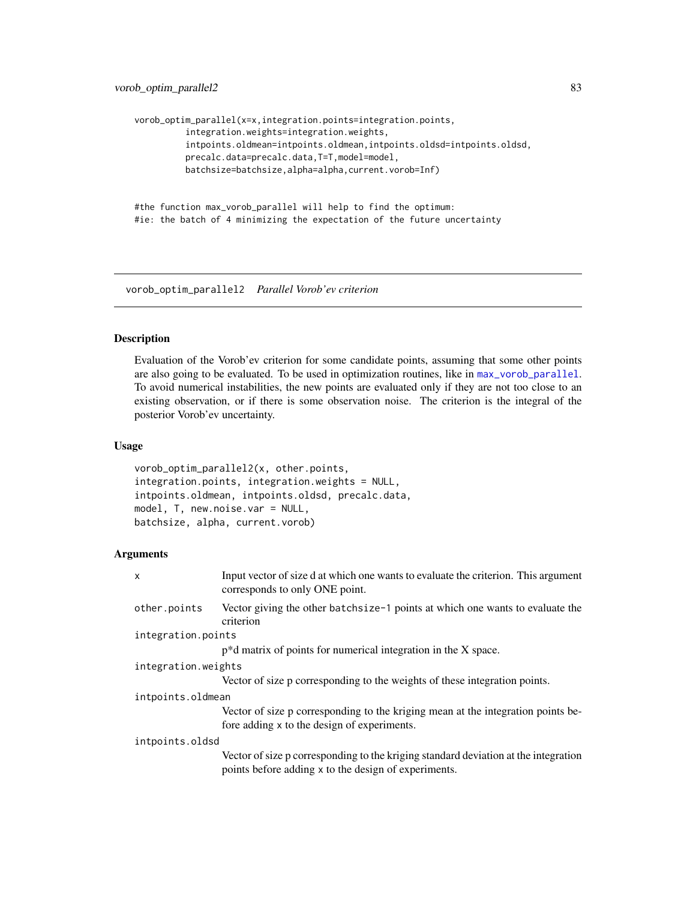```
vorob_optim_parallel(x=x,integration.points=integration.points,
          integration.weights=integration.weights,
          intpoints.oldmean=intpoints.oldmean,intpoints.oldsd=intpoints.oldsd,
         precalc.data=precalc.data,T=T,model=model,
         batchsize=batchsize,alpha=alpha,current.vorob=Inf)
```

```
#the function max_vorob_parallel will help to find the optimum:
#ie: the batch of 4 minimizing the expectation of the future uncertainty
```
vorob\_optim\_parallel2 *Parallel Vorob'ev criterion*

#### Description

Evaluation of the Vorob'ev criterion for some candidate points, assuming that some other points are also going to be evaluated. To be used in optimization routines, like in  $max\_vorob\_parallel$ . To avoid numerical instabilities, the new points are evaluated only if they are not too close to an existing observation, or if there is some observation noise. The criterion is the integral of the posterior Vorob'ev uncertainty.

## Usage

```
vorob_optim_parallel2(x, other.points,
integration.points, integration.weights = NULL,
intpoints.oldmean, intpoints.oldsd, precalc.data,
model, T, new.noise.var = NULL,
batchsize, alpha, current.vorob)
```
## Arguments

| X                   | Input vector of size d at which one wants to evaluate the criterion. This argument<br>corresponds to only ONE point.                        |
|---------------------|---------------------------------------------------------------------------------------------------------------------------------------------|
| other.points        | Vector giving the other batchsize-1 points at which one wants to evaluate the<br>criterion                                                  |
| integration.points  |                                                                                                                                             |
|                     | $p^*d$ matrix of points for numerical integration in the X space.                                                                           |
| integration.weights |                                                                                                                                             |
|                     | Vector of size p corresponding to the weights of these integration points.                                                                  |
| intpoints.oldmean   |                                                                                                                                             |
|                     | Vector of size p corresponding to the kriging mean at the integration points be-<br>fore adding x to the design of experiments.             |
| intpoints.oldsd     |                                                                                                                                             |
|                     | Vector of size p corresponding to the kriging standard deviation at the integration<br>points before adding x to the design of experiments. |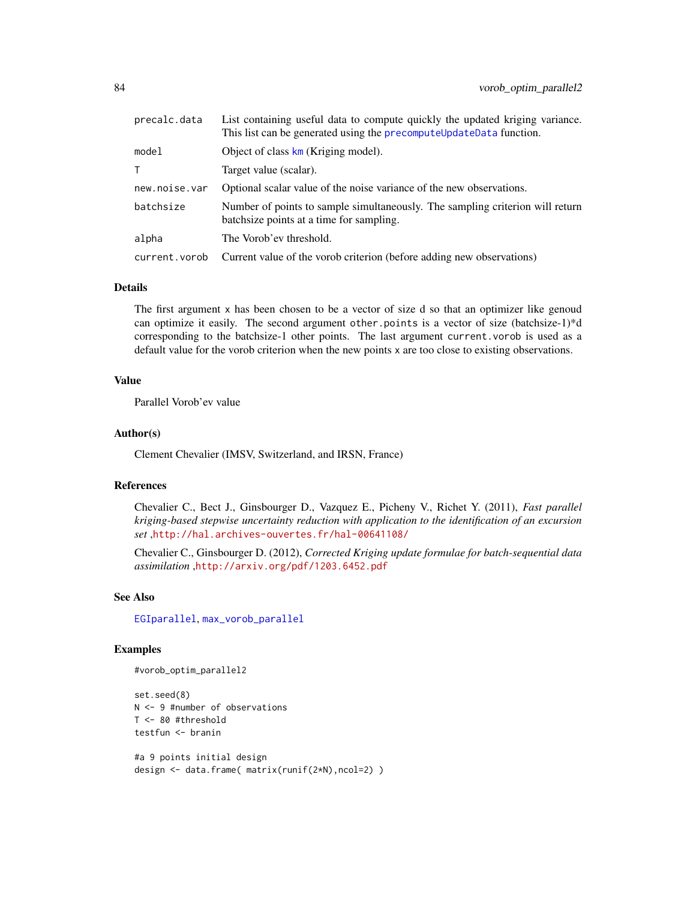<span id="page-83-0"></span>

| precalc.data  | List containing useful data to compute quickly the updated kriging variance.<br>This list can be generated using the precomputeUpdateData function. |
|---------------|-----------------------------------------------------------------------------------------------------------------------------------------------------|
| model         | Object of class $km$ (Kriging model).                                                                                                               |
| T.            | Target value (scalar).                                                                                                                              |
| new.noise.var | Optional scalar value of the noise variance of the new observations.                                                                                |
| batchsize     | Number of points to sample simultaneously. The sampling criterion will return<br>batchsize points at a time for sampling.                           |
| alpha         | The Vorob'ev threshold.                                                                                                                             |
| current.vorob | Current value of the vorob criterion (before adding new observations)                                                                               |

#### Details

The first argument x has been chosen to be a vector of size d so that an optimizer like genoud can optimize it easily. The second argument other.points is a vector of size (batchsize-1)\*d corresponding to the batchsize-1 other points. The last argument current.vorob is used as a default value for the vorob criterion when the new points x are too close to existing observations.

#### Value

Parallel Vorob'ev value

#### Author(s)

Clement Chevalier (IMSV, Switzerland, and IRSN, France)

## References

Chevalier C., Bect J., Ginsbourger D., Vazquez E., Picheny V., Richet Y. (2011), *Fast parallel kriging-based stepwise uncertainty reduction with application to the identification of an excursion set* ,<http://hal.archives-ouvertes.fr/hal-00641108/>

Chevalier C., Ginsbourger D. (2012), *Corrected Kriging update formulae for batch-sequential data assimilation* ,<http://arxiv.org/pdf/1203.6452.pdf>

## See Also

[EGIparallel](#page-15-0), [max\\_vorob\\_parallel](#page-36-0)

#### Examples

```
#vorob_optim_parallel2
```
set.seed(8) N <- 9 #number of observations T <- 80 #threshold testfun <- branin

```
#a 9 points initial design
design <- data.frame( matrix(runif(2*N),ncol=2) )
```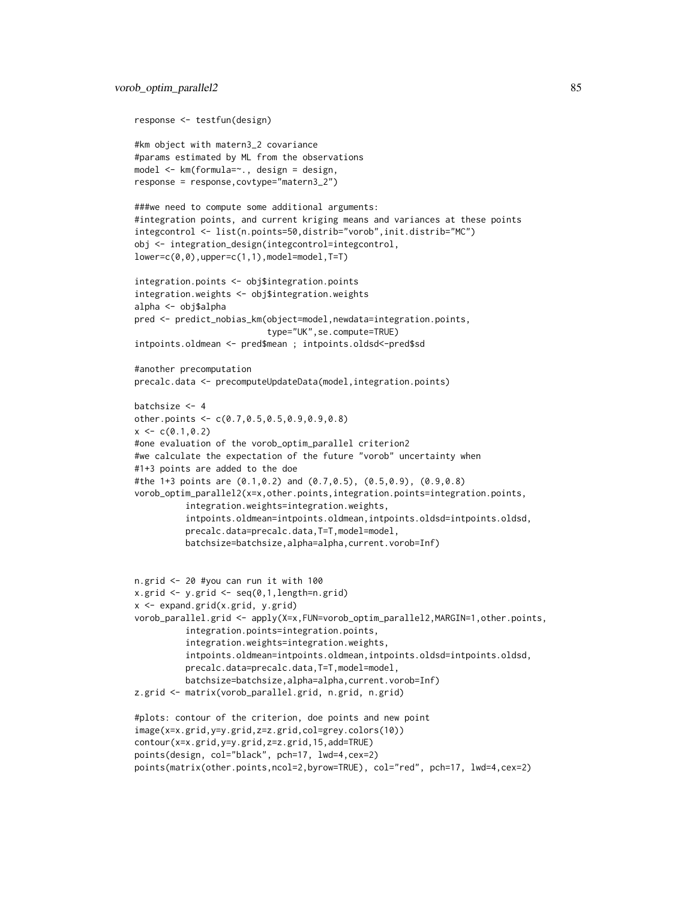```
response <- testfun(design)
#km object with matern3_2 covariance
#params estimated by ML from the observations
model <- km(formula=~., design = design,
response = response,covtype="matern3_2")
###we need to compute some additional arguments:
#integration points, and current kriging means and variances at these points
integcontrol <- list(n.points=50,distrib="vorob",init.distrib="MC")
obj <- integration_design(integcontrol=integcontrol,
lower=c(0,0),upper=c(1,1),model=model,T=T)
integration.points <- obj$integration.points
integration.weights <- obj$integration.weights
alpha <- obj$alpha
pred <- predict_nobias_km(object=model,newdata=integration.points,
                          type="UK",se.compute=TRUE)
intpoints.oldmean <- pred$mean ; intpoints.oldsd<-pred$sd
#another precomputation
precalc.data <- precomputeUpdateData(model,integration.points)
batchsize <-4other.points <- c(0.7,0.5,0.5,0.9,0.9,0.8)
x \leq c(0.1, 0.2)#one evaluation of the vorob_optim_parallel criterion2
#we calculate the expectation of the future "vorob" uncertainty when
#1+3 points are added to the doe
#the 1+3 points are (0.1,0.2) and (0.7,0.5), (0.5,0.9), (0.9,0.8)
vorob_optim_parallel2(x=x,other.points,integration.points=integration.points,
          integration.weights=integration.weights,
          intpoints.oldmean=intpoints.oldmean,intpoints.oldsd=intpoints.oldsd,
          precalc.data=precalc.data,T=T,model=model,
          batchsize=batchsize,alpha=alpha,current.vorob=Inf)
n.grid <- 20 #you can run it with 100
x.grid <- y.grid <- seq(0,1,length=n.grid)
x <- expand.grid(x.grid, y.grid)
vorob_parallel.grid <- apply(X=x,FUN=vorob_optim_parallel2,MARGIN=1,other.points,
          integration.points=integration.points,
          integration.weights=integration.weights,
          intpoints.oldmean=intpoints.oldmean,intpoints.oldsd=intpoints.oldsd,
          precalc.data=precalc.data,T=T,model=model,
          batchsize=batchsize,alpha=alpha,current.vorob=Inf)
z.grid <- matrix(vorob_parallel.grid, n.grid, n.grid)
#plots: contour of the criterion, doe points and new point
image(x=x.grid,y=y.grid,z=z.grid,col=grey.colors(10))
contour(x=x.grid,y=y.grid,z=z.grid,15,add=TRUE)
points(design, col="black", pch=17, lwd=4,cex=2)
points(matrix(other.points,ncol=2,byrow=TRUE), col="red", pch=17, lwd=4,cex=2)
```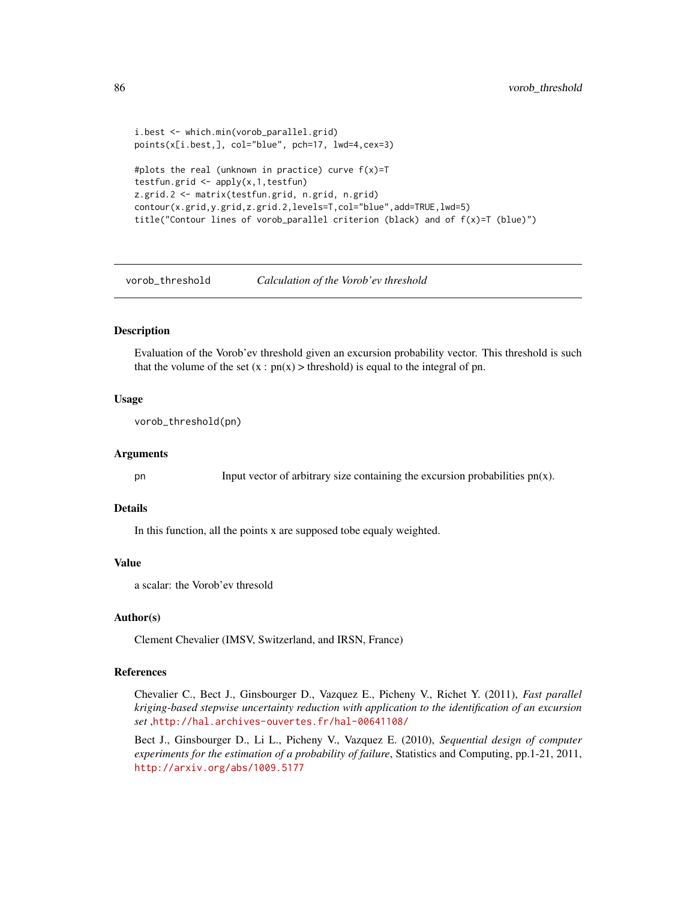```
i.best <- which.min(vorob_parallel.grid)
points(x[i.best,], col="blue", pch=17, lwd=4,cex=3)
#plots the real (unknown in practice) curve f(x)=Ttestfun.grid <- apply(x,1,testfun)
z.grid.2 <- matrix(testfun.grid, n.grid, n.grid)
contour(x.grid,y.grid,z.grid.2,levels=T,col="blue",add=TRUE,lwd=5)
title("Contour lines of vorob_parallel criterion (black) and of f(x)=T (blue)")
```
vorob\_threshold *Calculation of the Vorob'ev threshold*

# Description

Evaluation of the Vorob'ev threshold given an excursion probability vector. This threshold is such that the volume of the set  $(x : pn(x) > threshold)$  is equal to the integral of pn.

## Usage

```
vorob_threshold(pn)
```
## Arguments

pn Input vector of arbitrary size containing the excursion probabilities  $pn(x)$ .

# Details

In this function, all the points x are supposed tobe equaly weighted.

#### Value

a scalar: the Vorob'ev thresold

## Author(s)

Clement Chevalier (IMSV, Switzerland, and IRSN, France)

## References

Chevalier C., Bect J., Ginsbourger D., Vazquez E., Picheny V., Richet Y. (2011), *Fast parallel kriging-based stepwise uncertainty reduction with application to the identification of an excursion set* ,<http://hal.archives-ouvertes.fr/hal-00641108/>

Bect J., Ginsbourger D., Li L., Picheny V., Vazquez E. (2010), *Sequential design of computer experiments for the estimation of a probability of failure*, Statistics and Computing, pp.1-21, 2011, <http://arxiv.org/abs/1009.5177>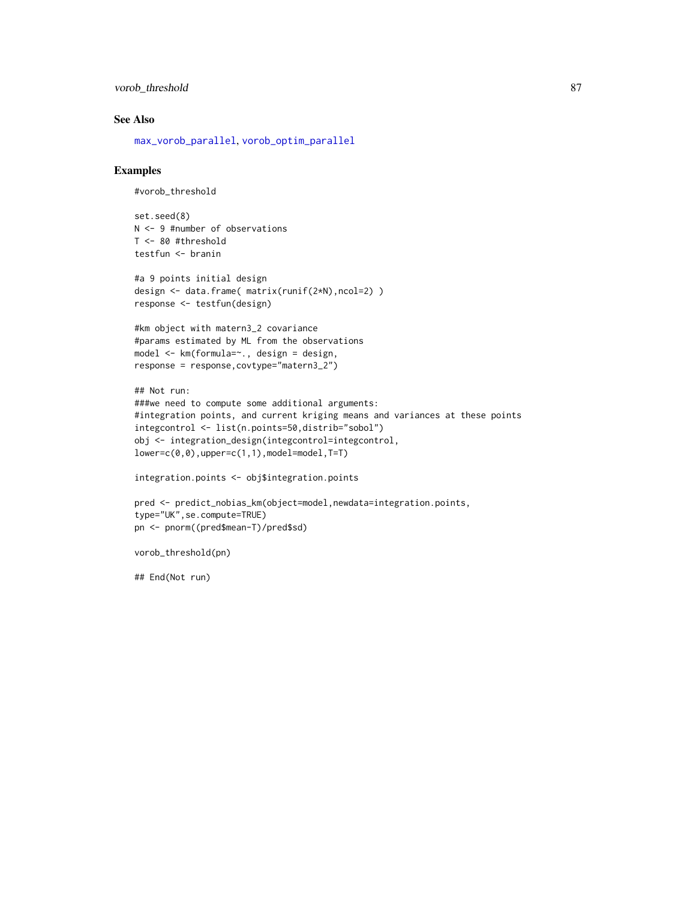```
vorob_threshold 87
```
# See Also

[max\\_vorob\\_parallel](#page-36-0), [vorob\\_optim\\_parallel](#page-79-0)

#### Examples

```
#vorob_threshold
```
set.seed(8) N <- 9 #number of observations T <- 80 #threshold testfun <- branin

```
#a 9 points initial design
design <- data.frame( matrix(runif(2*N),ncol=2) )
response <- testfun(design)
```

```
#km object with matern3_2 covariance
#params estimated by ML from the observations
model <- km(formula=~., design = design,
response = response,covtype="matern3_2")
```

```
## Not run:
###we need to compute some additional arguments:
#integration points, and current kriging means and variances at these points
integcontrol <- list(n.points=50,distrib="sobol")
obj <- integration_design(integcontrol=integcontrol,
lower=c(0,0),upper=c(1,1),model=model,T=T)
```
integration.points <- obj\$integration.points

```
pred <- predict_nobias_km(object=model,newdata=integration.points,
type="UK",se.compute=TRUE)
pn <- pnorm((pred$mean-T)/pred$sd)
```

```
vorob_threshold(pn)
```
## End(Not run)